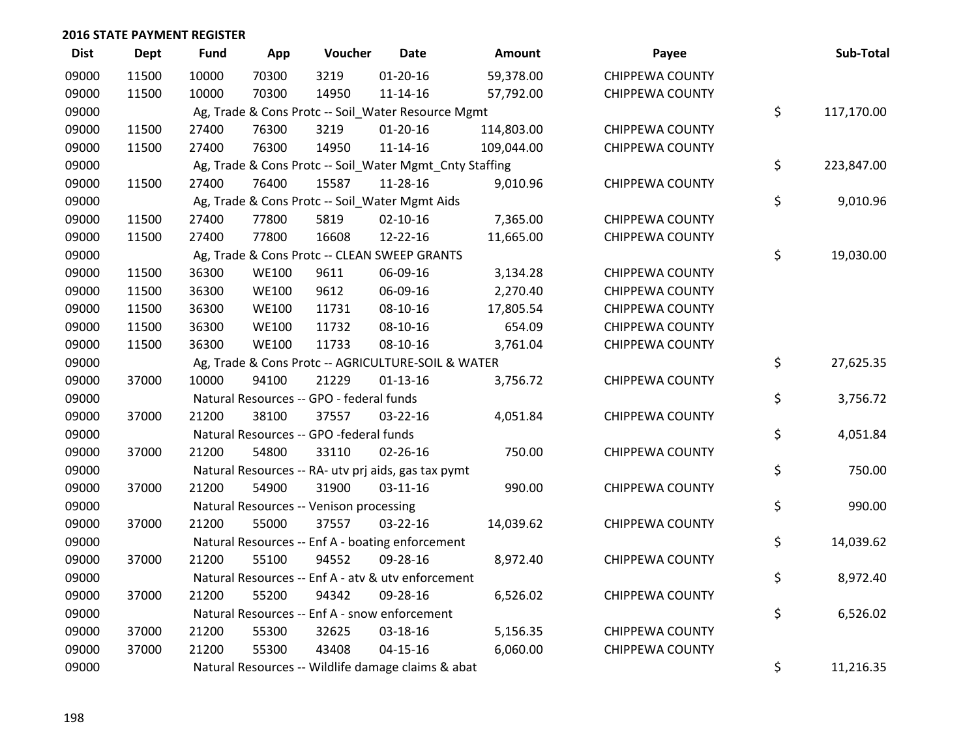| <b>Dist</b> | <b>Dept</b> | <b>Fund</b> | App          | Voucher                                                 | <b>Date</b>    | Amount     | Payee                  | Sub-Total        |
|-------------|-------------|-------------|--------------|---------------------------------------------------------|----------------|------------|------------------------|------------------|
| 09000       | 11500       | 10000       | 70300        | 3219                                                    | $01 - 20 - 16$ | 59,378.00  | <b>CHIPPEWA COUNTY</b> |                  |
| 09000       | 11500       | 10000       | 70300        | 14950                                                   | 11-14-16       | 57,792.00  | <b>CHIPPEWA COUNTY</b> |                  |
| 09000       |             |             |              | Ag, Trade & Cons Protc -- Soil_Water Resource Mgmt      |                |            |                        | \$<br>117,170.00 |
| 09000       | 11500       | 27400       | 76300        | 3219                                                    | $01 - 20 - 16$ | 114,803.00 | <b>CHIPPEWA COUNTY</b> |                  |
| 09000       | 11500       | 27400       | 76300        | 14950                                                   | $11 - 14 - 16$ | 109,044.00 | <b>CHIPPEWA COUNTY</b> |                  |
| 09000       |             |             |              | Ag, Trade & Cons Protc -- Soil_Water Mgmt_Cnty Staffing |                |            |                        | \$<br>223,847.00 |
| 09000       | 11500       | 27400       | 76400        | 15587                                                   | 11-28-16       | 9,010.96   | <b>CHIPPEWA COUNTY</b> |                  |
| 09000       |             |             |              | Ag, Trade & Cons Protc -- Soil_Water Mgmt Aids          |                |            |                        | \$<br>9,010.96   |
| 09000       | 11500       | 27400       | 77800        | 5819                                                    | $02 - 10 - 16$ | 7,365.00   | <b>CHIPPEWA COUNTY</b> |                  |
| 09000       | 11500       | 27400       | 77800        | 16608                                                   | 12-22-16       | 11,665.00  | <b>CHIPPEWA COUNTY</b> |                  |
| 09000       |             |             |              | Ag, Trade & Cons Protc -- CLEAN SWEEP GRANTS            |                |            |                        | \$<br>19,030.00  |
| 09000       | 11500       | 36300       | <b>WE100</b> | 9611                                                    | 06-09-16       | 3,134.28   | <b>CHIPPEWA COUNTY</b> |                  |
| 09000       | 11500       | 36300       | <b>WE100</b> | 9612                                                    | 06-09-16       | 2,270.40   | <b>CHIPPEWA COUNTY</b> |                  |
| 09000       | 11500       | 36300       | <b>WE100</b> | 11731                                                   | 08-10-16       | 17,805.54  | <b>CHIPPEWA COUNTY</b> |                  |
| 09000       | 11500       | 36300       | <b>WE100</b> | 11732                                                   | 08-10-16       | 654.09     | <b>CHIPPEWA COUNTY</b> |                  |
| 09000       | 11500       | 36300       | <b>WE100</b> | 11733                                                   | 08-10-16       | 3,761.04   | <b>CHIPPEWA COUNTY</b> |                  |
| 09000       |             |             |              | Ag, Trade & Cons Protc -- AGRICULTURE-SOIL & WATER      |                |            |                        | \$<br>27,625.35  |
| 09000       | 37000       | 10000       | 94100        | 21229                                                   | $01 - 13 - 16$ | 3,756.72   | <b>CHIPPEWA COUNTY</b> |                  |
| 09000       |             |             |              | Natural Resources -- GPO - federal funds                |                |            |                        | \$<br>3,756.72   |
| 09000       | 37000       | 21200       | 38100        | 37557                                                   | 03-22-16       | 4,051.84   | <b>CHIPPEWA COUNTY</b> |                  |
| 09000       |             |             |              | Natural Resources -- GPO -federal funds                 |                |            |                        | \$<br>4,051.84   |
| 09000       | 37000       | 21200       | 54800        | 33110                                                   | $02 - 26 - 16$ | 750.00     | <b>CHIPPEWA COUNTY</b> |                  |
| 09000       |             |             |              | Natural Resources -- RA- utv prj aids, gas tax pymt     |                |            |                        | \$<br>750.00     |
| 09000       | 37000       | 21200       | 54900        | 31900                                                   | $03-11-16$     | 990.00     | <b>CHIPPEWA COUNTY</b> |                  |
| 09000       |             |             |              | Natural Resources -- Venison processing                 |                |            |                        | \$<br>990.00     |
| 09000       | 37000       | 21200       | 55000        | 37557                                                   | 03-22-16       | 14,039.62  | <b>CHIPPEWA COUNTY</b> |                  |
| 09000       |             |             |              | Natural Resources -- Enf A - boating enforcement        |                |            |                        | \$<br>14,039.62  |
| 09000       | 37000       | 21200       | 55100        | 94552                                                   | 09-28-16       | 8,972.40   | <b>CHIPPEWA COUNTY</b> |                  |
| 09000       |             |             |              | Natural Resources -- Enf A - atv & utv enforcement      |                |            |                        | \$<br>8,972.40   |
| 09000       | 37000       | 21200       | 55200        | 94342                                                   | 09-28-16       | 6,526.02   | <b>CHIPPEWA COUNTY</b> |                  |
| 09000       |             |             |              | Natural Resources -- Enf A - snow enforcement           |                |            |                        | \$<br>6,526.02   |
| 09000       | 37000       | 21200       | 55300        | 32625                                                   | 03-18-16       | 5,156.35   | <b>CHIPPEWA COUNTY</b> |                  |
| 09000       | 37000       | 21200       | 55300        | 43408                                                   | $04 - 15 - 16$ | 6,060.00   | <b>CHIPPEWA COUNTY</b> |                  |
| 09000       |             |             |              | Natural Resources -- Wildlife damage claims & abat      |                |            |                        | \$<br>11,216.35  |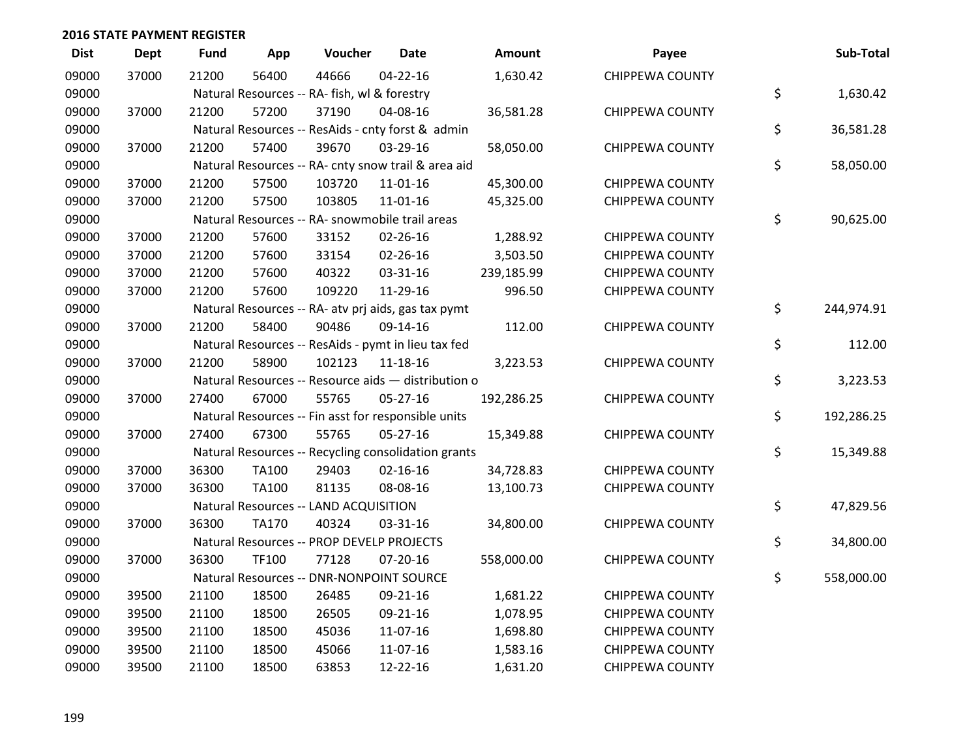| <b>Dist</b> | <b>Dept</b> | <b>Fund</b> | App          | Voucher                                             | <b>Date</b>    | Amount     | Payee                  | Sub-Total        |
|-------------|-------------|-------------|--------------|-----------------------------------------------------|----------------|------------|------------------------|------------------|
| 09000       | 37000       | 21200       | 56400        | 44666                                               | $04 - 22 - 16$ | 1,630.42   | <b>CHIPPEWA COUNTY</b> |                  |
| 09000       |             |             |              | Natural Resources -- RA- fish, wl & forestry        |                |            |                        | \$<br>1,630.42   |
| 09000       | 37000       | 21200       | 57200        | 37190                                               | 04-08-16       | 36,581.28  | <b>CHIPPEWA COUNTY</b> |                  |
| 09000       |             |             |              | Natural Resources -- ResAids - cnty forst & admin   |                |            |                        | \$<br>36,581.28  |
| 09000       | 37000       | 21200       | 57400        | 39670                                               | 03-29-16       | 58,050.00  | <b>CHIPPEWA COUNTY</b> |                  |
| 09000       |             |             |              | Natural Resources -- RA- cnty snow trail & area aid |                |            |                        | \$<br>58,050.00  |
| 09000       | 37000       | 21200       | 57500        | 103720                                              | 11-01-16       | 45,300.00  | <b>CHIPPEWA COUNTY</b> |                  |
| 09000       | 37000       | 21200       | 57500        | 103805                                              | $11 - 01 - 16$ | 45,325.00  | <b>CHIPPEWA COUNTY</b> |                  |
| 09000       |             |             |              | Natural Resources -- RA- snowmobile trail areas     |                |            |                        | \$<br>90,625.00  |
| 09000       | 37000       | 21200       | 57600        | 33152                                               | 02-26-16       | 1,288.92   | <b>CHIPPEWA COUNTY</b> |                  |
| 09000       | 37000       | 21200       | 57600        | 33154                                               | 02-26-16       | 3,503.50   | <b>CHIPPEWA COUNTY</b> |                  |
| 09000       | 37000       | 21200       | 57600        | 40322                                               | 03-31-16       | 239,185.99 | <b>CHIPPEWA COUNTY</b> |                  |
| 09000       | 37000       | 21200       | 57600        | 109220                                              | 11-29-16       | 996.50     | <b>CHIPPEWA COUNTY</b> |                  |
| 09000       |             |             |              | Natural Resources -- RA- atv prj aids, gas tax pymt |                |            |                        | \$<br>244,974.91 |
| 09000       | 37000       | 21200       | 58400        | 90486                                               | 09-14-16       | 112.00     | <b>CHIPPEWA COUNTY</b> |                  |
| 09000       |             |             |              | Natural Resources -- ResAids - pymt in lieu tax fed |                |            |                        | \$<br>112.00     |
| 09000       | 37000       | 21200       | 58900        | 102123                                              | 11-18-16       | 3,223.53   | <b>CHIPPEWA COUNTY</b> |                  |
| 09000       |             |             |              | Natural Resources -- Resource aids - distribution o |                |            |                        | \$<br>3,223.53   |
| 09000       | 37000       | 27400       | 67000        | 55765                                               | $05 - 27 - 16$ | 192,286.25 | <b>CHIPPEWA COUNTY</b> |                  |
| 09000       |             |             |              | Natural Resources -- Fin asst for responsible units |                |            |                        | \$<br>192,286.25 |
| 09000       | 37000       | 27400       | 67300        | 55765                                               | 05-27-16       | 15,349.88  | <b>CHIPPEWA COUNTY</b> |                  |
| 09000       |             |             |              | Natural Resources -- Recycling consolidation grants |                |            |                        | \$<br>15,349.88  |
| 09000       | 37000       | 36300       | TA100        | 29403                                               | $02 - 16 - 16$ | 34,728.83  | <b>CHIPPEWA COUNTY</b> |                  |
| 09000       | 37000       | 36300       | TA100        | 81135                                               | 08-08-16       | 13,100.73  | <b>CHIPPEWA COUNTY</b> |                  |
| 09000       |             |             |              | Natural Resources -- LAND ACQUISITION               |                |            |                        | \$<br>47,829.56  |
| 09000       | 37000       | 36300       | <b>TA170</b> | 40324                                               | 03-31-16       | 34,800.00  | <b>CHIPPEWA COUNTY</b> |                  |
| 09000       |             |             |              | Natural Resources -- PROP DEVELP PROJECTS           |                |            |                        | \$<br>34,800.00  |
| 09000       | 37000       | 36300       | TF100        | 77128                                               | 07-20-16       | 558,000.00 | <b>CHIPPEWA COUNTY</b> |                  |
| 09000       |             |             |              | Natural Resources -- DNR-NONPOINT SOURCE            |                |            |                        | \$<br>558,000.00 |
| 09000       | 39500       | 21100       | 18500        | 26485                                               | 09-21-16       | 1,681.22   | <b>CHIPPEWA COUNTY</b> |                  |
| 09000       | 39500       | 21100       | 18500        | 26505                                               | 09-21-16       | 1,078.95   | <b>CHIPPEWA COUNTY</b> |                  |
| 09000       | 39500       | 21100       | 18500        | 45036                                               | 11-07-16       | 1,698.80   | <b>CHIPPEWA COUNTY</b> |                  |
| 09000       | 39500       | 21100       | 18500        | 45066                                               | 11-07-16       | 1,583.16   | <b>CHIPPEWA COUNTY</b> |                  |
| 09000       | 39500       | 21100       | 18500        | 63853                                               | 12-22-16       | 1,631.20   | <b>CHIPPEWA COUNTY</b> |                  |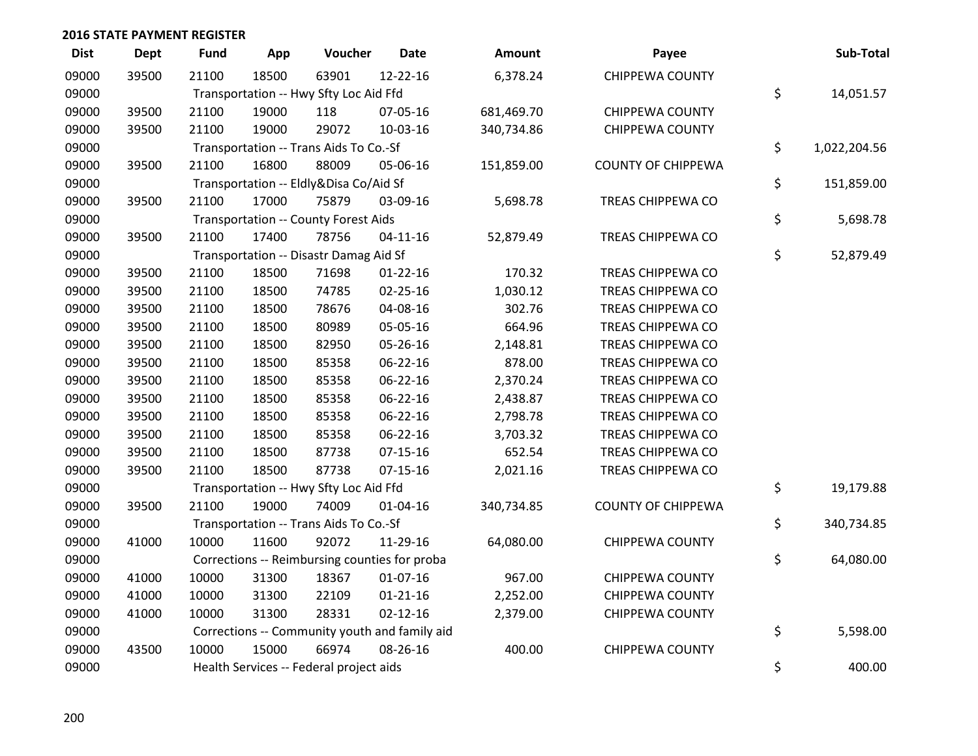| <b>Dist</b> | <b>Dept</b> | <b>Fund</b> | App   | Voucher                                     | <b>Date</b>                                   | <b>Amount</b> | Payee                     | Sub-Total          |
|-------------|-------------|-------------|-------|---------------------------------------------|-----------------------------------------------|---------------|---------------------------|--------------------|
| 09000       | 39500       | 21100       | 18500 | 63901                                       | 12-22-16                                      | 6,378.24      | <b>CHIPPEWA COUNTY</b>    |                    |
| 09000       |             |             |       | Transportation -- Hwy Sfty Loc Aid Ffd      |                                               |               |                           | \$<br>14,051.57    |
| 09000       | 39500       | 21100       | 19000 | 118                                         | 07-05-16                                      | 681,469.70    | CHIPPEWA COUNTY           |                    |
| 09000       | 39500       | 21100       | 19000 | 29072                                       | 10-03-16                                      | 340,734.86    | <b>CHIPPEWA COUNTY</b>    |                    |
| 09000       |             |             |       | Transportation -- Trans Aids To Co.-Sf      |                                               |               |                           | \$<br>1,022,204.56 |
| 09000       | 39500       | 21100       | 16800 | 88009                                       | 05-06-16                                      | 151,859.00    | <b>COUNTY OF CHIPPEWA</b> |                    |
| 09000       |             |             |       | Transportation -- Eldly&Disa Co/Aid Sf      |                                               |               |                           | \$<br>151,859.00   |
| 09000       | 39500       | 21100       | 17000 | 75879                                       | 03-09-16                                      | 5,698.78      | TREAS CHIPPEWA CO         |                    |
| 09000       |             |             |       | <b>Transportation -- County Forest Aids</b> |                                               |               |                           | \$<br>5,698.78     |
| 09000       | 39500       | 21100       | 17400 | 78756                                       | $04 - 11 - 16$                                | 52,879.49     | <b>TREAS CHIPPEWA CO</b>  |                    |
| 09000       |             |             |       | Transportation -- Disastr Damag Aid Sf      |                                               |               |                           | \$<br>52,879.49    |
| 09000       | 39500       | 21100       | 18500 | 71698                                       | $01 - 22 - 16$                                | 170.32        | TREAS CHIPPEWA CO         |                    |
| 09000       | 39500       | 21100       | 18500 | 74785                                       | 02-25-16                                      | 1,030.12      | TREAS CHIPPEWA CO         |                    |
| 09000       | 39500       | 21100       | 18500 | 78676                                       | 04-08-16                                      | 302.76        | <b>TREAS CHIPPEWA CO</b>  |                    |
| 09000       | 39500       | 21100       | 18500 | 80989                                       | 05-05-16                                      | 664.96        | TREAS CHIPPEWA CO         |                    |
| 09000       | 39500       | 21100       | 18500 | 82950                                       | 05-26-16                                      | 2,148.81      | TREAS CHIPPEWA CO         |                    |
| 09000       | 39500       | 21100       | 18500 | 85358                                       | 06-22-16                                      | 878.00        | TREAS CHIPPEWA CO         |                    |
| 09000       | 39500       | 21100       | 18500 | 85358                                       | 06-22-16                                      | 2,370.24      | TREAS CHIPPEWA CO         |                    |
| 09000       | 39500       | 21100       | 18500 | 85358                                       | 06-22-16                                      | 2,438.87      | TREAS CHIPPEWA CO         |                    |
| 09000       | 39500       | 21100       | 18500 | 85358                                       | 06-22-16                                      | 2,798.78      | TREAS CHIPPEWA CO         |                    |
| 09000       | 39500       | 21100       | 18500 | 85358                                       | 06-22-16                                      | 3,703.32      | TREAS CHIPPEWA CO         |                    |
| 09000       | 39500       | 21100       | 18500 | 87738                                       | $07 - 15 - 16$                                | 652.54        | TREAS CHIPPEWA CO         |                    |
| 09000       | 39500       | 21100       | 18500 | 87738                                       | $07 - 15 - 16$                                | 2,021.16      | TREAS CHIPPEWA CO         |                    |
| 09000       |             |             |       | Transportation -- Hwy Sfty Loc Aid Ffd      |                                               |               |                           | \$<br>19,179.88    |
| 09000       | 39500       | 21100       | 19000 | 74009                                       | $01 - 04 - 16$                                | 340,734.85    | <b>COUNTY OF CHIPPEWA</b> |                    |
| 09000       |             |             |       | Transportation -- Trans Aids To Co.-Sf      |                                               |               |                           | \$<br>340,734.85   |
| 09000       | 41000       | 10000       | 11600 | 92072                                       | 11-29-16                                      | 64,080.00     | <b>CHIPPEWA COUNTY</b>    |                    |
| 09000       |             |             |       |                                             | Corrections -- Reimbursing counties for proba |               |                           | \$<br>64,080.00    |
| 09000       | 41000       | 10000       | 31300 | 18367                                       | $01-07-16$                                    | 967.00        | <b>CHIPPEWA COUNTY</b>    |                    |
| 09000       | 41000       | 10000       | 31300 | 22109                                       | $01 - 21 - 16$                                | 2,252.00      | <b>CHIPPEWA COUNTY</b>    |                    |
| 09000       | 41000       | 10000       | 31300 | 28331                                       | $02 - 12 - 16$                                | 2,379.00      | <b>CHIPPEWA COUNTY</b>    |                    |
| 09000       |             |             |       |                                             | Corrections -- Community youth and family aid |               |                           | \$<br>5,598.00     |
| 09000       | 43500       | 10000       | 15000 | 66974                                       | 08-26-16                                      | 400.00        | <b>CHIPPEWA COUNTY</b>    |                    |
| 09000       |             |             |       | Health Services -- Federal project aids     |                                               |               |                           | \$<br>400.00       |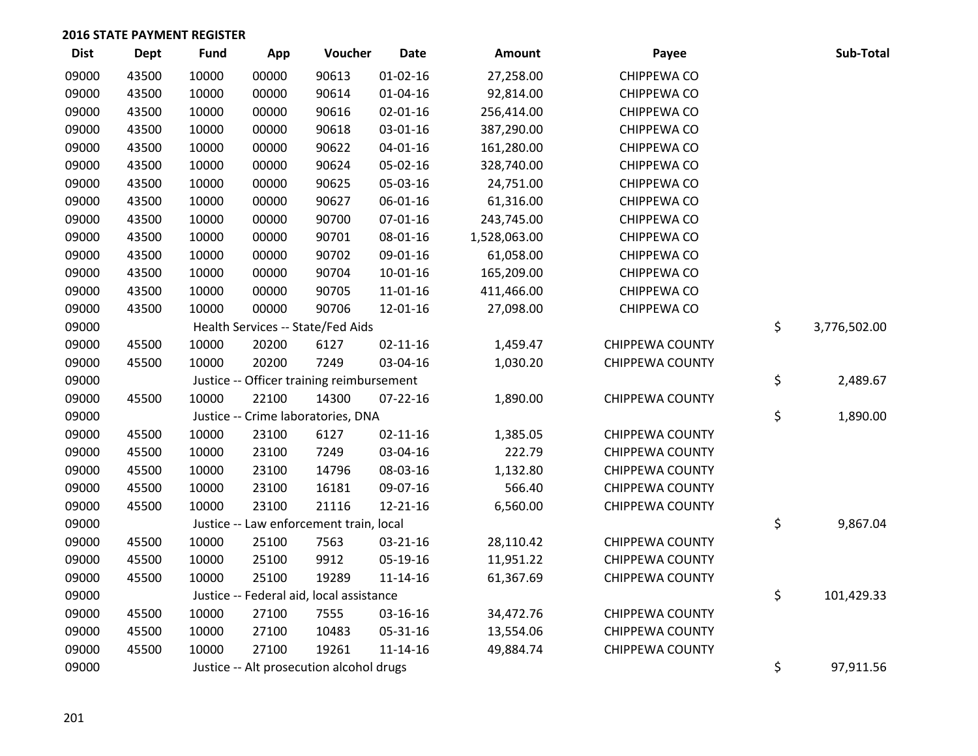| <b>Dist</b> | <b>Dept</b> | <b>Fund</b> | App   | Voucher                                   | <b>Date</b>    | Amount       | Payee                  | Sub-Total          |
|-------------|-------------|-------------|-------|-------------------------------------------|----------------|--------------|------------------------|--------------------|
| 09000       | 43500       | 10000       | 00000 | 90613                                     | $01 - 02 - 16$ | 27,258.00    | CHIPPEWA CO            |                    |
| 09000       | 43500       | 10000       | 00000 | 90614                                     | $01 - 04 - 16$ | 92,814.00    | CHIPPEWA CO            |                    |
| 09000       | 43500       | 10000       | 00000 | 90616                                     | 02-01-16       | 256,414.00   | CHIPPEWA CO            |                    |
| 09000       | 43500       | 10000       | 00000 | 90618                                     | 03-01-16       | 387,290.00   | CHIPPEWA CO            |                    |
| 09000       | 43500       | 10000       | 00000 | 90622                                     | $04 - 01 - 16$ | 161,280.00   | CHIPPEWA CO            |                    |
| 09000       | 43500       | 10000       | 00000 | 90624                                     | 05-02-16       | 328,740.00   | CHIPPEWA CO            |                    |
| 09000       | 43500       | 10000       | 00000 | 90625                                     | 05-03-16       | 24,751.00    | CHIPPEWA CO            |                    |
| 09000       | 43500       | 10000       | 00000 | 90627                                     | 06-01-16       | 61,316.00    | CHIPPEWA CO            |                    |
| 09000       | 43500       | 10000       | 00000 | 90700                                     | $07 - 01 - 16$ | 243,745.00   | CHIPPEWA CO            |                    |
| 09000       | 43500       | 10000       | 00000 | 90701                                     | 08-01-16       | 1,528,063.00 | CHIPPEWA CO            |                    |
| 09000       | 43500       | 10000       | 00000 | 90702                                     | 09-01-16       | 61,058.00    | CHIPPEWA CO            |                    |
| 09000       | 43500       | 10000       | 00000 | 90704                                     | $10 - 01 - 16$ | 165,209.00   | CHIPPEWA CO            |                    |
| 09000       | 43500       | 10000       | 00000 | 90705                                     | $11 - 01 - 16$ | 411,466.00   | CHIPPEWA CO            |                    |
| 09000       | 43500       | 10000       | 00000 | 90706                                     | 12-01-16       | 27,098.00    | CHIPPEWA CO            |                    |
| 09000       |             |             |       | Health Services -- State/Fed Aids         |                |              |                        | \$<br>3,776,502.00 |
| 09000       | 45500       | 10000       | 20200 | 6127                                      | $02 - 11 - 16$ | 1,459.47     | <b>CHIPPEWA COUNTY</b> |                    |
| 09000       | 45500       | 10000       | 20200 | 7249                                      | 03-04-16       | 1,030.20     | <b>CHIPPEWA COUNTY</b> |                    |
| 09000       |             |             |       | Justice -- Officer training reimbursement |                |              |                        | \$<br>2,489.67     |
| 09000       | 45500       | 10000       | 22100 | 14300                                     | $07 - 22 - 16$ | 1,890.00     | <b>CHIPPEWA COUNTY</b> |                    |
| 09000       |             |             |       | Justice -- Crime laboratories, DNA        |                |              |                        | \$<br>1,890.00     |
| 09000       | 45500       | 10000       | 23100 | 6127                                      | $02 - 11 - 16$ | 1,385.05     | <b>CHIPPEWA COUNTY</b> |                    |
| 09000       | 45500       | 10000       | 23100 | 7249                                      | 03-04-16       | 222.79       | <b>CHIPPEWA COUNTY</b> |                    |
| 09000       | 45500       | 10000       | 23100 | 14796                                     | 08-03-16       | 1,132.80     | <b>CHIPPEWA COUNTY</b> |                    |
| 09000       | 45500       | 10000       | 23100 | 16181                                     | 09-07-16       | 566.40       | <b>CHIPPEWA COUNTY</b> |                    |
| 09000       | 45500       | 10000       | 23100 | 21116                                     | 12-21-16       | 6,560.00     | <b>CHIPPEWA COUNTY</b> |                    |
| 09000       |             |             |       | Justice -- Law enforcement train, local   |                |              |                        | \$<br>9,867.04     |
| 09000       | 45500       | 10000       | 25100 | 7563                                      | 03-21-16       | 28,110.42    | <b>CHIPPEWA COUNTY</b> |                    |
| 09000       | 45500       | 10000       | 25100 | 9912                                      | 05-19-16       | 11,951.22    | <b>CHIPPEWA COUNTY</b> |                    |
| 09000       | 45500       | 10000       | 25100 | 19289                                     | 11-14-16       | 61,367.69    | <b>CHIPPEWA COUNTY</b> |                    |
| 09000       |             |             |       | Justice -- Federal aid, local assistance  |                |              |                        | \$<br>101,429.33   |
| 09000       | 45500       | 10000       | 27100 | 7555                                      | 03-16-16       | 34,472.76    | <b>CHIPPEWA COUNTY</b> |                    |
| 09000       | 45500       | 10000       | 27100 | 10483                                     | 05-31-16       | 13,554.06    | <b>CHIPPEWA COUNTY</b> |                    |
| 09000       | 45500       | 10000       | 27100 | 19261                                     | $11 - 14 - 16$ | 49,884.74    | <b>CHIPPEWA COUNTY</b> |                    |
| 09000       |             |             |       | Justice -- Alt prosecution alcohol drugs  |                |              |                        | \$<br>97,911.56    |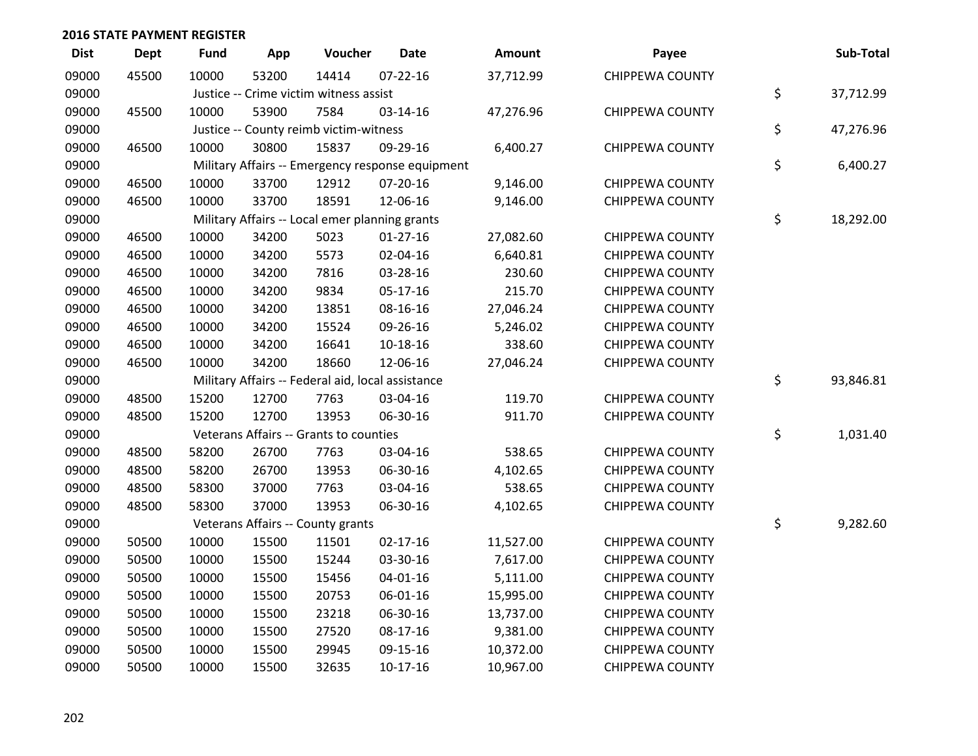| <b>Dist</b> | <b>Dept</b> | <b>Fund</b> | App   | Voucher                                           | <b>Date</b>                                      | Amount    | Payee                  | Sub-Total       |
|-------------|-------------|-------------|-------|---------------------------------------------------|--------------------------------------------------|-----------|------------------------|-----------------|
| 09000       | 45500       | 10000       | 53200 | 14414                                             | $07 - 22 - 16$                                   | 37,712.99 | <b>CHIPPEWA COUNTY</b> |                 |
| 09000       |             |             |       | Justice -- Crime victim witness assist            |                                                  |           |                        | \$<br>37,712.99 |
| 09000       | 45500       | 10000       | 53900 | 7584                                              | 03-14-16                                         | 47,276.96 | <b>CHIPPEWA COUNTY</b> |                 |
| 09000       |             |             |       | Justice -- County reimb victim-witness            |                                                  |           |                        | \$<br>47,276.96 |
| 09000       | 46500       | 10000       | 30800 | 15837                                             | 09-29-16                                         | 6,400.27  | <b>CHIPPEWA COUNTY</b> |                 |
| 09000       |             |             |       |                                                   | Military Affairs -- Emergency response equipment |           |                        | \$<br>6,400.27  |
| 09000       | 46500       | 10000       | 33700 | 12912                                             | $07-20-16$                                       | 9,146.00  | <b>CHIPPEWA COUNTY</b> |                 |
| 09000       | 46500       | 10000       | 33700 | 18591                                             | 12-06-16                                         | 9,146.00  | <b>CHIPPEWA COUNTY</b> |                 |
| 09000       |             |             |       | Military Affairs -- Local emer planning grants    |                                                  |           |                        | \$<br>18,292.00 |
| 09000       | 46500       | 10000       | 34200 | 5023                                              | $01-27-16$                                       | 27,082.60 | <b>CHIPPEWA COUNTY</b> |                 |
| 09000       | 46500       | 10000       | 34200 | 5573                                              | 02-04-16                                         | 6,640.81  | <b>CHIPPEWA COUNTY</b> |                 |
| 09000       | 46500       | 10000       | 34200 | 7816                                              | 03-28-16                                         | 230.60    | <b>CHIPPEWA COUNTY</b> |                 |
| 09000       | 46500       | 10000       | 34200 | 9834                                              | 05-17-16                                         | 215.70    | <b>CHIPPEWA COUNTY</b> |                 |
| 09000       | 46500       | 10000       | 34200 | 13851                                             | 08-16-16                                         | 27,046.24 | <b>CHIPPEWA COUNTY</b> |                 |
| 09000       | 46500       | 10000       | 34200 | 15524                                             | 09-26-16                                         | 5,246.02  | <b>CHIPPEWA COUNTY</b> |                 |
| 09000       | 46500       | 10000       | 34200 | 16641                                             | 10-18-16                                         | 338.60    | <b>CHIPPEWA COUNTY</b> |                 |
| 09000       | 46500       | 10000       | 34200 | 18660                                             | 12-06-16                                         | 27,046.24 | <b>CHIPPEWA COUNTY</b> |                 |
| 09000       |             |             |       | Military Affairs -- Federal aid, local assistance |                                                  |           |                        | \$<br>93,846.81 |
| 09000       | 48500       | 15200       | 12700 | 7763                                              | 03-04-16                                         | 119.70    | <b>CHIPPEWA COUNTY</b> |                 |
| 09000       | 48500       | 15200       | 12700 | 13953                                             | 06-30-16                                         | 911.70    | <b>CHIPPEWA COUNTY</b> |                 |
| 09000       |             |             |       | Veterans Affairs -- Grants to counties            |                                                  |           |                        | \$<br>1,031.40  |
| 09000       | 48500       | 58200       | 26700 | 7763                                              | 03-04-16                                         | 538.65    | <b>CHIPPEWA COUNTY</b> |                 |
| 09000       | 48500       | 58200       | 26700 | 13953                                             | 06-30-16                                         | 4,102.65  | <b>CHIPPEWA COUNTY</b> |                 |
| 09000       | 48500       | 58300       | 37000 | 7763                                              | 03-04-16                                         | 538.65    | <b>CHIPPEWA COUNTY</b> |                 |
| 09000       | 48500       | 58300       | 37000 | 13953                                             | 06-30-16                                         | 4,102.65  | <b>CHIPPEWA COUNTY</b> |                 |
| 09000       |             |             |       | Veterans Affairs -- County grants                 |                                                  |           |                        | \$<br>9,282.60  |
| 09000       | 50500       | 10000       | 15500 | 11501                                             | $02 - 17 - 16$                                   | 11,527.00 | <b>CHIPPEWA COUNTY</b> |                 |
| 09000       | 50500       | 10000       | 15500 | 15244                                             | 03-30-16                                         | 7,617.00  | <b>CHIPPEWA COUNTY</b> |                 |
| 09000       | 50500       | 10000       | 15500 | 15456                                             | 04-01-16                                         | 5,111.00  | <b>CHIPPEWA COUNTY</b> |                 |
| 09000       | 50500       | 10000       | 15500 | 20753                                             | 06-01-16                                         | 15,995.00 | <b>CHIPPEWA COUNTY</b> |                 |
| 09000       | 50500       | 10000       | 15500 | 23218                                             | 06-30-16                                         | 13,737.00 | <b>CHIPPEWA COUNTY</b> |                 |
| 09000       | 50500       | 10000       | 15500 | 27520                                             | 08-17-16                                         | 9,381.00  | <b>CHIPPEWA COUNTY</b> |                 |
| 09000       | 50500       | 10000       | 15500 | 29945                                             | 09-15-16                                         | 10,372.00 | <b>CHIPPEWA COUNTY</b> |                 |
| 09000       | 50500       | 10000       | 15500 | 32635                                             | $10-17-16$                                       | 10,967.00 | CHIPPEWA COUNTY        |                 |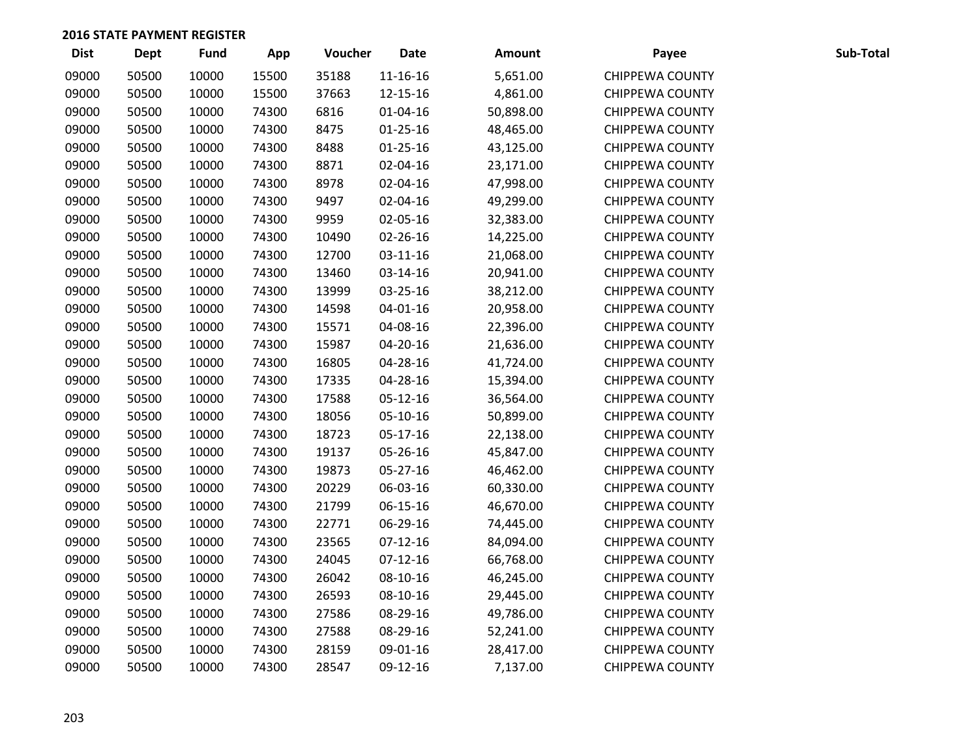| <b>Dist</b> | <b>Dept</b> | Fund  | App   | Voucher | <b>Date</b>    | <b>Amount</b> | Payee                  | Sub-Total |
|-------------|-------------|-------|-------|---------|----------------|---------------|------------------------|-----------|
| 09000       | 50500       | 10000 | 15500 | 35188   | $11 - 16 - 16$ | 5,651.00      | <b>CHIPPEWA COUNTY</b> |           |
| 09000       | 50500       | 10000 | 15500 | 37663   | 12-15-16       | 4,861.00      | <b>CHIPPEWA COUNTY</b> |           |
| 09000       | 50500       | 10000 | 74300 | 6816    | 01-04-16       | 50,898.00     | <b>CHIPPEWA COUNTY</b> |           |
| 09000       | 50500       | 10000 | 74300 | 8475    | $01 - 25 - 16$ | 48,465.00     | <b>CHIPPEWA COUNTY</b> |           |
| 09000       | 50500       | 10000 | 74300 | 8488    | $01 - 25 - 16$ | 43,125.00     | <b>CHIPPEWA COUNTY</b> |           |
| 09000       | 50500       | 10000 | 74300 | 8871    | 02-04-16       | 23,171.00     | <b>CHIPPEWA COUNTY</b> |           |
| 09000       | 50500       | 10000 | 74300 | 8978    | 02-04-16       | 47,998.00     | <b>CHIPPEWA COUNTY</b> |           |
| 09000       | 50500       | 10000 | 74300 | 9497    | 02-04-16       | 49,299.00     | <b>CHIPPEWA COUNTY</b> |           |
| 09000       | 50500       | 10000 | 74300 | 9959    | 02-05-16       | 32,383.00     | <b>CHIPPEWA COUNTY</b> |           |
| 09000       | 50500       | 10000 | 74300 | 10490   | 02-26-16       | 14,225.00     | <b>CHIPPEWA COUNTY</b> |           |
| 09000       | 50500       | 10000 | 74300 | 12700   | 03-11-16       | 21,068.00     | <b>CHIPPEWA COUNTY</b> |           |
| 09000       | 50500       | 10000 | 74300 | 13460   | 03-14-16       | 20,941.00     | <b>CHIPPEWA COUNTY</b> |           |
| 09000       | 50500       | 10000 | 74300 | 13999   | 03-25-16       | 38,212.00     | <b>CHIPPEWA COUNTY</b> |           |
| 09000       | 50500       | 10000 | 74300 | 14598   | 04-01-16       | 20,958.00     | <b>CHIPPEWA COUNTY</b> |           |
| 09000       | 50500       | 10000 | 74300 | 15571   | 04-08-16       | 22,396.00     | <b>CHIPPEWA COUNTY</b> |           |
| 09000       | 50500       | 10000 | 74300 | 15987   | 04-20-16       | 21,636.00     | <b>CHIPPEWA COUNTY</b> |           |
| 09000       | 50500       | 10000 | 74300 | 16805   | 04-28-16       | 41,724.00     | <b>CHIPPEWA COUNTY</b> |           |
| 09000       | 50500       | 10000 | 74300 | 17335   | 04-28-16       | 15,394.00     | <b>CHIPPEWA COUNTY</b> |           |
| 09000       | 50500       | 10000 | 74300 | 17588   | 05-12-16       | 36,564.00     | <b>CHIPPEWA COUNTY</b> |           |
| 09000       | 50500       | 10000 | 74300 | 18056   | 05-10-16       | 50,899.00     | <b>CHIPPEWA COUNTY</b> |           |
| 09000       | 50500       | 10000 | 74300 | 18723   | 05-17-16       | 22,138.00     | <b>CHIPPEWA COUNTY</b> |           |
| 09000       | 50500       | 10000 | 74300 | 19137   | 05-26-16       | 45,847.00     | <b>CHIPPEWA COUNTY</b> |           |
| 09000       | 50500       | 10000 | 74300 | 19873   | 05-27-16       | 46,462.00     | <b>CHIPPEWA COUNTY</b> |           |
| 09000       | 50500       | 10000 | 74300 | 20229   | 06-03-16       | 60,330.00     | <b>CHIPPEWA COUNTY</b> |           |
| 09000       | 50500       | 10000 | 74300 | 21799   | 06-15-16       | 46,670.00     | <b>CHIPPEWA COUNTY</b> |           |
| 09000       | 50500       | 10000 | 74300 | 22771   | 06-29-16       | 74,445.00     | <b>CHIPPEWA COUNTY</b> |           |
| 09000       | 50500       | 10000 | 74300 | 23565   | $07-12-16$     | 84,094.00     | <b>CHIPPEWA COUNTY</b> |           |
| 09000       | 50500       | 10000 | 74300 | 24045   | $07-12-16$     | 66,768.00     | <b>CHIPPEWA COUNTY</b> |           |
| 09000       | 50500       | 10000 | 74300 | 26042   | 08-10-16       | 46,245.00     | <b>CHIPPEWA COUNTY</b> |           |
| 09000       | 50500       | 10000 | 74300 | 26593   | 08-10-16       | 29,445.00     | <b>CHIPPEWA COUNTY</b> |           |
| 09000       | 50500       | 10000 | 74300 | 27586   | 08-29-16       | 49,786.00     | <b>CHIPPEWA COUNTY</b> |           |
| 09000       | 50500       | 10000 | 74300 | 27588   | 08-29-16       | 52,241.00     | <b>CHIPPEWA COUNTY</b> |           |
| 09000       | 50500       | 10000 | 74300 | 28159   | 09-01-16       | 28,417.00     | <b>CHIPPEWA COUNTY</b> |           |
| 09000       | 50500       | 10000 | 74300 | 28547   | 09-12-16       | 7,137.00      | <b>CHIPPEWA COUNTY</b> |           |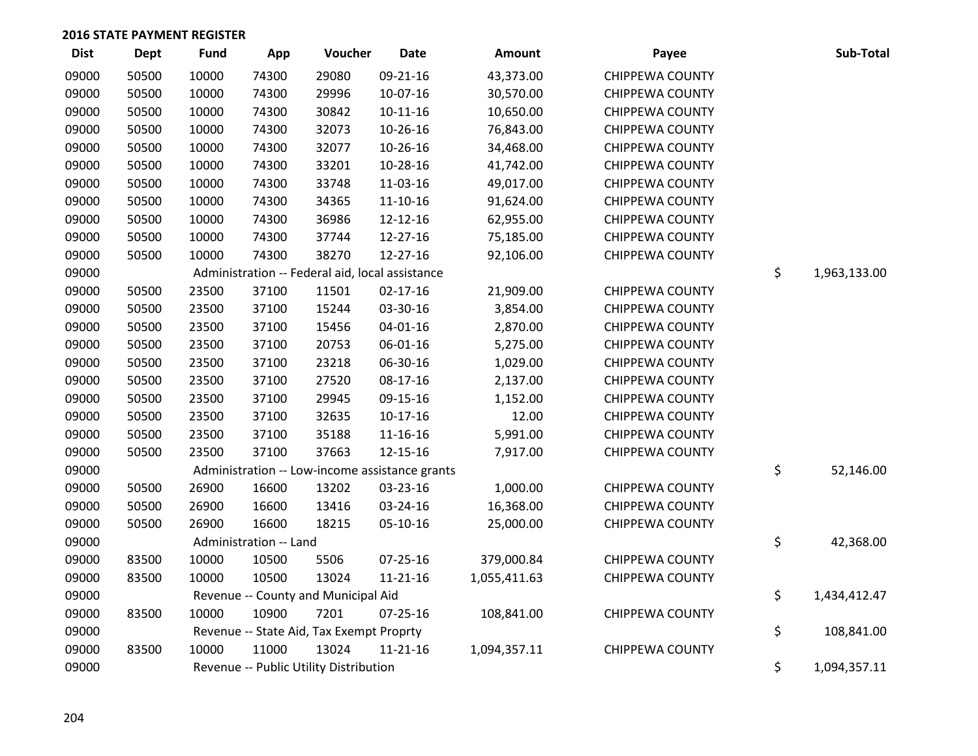| <b>Dist</b> | <b>Dept</b> | <b>Fund</b> | App                    | Voucher                                         | <b>Date</b>    | <b>Amount</b> | Payee                  | Sub-Total          |
|-------------|-------------|-------------|------------------------|-------------------------------------------------|----------------|---------------|------------------------|--------------------|
| 09000       | 50500       | 10000       | 74300                  | 29080                                           | 09-21-16       | 43,373.00     | <b>CHIPPEWA COUNTY</b> |                    |
| 09000       | 50500       | 10000       | 74300                  | 29996                                           | 10-07-16       | 30,570.00     | <b>CHIPPEWA COUNTY</b> |                    |
| 09000       | 50500       | 10000       | 74300                  | 30842                                           | $10 - 11 - 16$ | 10,650.00     | CHIPPEWA COUNTY        |                    |
| 09000       | 50500       | 10000       | 74300                  | 32073                                           | 10-26-16       | 76,843.00     | <b>CHIPPEWA COUNTY</b> |                    |
| 09000       | 50500       | 10000       | 74300                  | 32077                                           | 10-26-16       | 34,468.00     | <b>CHIPPEWA COUNTY</b> |                    |
| 09000       | 50500       | 10000       | 74300                  | 33201                                           | 10-28-16       | 41,742.00     | <b>CHIPPEWA COUNTY</b> |                    |
| 09000       | 50500       | 10000       | 74300                  | 33748                                           | 11-03-16       | 49,017.00     | <b>CHIPPEWA COUNTY</b> |                    |
| 09000       | 50500       | 10000       | 74300                  | 34365                                           | $11 - 10 - 16$ | 91,624.00     | <b>CHIPPEWA COUNTY</b> |                    |
| 09000       | 50500       | 10000       | 74300                  | 36986                                           | 12-12-16       | 62,955.00     | <b>CHIPPEWA COUNTY</b> |                    |
| 09000       | 50500       | 10000       | 74300                  | 37744                                           | 12-27-16       | 75,185.00     | <b>CHIPPEWA COUNTY</b> |                    |
| 09000       | 50500       | 10000       | 74300                  | 38270                                           | 12-27-16       | 92,106.00     | <b>CHIPPEWA COUNTY</b> |                    |
| 09000       |             |             |                        | Administration -- Federal aid, local assistance |                |               |                        | \$<br>1,963,133.00 |
| 09000       | 50500       | 23500       | 37100                  | 11501                                           | $02 - 17 - 16$ | 21,909.00     | <b>CHIPPEWA COUNTY</b> |                    |
| 09000       | 50500       | 23500       | 37100                  | 15244                                           | 03-30-16       | 3,854.00      | <b>CHIPPEWA COUNTY</b> |                    |
| 09000       | 50500       | 23500       | 37100                  | 15456                                           | $04 - 01 - 16$ | 2,870.00      | <b>CHIPPEWA COUNTY</b> |                    |
| 09000       | 50500       | 23500       | 37100                  | 20753                                           | 06-01-16       | 5,275.00      | <b>CHIPPEWA COUNTY</b> |                    |
| 09000       | 50500       | 23500       | 37100                  | 23218                                           | 06-30-16       | 1,029.00      | <b>CHIPPEWA COUNTY</b> |                    |
| 09000       | 50500       | 23500       | 37100                  | 27520                                           | 08-17-16       | 2,137.00      | <b>CHIPPEWA COUNTY</b> |                    |
| 09000       | 50500       | 23500       | 37100                  | 29945                                           | 09-15-16       | 1,152.00      | <b>CHIPPEWA COUNTY</b> |                    |
| 09000       | 50500       | 23500       | 37100                  | 32635                                           | $10-17-16$     | 12.00         | <b>CHIPPEWA COUNTY</b> |                    |
| 09000       | 50500       | 23500       | 37100                  | 35188                                           | 11-16-16       | 5,991.00      | <b>CHIPPEWA COUNTY</b> |                    |
| 09000       | 50500       | 23500       | 37100                  | 37663                                           | 12-15-16       | 7,917.00      | <b>CHIPPEWA COUNTY</b> |                    |
| 09000       |             |             |                        | Administration -- Low-income assistance grants  |                |               |                        | \$<br>52,146.00    |
| 09000       | 50500       | 26900       | 16600                  | 13202                                           | 03-23-16       | 1,000.00      | <b>CHIPPEWA COUNTY</b> |                    |
| 09000       | 50500       | 26900       | 16600                  | 13416                                           | 03-24-16       | 16,368.00     | <b>CHIPPEWA COUNTY</b> |                    |
| 09000       | 50500       | 26900       | 16600                  | 18215                                           | 05-10-16       | 25,000.00     | <b>CHIPPEWA COUNTY</b> |                    |
| 09000       |             |             | Administration -- Land |                                                 |                |               |                        | \$<br>42,368.00    |
| 09000       | 83500       | 10000       | 10500                  | 5506                                            | 07-25-16       | 379,000.84    | <b>CHIPPEWA COUNTY</b> |                    |
| 09000       | 83500       | 10000       | 10500                  | 13024                                           | $11 - 21 - 16$ | 1,055,411.63  | <b>CHIPPEWA COUNTY</b> |                    |
| 09000       |             |             |                        | Revenue -- County and Municipal Aid             |                |               |                        | \$<br>1,434,412.47 |
| 09000       | 83500       | 10000       | 10900                  | 7201                                            | 07-25-16       | 108,841.00    | <b>CHIPPEWA COUNTY</b> |                    |
| 09000       |             |             |                        | Revenue -- State Aid, Tax Exempt Proprty        |                |               |                        | \$<br>108,841.00   |
| 09000       | 83500       | 10000       | 11000                  | 13024                                           | $11 - 21 - 16$ | 1,094,357.11  | <b>CHIPPEWA COUNTY</b> |                    |
| 09000       |             |             |                        | Revenue -- Public Utility Distribution          |                |               |                        | \$<br>1,094,357.11 |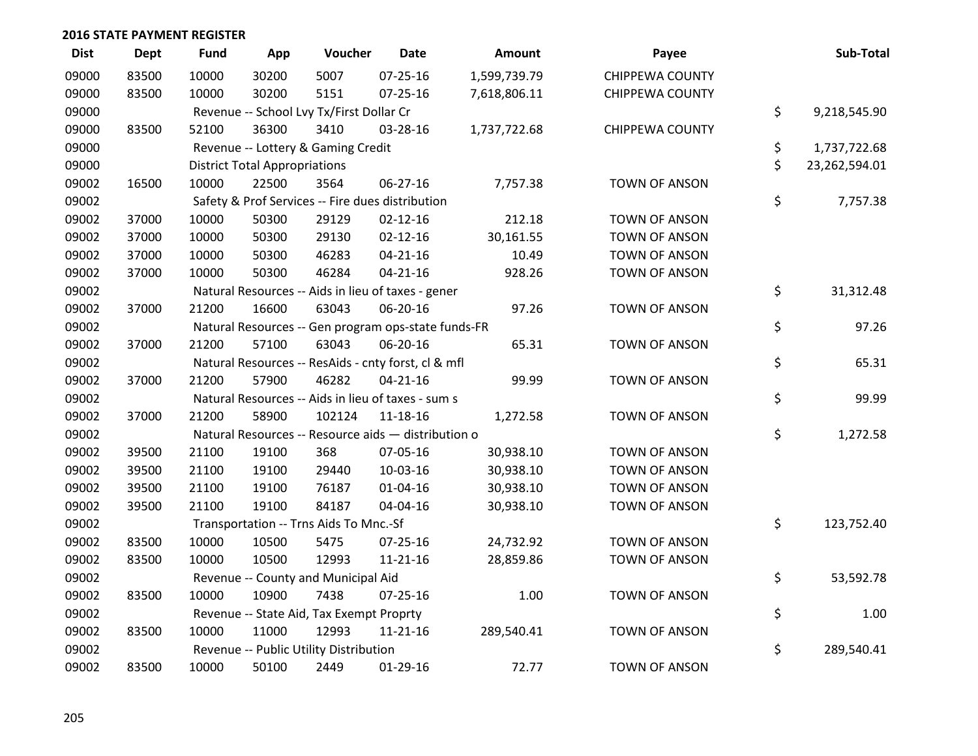| <b>Dist</b> | <b>Dept</b> | <b>Fund</b> | App                                  | Voucher                                             | <b>Date</b>    | Amount       | Payee                  | Sub-Total           |
|-------------|-------------|-------------|--------------------------------------|-----------------------------------------------------|----------------|--------------|------------------------|---------------------|
| 09000       | 83500       | 10000       | 30200                                | 5007                                                | $07 - 25 - 16$ | 1,599,739.79 | <b>CHIPPEWA COUNTY</b> |                     |
| 09000       | 83500       | 10000       | 30200                                | 5151                                                | $07 - 25 - 16$ | 7,618,806.11 | <b>CHIPPEWA COUNTY</b> |                     |
| 09000       |             |             |                                      | Revenue -- School Lvy Tx/First Dollar Cr            |                |              |                        | \$<br>9,218,545.90  |
| 09000       | 83500       | 52100       | 36300                                | 3410                                                | 03-28-16       | 1,737,722.68 | <b>CHIPPEWA COUNTY</b> |                     |
| 09000       |             |             |                                      | Revenue -- Lottery & Gaming Credit                  |                |              |                        | \$<br>1,737,722.68  |
| 09000       |             |             | <b>District Total Appropriations</b> |                                                     |                |              |                        | \$<br>23,262,594.01 |
| 09002       | 16500       | 10000       | 22500                                | 3564                                                | 06-27-16       | 7,757.38     | <b>TOWN OF ANSON</b>   |                     |
| 09002       |             |             |                                      | Safety & Prof Services -- Fire dues distribution    |                |              |                        | \$<br>7,757.38      |
| 09002       | 37000       | 10000       | 50300                                | 29129                                               | $02 - 12 - 16$ | 212.18       | <b>TOWN OF ANSON</b>   |                     |
| 09002       | 37000       | 10000       | 50300                                | 29130                                               | $02 - 12 - 16$ | 30,161.55    | <b>TOWN OF ANSON</b>   |                     |
| 09002       | 37000       | 10000       | 50300                                | 46283                                               | $04 - 21 - 16$ | 10.49        | <b>TOWN OF ANSON</b>   |                     |
| 09002       | 37000       | 10000       | 50300                                | 46284                                               | $04 - 21 - 16$ | 928.26       | <b>TOWN OF ANSON</b>   |                     |
| 09002       |             |             |                                      | Natural Resources -- Aids in lieu of taxes - gener  |                |              |                        | \$<br>31,312.48     |
| 09002       | 37000       | 21200       | 16600                                | 63043                                               | 06-20-16       | 97.26        | <b>TOWN OF ANSON</b>   |                     |
| 09002       |             |             |                                      | Natural Resources -- Gen program ops-state funds-FR |                |              |                        | \$<br>97.26         |
| 09002       | 37000       | 21200       | 57100                                | 63043                                               | 06-20-16       | 65.31        | <b>TOWN OF ANSON</b>   |                     |
| 09002       |             |             |                                      | Natural Resources -- ResAids - cnty forst, cl & mfl |                |              |                        | \$<br>65.31         |
| 09002       | 37000       | 21200       | 57900                                | 46282                                               | $04 - 21 - 16$ | 99.99        | <b>TOWN OF ANSON</b>   |                     |
| 09002       |             |             |                                      | Natural Resources -- Aids in lieu of taxes - sum s  |                |              |                        | \$<br>99.99         |
| 09002       | 37000       | 21200       | 58900                                | 102124                                              | 11-18-16       | 1,272.58     | <b>TOWN OF ANSON</b>   |                     |
| 09002       |             |             |                                      | Natural Resources -- Resource aids - distribution o |                |              |                        | \$<br>1,272.58      |
| 09002       | 39500       | 21100       | 19100                                | 368                                                 | 07-05-16       | 30,938.10    | <b>TOWN OF ANSON</b>   |                     |
| 09002       | 39500       | 21100       | 19100                                | 29440                                               | 10-03-16       | 30,938.10    | <b>TOWN OF ANSON</b>   |                     |
| 09002       | 39500       | 21100       | 19100                                | 76187                                               | $01 - 04 - 16$ | 30,938.10    | <b>TOWN OF ANSON</b>   |                     |
| 09002       | 39500       | 21100       | 19100                                | 84187                                               | 04-04-16       | 30,938.10    | <b>TOWN OF ANSON</b>   |                     |
| 09002       |             |             |                                      | Transportation -- Trns Aids To Mnc.-Sf              |                |              |                        | \$<br>123,752.40    |
| 09002       | 83500       | 10000       | 10500                                | 5475                                                | 07-25-16       | 24,732.92    | <b>TOWN OF ANSON</b>   |                     |
| 09002       | 83500       | 10000       | 10500                                | 12993                                               | $11 - 21 - 16$ | 28,859.86    | <b>TOWN OF ANSON</b>   |                     |
| 09002       |             |             |                                      | Revenue -- County and Municipal Aid                 |                |              |                        | \$<br>53,592.78     |
| 09002       | 83500       | 10000       | 10900                                | 7438                                                | $07 - 25 - 16$ | 1.00         | <b>TOWN OF ANSON</b>   |                     |
| 09002       |             |             |                                      | Revenue -- State Aid, Tax Exempt Proprty            |                |              |                        | \$<br>1.00          |
| 09002       | 83500       | 10000       | 11000                                | 12993                                               | $11 - 21 - 16$ | 289,540.41   | <b>TOWN OF ANSON</b>   |                     |
| 09002       |             |             |                                      | Revenue -- Public Utility Distribution              |                |              |                        | \$<br>289,540.41    |
| 09002       | 83500       | 10000       | 50100                                | 2449                                                | 01-29-16       | 72.77        | <b>TOWN OF ANSON</b>   |                     |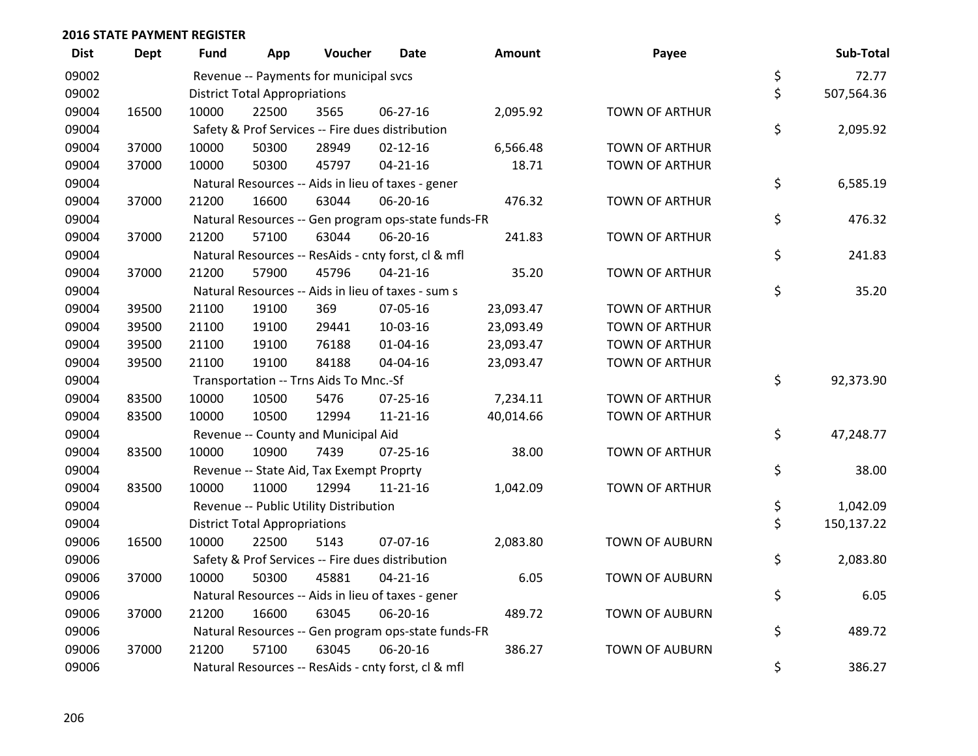| <b>Dist</b> | <b>Dept</b> | Fund  | App                                  | Voucher                                  | Date                                                | <b>Amount</b> | Payee                 | Sub-Total        |
|-------------|-------------|-------|--------------------------------------|------------------------------------------|-----------------------------------------------------|---------------|-----------------------|------------------|
| 09002       |             |       |                                      | Revenue -- Payments for municipal svcs   |                                                     |               |                       | \$<br>72.77      |
| 09002       |             |       | <b>District Total Appropriations</b> |                                          |                                                     |               |                       | \$<br>507,564.36 |
| 09004       | 16500       | 10000 | 22500                                | 3565                                     | 06-27-16                                            | 2,095.92      | <b>TOWN OF ARTHUR</b> |                  |
| 09004       |             |       |                                      |                                          | Safety & Prof Services -- Fire dues distribution    |               |                       | \$<br>2,095.92   |
| 09004       | 37000       | 10000 | 50300                                | 28949                                    | $02 - 12 - 16$                                      | 6,566.48      | <b>TOWN OF ARTHUR</b> |                  |
| 09004       | 37000       | 10000 | 50300                                | 45797                                    | $04 - 21 - 16$                                      | 18.71         | <b>TOWN OF ARTHUR</b> |                  |
| 09004       |             |       |                                      |                                          | Natural Resources -- Aids in lieu of taxes - gener  |               |                       | \$<br>6,585.19   |
| 09004       | 37000       | 21200 | 16600                                | 63044                                    | 06-20-16                                            | 476.32        | <b>TOWN OF ARTHUR</b> |                  |
| 09004       |             |       |                                      |                                          | Natural Resources -- Gen program ops-state funds-FR |               |                       | \$<br>476.32     |
| 09004       | 37000       | 21200 | 57100                                | 63044                                    | 06-20-16                                            | 241.83        | TOWN OF ARTHUR        |                  |
| 09004       |             |       |                                      |                                          | Natural Resources -- ResAids - cnty forst, cl & mfl |               |                       | \$<br>241.83     |
| 09004       | 37000       | 21200 | 57900                                | 45796                                    | $04 - 21 - 16$                                      | 35.20         | <b>TOWN OF ARTHUR</b> |                  |
| 09004       |             |       |                                      |                                          | Natural Resources -- Aids in lieu of taxes - sum s  |               |                       | \$<br>35.20      |
| 09004       | 39500       | 21100 | 19100                                | 369                                      | 07-05-16                                            | 23,093.47     | <b>TOWN OF ARTHUR</b> |                  |
| 09004       | 39500       | 21100 | 19100                                | 29441                                    | 10-03-16                                            | 23,093.49     | <b>TOWN OF ARTHUR</b> |                  |
| 09004       | 39500       | 21100 | 19100                                | 76188                                    | $01 - 04 - 16$                                      | 23,093.47     | <b>TOWN OF ARTHUR</b> |                  |
| 09004       | 39500       | 21100 | 19100                                | 84188                                    | 04-04-16                                            | 23,093.47     | <b>TOWN OF ARTHUR</b> |                  |
| 09004       |             |       |                                      | Transportation -- Trns Aids To Mnc.-Sf   |                                                     |               |                       | \$<br>92,373.90  |
| 09004       | 83500       | 10000 | 10500                                | 5476                                     | 07-25-16                                            | 7,234.11      | <b>TOWN OF ARTHUR</b> |                  |
| 09004       | 83500       | 10000 | 10500                                | 12994                                    | $11 - 21 - 16$                                      | 40,014.66     | <b>TOWN OF ARTHUR</b> |                  |
| 09004       |             |       |                                      | Revenue -- County and Municipal Aid      |                                                     |               |                       | \$<br>47,248.77  |
| 09004       | 83500       | 10000 | 10900                                | 7439                                     | $07 - 25 - 16$                                      | 38.00         | <b>TOWN OF ARTHUR</b> |                  |
| 09004       |             |       |                                      | Revenue -- State Aid, Tax Exempt Proprty |                                                     |               |                       | \$<br>38.00      |
| 09004       | 83500       | 10000 | 11000                                | 12994                                    | $11 - 21 - 16$                                      | 1,042.09      | <b>TOWN OF ARTHUR</b> |                  |
| 09004       |             |       |                                      | Revenue -- Public Utility Distribution   |                                                     |               |                       | \$<br>1,042.09   |
| 09004       |             |       | <b>District Total Appropriations</b> |                                          |                                                     |               |                       | \$<br>150,137.22 |
| 09006       | 16500       | 10000 | 22500                                | 5143                                     | 07-07-16                                            | 2,083.80      | <b>TOWN OF AUBURN</b> |                  |
| 09006       |             |       |                                      |                                          | Safety & Prof Services -- Fire dues distribution    |               |                       | \$<br>2,083.80   |
| 09006       | 37000       | 10000 | 50300                                | 45881                                    | $04 - 21 - 16$                                      | 6.05          | <b>TOWN OF AUBURN</b> |                  |
| 09006       |             |       |                                      |                                          | Natural Resources -- Aids in lieu of taxes - gener  |               |                       | \$<br>6.05       |
| 09006       | 37000       | 21200 | 16600                                | 63045                                    | 06-20-16                                            | 489.72        | <b>TOWN OF AUBURN</b> |                  |
| 09006       |             |       |                                      |                                          | Natural Resources -- Gen program ops-state funds-FR |               |                       | \$<br>489.72     |
| 09006       | 37000       | 21200 | 57100                                | 63045                                    | 06-20-16                                            | 386.27        | <b>TOWN OF AUBURN</b> |                  |
| 09006       |             |       |                                      |                                          | Natural Resources -- ResAids - cnty forst, cl & mfl |               |                       | \$<br>386.27     |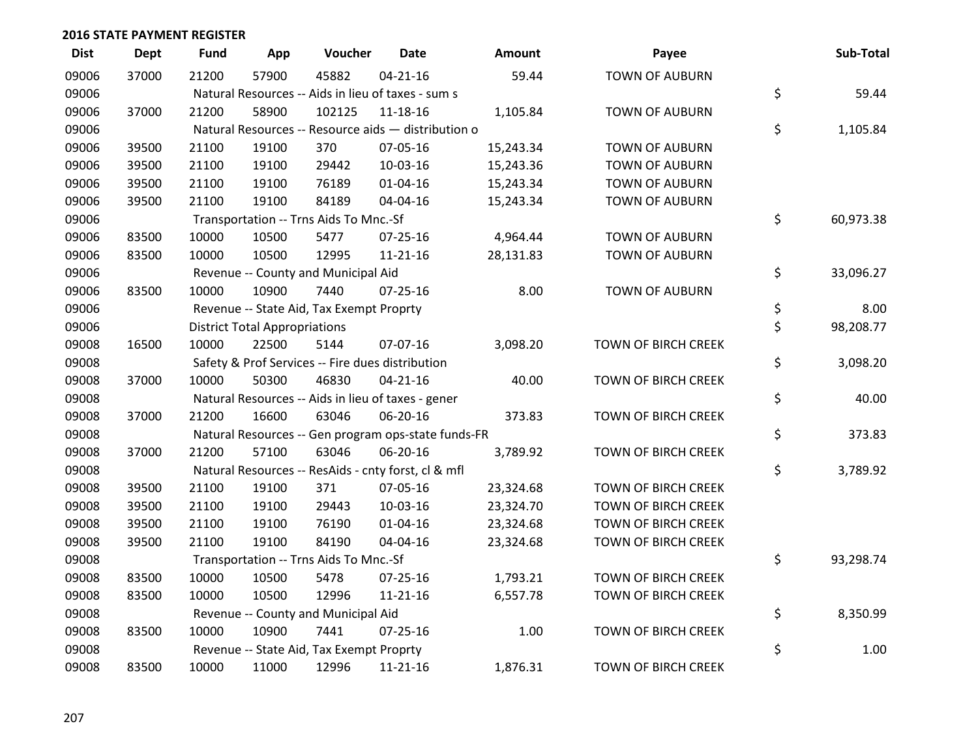| <b>Dist</b> | <b>Dept</b> | <b>Fund</b> | App                                  | Voucher                                             | <b>Date</b>    | Amount    | Payee                      | Sub-Total       |
|-------------|-------------|-------------|--------------------------------------|-----------------------------------------------------|----------------|-----------|----------------------------|-----------------|
| 09006       | 37000       | 21200       | 57900                                | 45882                                               | $04 - 21 - 16$ | 59.44     | <b>TOWN OF AUBURN</b>      |                 |
| 09006       |             |             |                                      | Natural Resources -- Aids in lieu of taxes - sum s  |                |           |                            | \$<br>59.44     |
| 09006       | 37000       | 21200       | 58900                                | 102125                                              | $11 - 18 - 16$ | 1,105.84  | <b>TOWN OF AUBURN</b>      |                 |
| 09006       |             |             |                                      | Natural Resources -- Resource aids - distribution o |                |           |                            | \$<br>1,105.84  |
| 09006       | 39500       | 21100       | 19100                                | 370                                                 | 07-05-16       | 15,243.34 | <b>TOWN OF AUBURN</b>      |                 |
| 09006       | 39500       | 21100       | 19100                                | 29442                                               | 10-03-16       | 15,243.36 | <b>TOWN OF AUBURN</b>      |                 |
| 09006       | 39500       | 21100       | 19100                                | 76189                                               | $01 - 04 - 16$ | 15,243.34 | <b>TOWN OF AUBURN</b>      |                 |
| 09006       | 39500       | 21100       | 19100                                | 84189                                               | 04-04-16       | 15,243.34 | <b>TOWN OF AUBURN</b>      |                 |
| 09006       |             |             |                                      | Transportation -- Trns Aids To Mnc.-Sf              |                |           |                            | \$<br>60,973.38 |
| 09006       | 83500       | 10000       | 10500                                | 5477                                                | 07-25-16       | 4,964.44  | <b>TOWN OF AUBURN</b>      |                 |
| 09006       | 83500       | 10000       | 10500                                | 12995                                               | $11 - 21 - 16$ | 28,131.83 | <b>TOWN OF AUBURN</b>      |                 |
| 09006       |             |             |                                      | Revenue -- County and Municipal Aid                 |                |           |                            | \$<br>33,096.27 |
| 09006       | 83500       | 10000       | 10900                                | 7440                                                | $07 - 25 - 16$ | 8.00      | <b>TOWN OF AUBURN</b>      |                 |
| 09006       |             |             |                                      | Revenue -- State Aid, Tax Exempt Proprty            |                |           |                            | \$<br>8.00      |
| 09006       |             |             | <b>District Total Appropriations</b> |                                                     |                |           |                            | \$<br>98,208.77 |
| 09008       | 16500       | 10000       | 22500                                | 5144                                                | 07-07-16       | 3,098.20  | TOWN OF BIRCH CREEK        |                 |
| 09008       |             |             |                                      | Safety & Prof Services -- Fire dues distribution    |                |           |                            | \$<br>3,098.20  |
| 09008       | 37000       | 10000       | 50300                                | 46830                                               | $04 - 21 - 16$ | 40.00     | TOWN OF BIRCH CREEK        |                 |
| 09008       |             |             |                                      | Natural Resources -- Aids in lieu of taxes - gener  |                |           |                            | \$<br>40.00     |
| 09008       | 37000       | 21200       | 16600                                | 63046                                               | 06-20-16       | 373.83    | <b>TOWN OF BIRCH CREEK</b> |                 |
| 09008       |             |             |                                      | Natural Resources -- Gen program ops-state funds-FR |                |           |                            | \$<br>373.83    |
| 09008       | 37000       | 21200       | 57100                                | 63046                                               | 06-20-16       | 3,789.92  | TOWN OF BIRCH CREEK        |                 |
| 09008       |             |             |                                      | Natural Resources -- ResAids - cnty forst, cl & mfl |                |           |                            | \$<br>3,789.92  |
| 09008       | 39500       | 21100       | 19100                                | 371                                                 | 07-05-16       | 23,324.68 | TOWN OF BIRCH CREEK        |                 |
| 09008       | 39500       | 21100       | 19100                                | 29443                                               | 10-03-16       | 23,324.70 | TOWN OF BIRCH CREEK        |                 |
| 09008       | 39500       | 21100       | 19100                                | 76190                                               | 01-04-16       | 23,324.68 | TOWN OF BIRCH CREEK        |                 |
| 09008       | 39500       | 21100       | 19100                                | 84190                                               | 04-04-16       | 23,324.68 | TOWN OF BIRCH CREEK        |                 |
| 09008       |             |             |                                      | Transportation -- Trns Aids To Mnc.-Sf              |                |           |                            | \$<br>93,298.74 |
| 09008       | 83500       | 10000       | 10500                                | 5478                                                | $07 - 25 - 16$ | 1,793.21  | <b>TOWN OF BIRCH CREEK</b> |                 |
| 09008       | 83500       | 10000       | 10500                                | 12996                                               | $11 - 21 - 16$ | 6,557.78  | TOWN OF BIRCH CREEK        |                 |
| 09008       |             |             |                                      | Revenue -- County and Municipal Aid                 |                |           |                            | \$<br>8,350.99  |
| 09008       | 83500       | 10000       | 10900                                | 7441                                                | $07 - 25 - 16$ | 1.00      | <b>TOWN OF BIRCH CREEK</b> |                 |
| 09008       |             |             |                                      | Revenue -- State Aid, Tax Exempt Proprty            |                |           |                            | \$<br>1.00      |
| 09008       | 83500       | 10000       | 11000                                | 12996                                               | $11 - 21 - 16$ | 1,876.31  | TOWN OF BIRCH CREEK        |                 |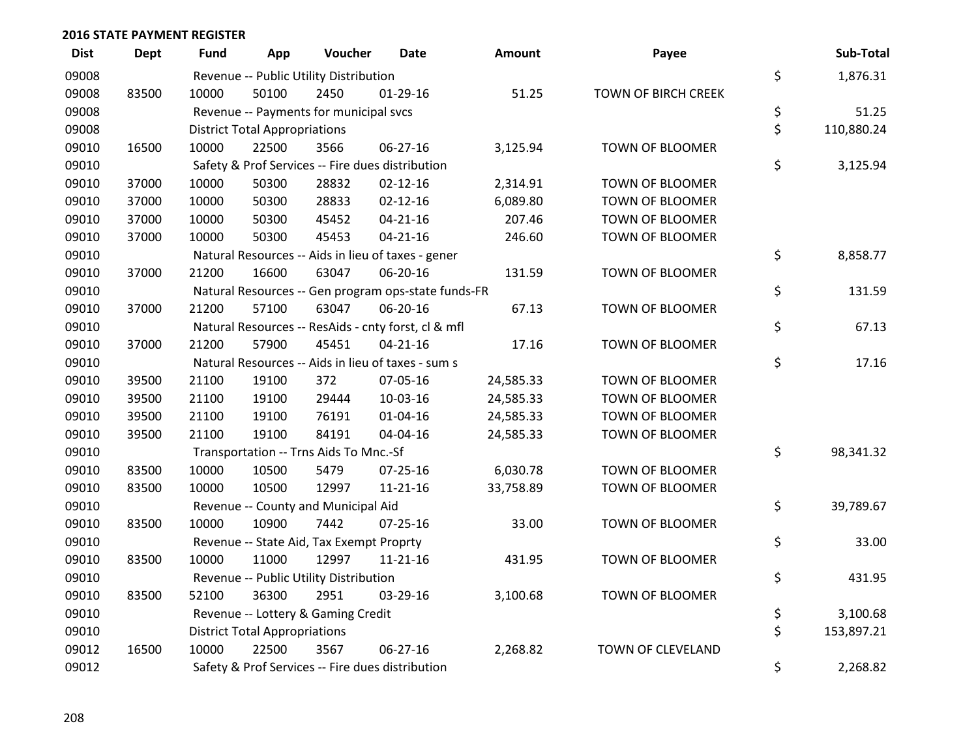| <b>Dist</b> | <b>Dept</b> | Fund  | App                                  | Voucher                                             | <b>Date</b>    | <b>Amount</b> | Payee                  | Sub-Total        |
|-------------|-------------|-------|--------------------------------------|-----------------------------------------------------|----------------|---------------|------------------------|------------------|
| 09008       |             |       |                                      | Revenue -- Public Utility Distribution              |                |               |                        | \$<br>1,876.31   |
| 09008       | 83500       | 10000 | 50100                                | 2450                                                | $01-29-16$     | 51.25         | TOWN OF BIRCH CREEK    |                  |
| 09008       |             |       |                                      | Revenue -- Payments for municipal svcs              |                |               |                        | \$<br>51.25      |
| 09008       |             |       | <b>District Total Appropriations</b> |                                                     |                |               |                        | \$<br>110,880.24 |
| 09010       | 16500       | 10000 | 22500                                | 3566                                                | 06-27-16       | 3,125.94      | TOWN OF BLOOMER        |                  |
| 09010       |             |       |                                      | Safety & Prof Services -- Fire dues distribution    |                |               |                        | \$<br>3,125.94   |
| 09010       | 37000       | 10000 | 50300                                | 28832                                               | $02 - 12 - 16$ | 2,314.91      | TOWN OF BLOOMER        |                  |
| 09010       | 37000       | 10000 | 50300                                | 28833                                               | $02 - 12 - 16$ | 6,089.80      | TOWN OF BLOOMER        |                  |
| 09010       | 37000       | 10000 | 50300                                | 45452                                               | $04 - 21 - 16$ | 207.46        | <b>TOWN OF BLOOMER</b> |                  |
| 09010       | 37000       | 10000 | 50300                                | 45453                                               | $04 - 21 - 16$ | 246.60        | TOWN OF BLOOMER        |                  |
| 09010       |             |       |                                      | Natural Resources -- Aids in lieu of taxes - gener  |                |               |                        | \$<br>8,858.77   |
| 09010       | 37000       | 21200 | 16600                                | 63047                                               | 06-20-16       | 131.59        | TOWN OF BLOOMER        |                  |
| 09010       |             |       |                                      | Natural Resources -- Gen program ops-state funds-FR |                |               |                        | \$<br>131.59     |
| 09010       | 37000       | 21200 | 57100                                | 63047                                               | 06-20-16       | 67.13         | TOWN OF BLOOMER        |                  |
| 09010       |             |       |                                      | Natural Resources -- ResAids - cnty forst, cl & mfl |                |               |                        | \$<br>67.13      |
| 09010       | 37000       | 21200 | 57900                                | 45451                                               | $04 - 21 - 16$ | 17.16         | <b>TOWN OF BLOOMER</b> |                  |
| 09010       |             |       |                                      | Natural Resources -- Aids in lieu of taxes - sum s  |                |               |                        | \$<br>17.16      |
| 09010       | 39500       | 21100 | 19100                                | 372                                                 | 07-05-16       | 24,585.33     | TOWN OF BLOOMER        |                  |
| 09010       | 39500       | 21100 | 19100                                | 29444                                               | 10-03-16       | 24,585.33     | TOWN OF BLOOMER        |                  |
| 09010       | 39500       | 21100 | 19100                                | 76191                                               | $01 - 04 - 16$ | 24,585.33     | <b>TOWN OF BLOOMER</b> |                  |
| 09010       | 39500       | 21100 | 19100                                | 84191                                               | 04-04-16       | 24,585.33     | <b>TOWN OF BLOOMER</b> |                  |
| 09010       |             |       |                                      | Transportation -- Trns Aids To Mnc.-Sf              |                |               |                        | \$<br>98,341.32  |
| 09010       | 83500       | 10000 | 10500                                | 5479                                                | $07 - 25 - 16$ | 6,030.78      | TOWN OF BLOOMER        |                  |
| 09010       | 83500       | 10000 | 10500                                | 12997                                               | $11 - 21 - 16$ | 33,758.89     | TOWN OF BLOOMER        |                  |
| 09010       |             |       |                                      | Revenue -- County and Municipal Aid                 |                |               |                        | \$<br>39,789.67  |
| 09010       | 83500       | 10000 | 10900                                | 7442                                                | $07 - 25 - 16$ | 33.00         | TOWN OF BLOOMER        |                  |
| 09010       |             |       |                                      | Revenue -- State Aid, Tax Exempt Proprty            |                |               |                        | \$<br>33.00      |
| 09010       | 83500       | 10000 | 11000                                | 12997                                               | $11 - 21 - 16$ | 431.95        | <b>TOWN OF BLOOMER</b> |                  |
| 09010       |             |       |                                      | Revenue -- Public Utility Distribution              |                |               |                        | \$<br>431.95     |
| 09010       | 83500       | 52100 | 36300                                | 2951                                                | 03-29-16       | 3,100.68      | TOWN OF BLOOMER        |                  |
| 09010       |             |       |                                      | Revenue -- Lottery & Gaming Credit                  |                |               |                        | \$<br>3,100.68   |
| 09010       |             |       | <b>District Total Appropriations</b> |                                                     |                |               |                        | \$<br>153,897.21 |
| 09012       | 16500       | 10000 | 22500                                | 3567                                                | 06-27-16       | 2,268.82      | TOWN OF CLEVELAND      |                  |
| 09012       |             |       |                                      | Safety & Prof Services -- Fire dues distribution    |                |               |                        | \$<br>2,268.82   |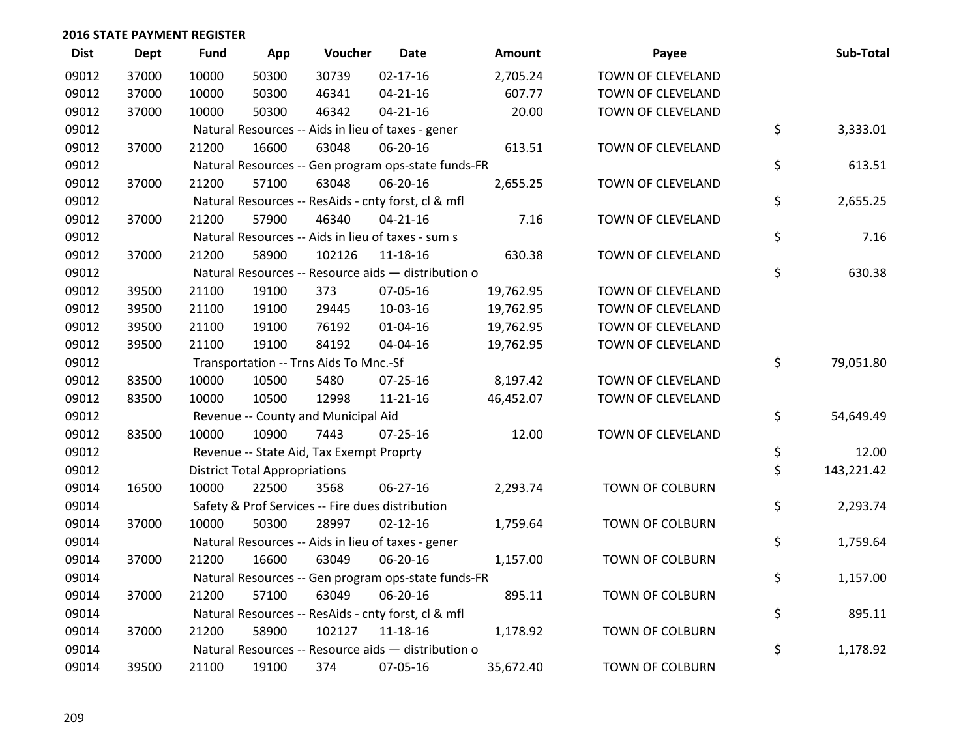| <b>Dist</b> | <b>Dept</b> | <b>Fund</b> | App                                  | Voucher                                             | <b>Date</b>    | <b>Amount</b> | Payee                    | Sub-Total        |
|-------------|-------------|-------------|--------------------------------------|-----------------------------------------------------|----------------|---------------|--------------------------|------------------|
| 09012       | 37000       | 10000       | 50300                                | 30739                                               | $02 - 17 - 16$ | 2,705.24      | TOWN OF CLEVELAND        |                  |
| 09012       | 37000       | 10000       | 50300                                | 46341                                               | $04 - 21 - 16$ | 607.77        | TOWN OF CLEVELAND        |                  |
| 09012       | 37000       | 10000       | 50300                                | 46342                                               | $04 - 21 - 16$ | 20.00         | TOWN OF CLEVELAND        |                  |
| 09012       |             |             |                                      | Natural Resources -- Aids in lieu of taxes - gener  |                |               |                          | \$<br>3,333.01   |
| 09012       | 37000       | 21200       | 16600                                | 63048                                               | 06-20-16       | 613.51        | TOWN OF CLEVELAND        |                  |
| 09012       |             |             |                                      | Natural Resources -- Gen program ops-state funds-FR |                |               |                          | \$<br>613.51     |
| 09012       | 37000       | 21200       | 57100                                | 63048                                               | 06-20-16       | 2,655.25      | TOWN OF CLEVELAND        |                  |
| 09012       |             |             |                                      | Natural Resources -- ResAids - cnty forst, cl & mfl |                |               |                          | \$<br>2,655.25   |
| 09012       | 37000       | 21200       | 57900                                | 46340                                               | $04 - 21 - 16$ | 7.16          | TOWN OF CLEVELAND        |                  |
| 09012       |             |             |                                      | Natural Resources -- Aids in lieu of taxes - sum s  |                |               |                          | \$<br>7.16       |
| 09012       | 37000       | 21200       | 58900                                | 102126                                              | 11-18-16       | 630.38        | TOWN OF CLEVELAND        |                  |
| 09012       |             |             |                                      | Natural Resources -- Resource aids - distribution o |                |               |                          | \$<br>630.38     |
| 09012       | 39500       | 21100       | 19100                                | 373                                                 | 07-05-16       | 19,762.95     | TOWN OF CLEVELAND        |                  |
| 09012       | 39500       | 21100       | 19100                                | 29445                                               | 10-03-16       | 19,762.95     | TOWN OF CLEVELAND        |                  |
| 09012       | 39500       | 21100       | 19100                                | 76192                                               | $01 - 04 - 16$ | 19,762.95     | TOWN OF CLEVELAND        |                  |
| 09012       | 39500       | 21100       | 19100                                | 84192                                               | 04-04-16       | 19,762.95     | TOWN OF CLEVELAND        |                  |
| 09012       |             |             |                                      | Transportation -- Trns Aids To Mnc.-Sf              |                |               |                          | \$<br>79,051.80  |
| 09012       | 83500       | 10000       | 10500                                | 5480                                                | 07-25-16       | 8,197.42      | TOWN OF CLEVELAND        |                  |
| 09012       | 83500       | 10000       | 10500                                | 12998                                               | $11 - 21 - 16$ | 46,452.07     | TOWN OF CLEVELAND        |                  |
| 09012       |             |             |                                      | Revenue -- County and Municipal Aid                 |                |               |                          | \$<br>54,649.49  |
| 09012       | 83500       | 10000       | 10900                                | 7443                                                | $07 - 25 - 16$ | 12.00         | <b>TOWN OF CLEVELAND</b> |                  |
| 09012       |             |             |                                      | Revenue -- State Aid, Tax Exempt Proprty            |                |               |                          | \$<br>12.00      |
| 09012       |             |             | <b>District Total Appropriations</b> |                                                     |                |               |                          | \$<br>143,221.42 |
| 09014       | 16500       | 10000       | 22500                                | 3568                                                | 06-27-16       | 2,293.74      | <b>TOWN OF COLBURN</b>   |                  |
| 09014       |             |             |                                      | Safety & Prof Services -- Fire dues distribution    |                |               |                          | \$<br>2,293.74   |
| 09014       | 37000       | 10000       | 50300                                | 28997                                               | $02 - 12 - 16$ | 1,759.64      | <b>TOWN OF COLBURN</b>   |                  |
| 09014       |             |             |                                      | Natural Resources -- Aids in lieu of taxes - gener  |                |               |                          | \$<br>1,759.64   |
| 09014       | 37000       | 21200       | 16600                                | 63049                                               | 06-20-16       | 1,157.00      | <b>TOWN OF COLBURN</b>   |                  |
| 09014       |             |             |                                      | Natural Resources -- Gen program ops-state funds-FR |                |               |                          | \$<br>1,157.00   |
| 09014       | 37000       | 21200       | 57100                                | 63049                                               | 06-20-16       | 895.11        | <b>TOWN OF COLBURN</b>   |                  |
| 09014       |             |             |                                      | Natural Resources -- ResAids - cnty forst, cl & mfl |                |               |                          | \$<br>895.11     |
| 09014       | 37000       | 21200       | 58900                                | 102127                                              | 11-18-16       | 1,178.92      | <b>TOWN OF COLBURN</b>   |                  |
| 09014       |             |             |                                      | Natural Resources -- Resource aids - distribution o |                |               |                          | \$<br>1,178.92   |
| 09014       | 39500       | 21100       | 19100                                | 374                                                 | 07-05-16       | 35,672.40     | <b>TOWN OF COLBURN</b>   |                  |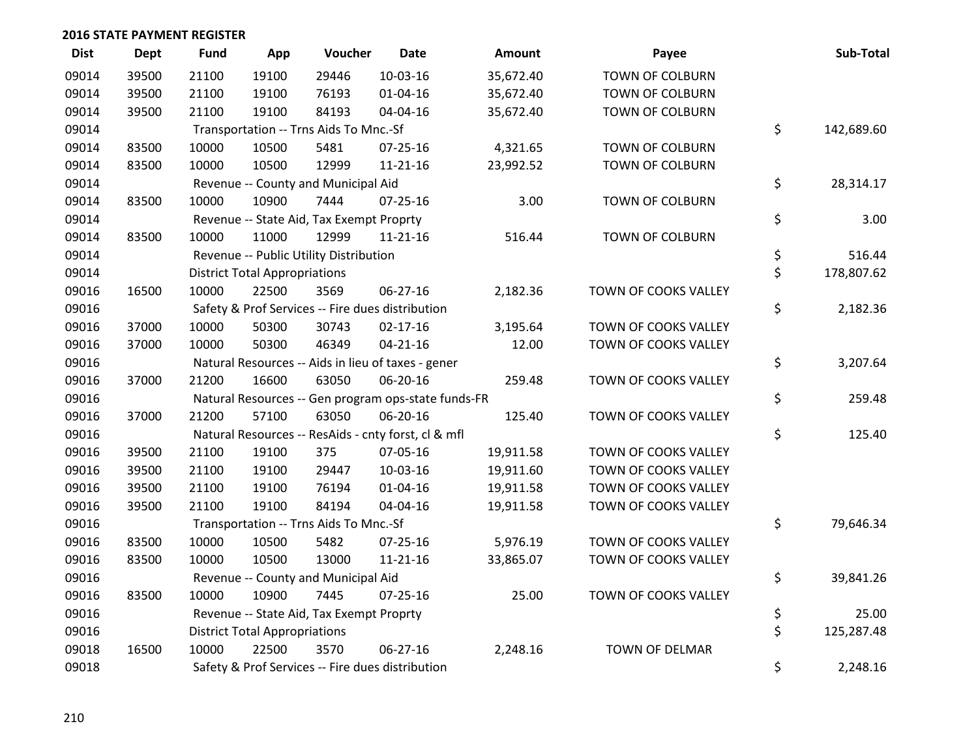| <b>Dist</b> | <b>Dept</b> | Fund  | App                                  | Voucher                                  | <b>Date</b>                                         | Amount    | Payee                  | Sub-Total        |
|-------------|-------------|-------|--------------------------------------|------------------------------------------|-----------------------------------------------------|-----------|------------------------|------------------|
| 09014       | 39500       | 21100 | 19100                                | 29446                                    | $10-03-16$                                          | 35,672.40 | <b>TOWN OF COLBURN</b> |                  |
| 09014       | 39500       | 21100 | 19100                                | 76193                                    | $01 - 04 - 16$                                      | 35,672.40 | TOWN OF COLBURN        |                  |
| 09014       | 39500       | 21100 | 19100                                | 84193                                    | 04-04-16                                            | 35,672.40 | <b>TOWN OF COLBURN</b> |                  |
| 09014       |             |       |                                      | Transportation -- Trns Aids To Mnc.-Sf   |                                                     |           |                        | \$<br>142,689.60 |
| 09014       | 83500       | 10000 | 10500                                | 5481                                     | $07 - 25 - 16$                                      | 4,321.65  | <b>TOWN OF COLBURN</b> |                  |
| 09014       | 83500       | 10000 | 10500                                | 12999                                    | $11 - 21 - 16$                                      | 23,992.52 | TOWN OF COLBURN        |                  |
| 09014       |             |       |                                      | Revenue -- County and Municipal Aid      |                                                     |           |                        | \$<br>28,314.17  |
| 09014       | 83500       | 10000 | 10900                                | 7444                                     | 07-25-16                                            | 3.00      | TOWN OF COLBURN        |                  |
| 09014       |             |       |                                      | Revenue -- State Aid, Tax Exempt Proprty |                                                     |           |                        | \$<br>3.00       |
| 09014       | 83500       | 10000 | 11000                                | 12999                                    | $11 - 21 - 16$                                      | 516.44    | <b>TOWN OF COLBURN</b> |                  |
| 09014       |             |       |                                      | Revenue -- Public Utility Distribution   |                                                     |           |                        | \$<br>516.44     |
| 09014       |             |       | <b>District Total Appropriations</b> |                                          |                                                     |           |                        | \$<br>178,807.62 |
| 09016       | 16500       | 10000 | 22500                                | 3569                                     | 06-27-16                                            | 2,182.36  | TOWN OF COOKS VALLEY   |                  |
| 09016       |             |       |                                      |                                          | Safety & Prof Services -- Fire dues distribution    |           |                        | \$<br>2,182.36   |
| 09016       | 37000       | 10000 | 50300                                | 30743                                    | $02 - 17 - 16$                                      | 3,195.64  | TOWN OF COOKS VALLEY   |                  |
| 09016       | 37000       | 10000 | 50300                                | 46349                                    | $04 - 21 - 16$                                      | 12.00     | TOWN OF COOKS VALLEY   |                  |
| 09016       |             |       |                                      |                                          | Natural Resources -- Aids in lieu of taxes - gener  |           |                        | \$<br>3,207.64   |
| 09016       | 37000       | 21200 | 16600                                | 63050                                    | 06-20-16                                            | 259.48    | TOWN OF COOKS VALLEY   |                  |
| 09016       |             |       |                                      |                                          | Natural Resources -- Gen program ops-state funds-FR |           |                        | \$<br>259.48     |
| 09016       | 37000       | 21200 | 57100                                | 63050                                    | 06-20-16                                            | 125.40    | TOWN OF COOKS VALLEY   |                  |
| 09016       |             |       |                                      |                                          | Natural Resources -- ResAids - cnty forst, cl & mfl |           |                        | \$<br>125.40     |
| 09016       | 39500       | 21100 | 19100                                | 375                                      | 07-05-16                                            | 19,911.58 | TOWN OF COOKS VALLEY   |                  |
| 09016       | 39500       | 21100 | 19100                                | 29447                                    | 10-03-16                                            | 19,911.60 | TOWN OF COOKS VALLEY   |                  |
| 09016       | 39500       | 21100 | 19100                                | 76194                                    | $01 - 04 - 16$                                      | 19,911.58 | TOWN OF COOKS VALLEY   |                  |
| 09016       | 39500       | 21100 | 19100                                | 84194                                    | 04-04-16                                            | 19,911.58 | TOWN OF COOKS VALLEY   |                  |
| 09016       |             |       |                                      | Transportation -- Trns Aids To Mnc.-Sf   |                                                     |           |                        | \$<br>79,646.34  |
| 09016       | 83500       | 10000 | 10500                                | 5482                                     | 07-25-16                                            | 5,976.19  | TOWN OF COOKS VALLEY   |                  |
| 09016       | 83500       | 10000 | 10500                                | 13000                                    | $11 - 21 - 16$                                      | 33,865.07 | TOWN OF COOKS VALLEY   |                  |
| 09016       |             |       |                                      | Revenue -- County and Municipal Aid      |                                                     |           |                        | \$<br>39,841.26  |
| 09016       | 83500       | 10000 | 10900                                | 7445                                     | $07 - 25 - 16$                                      | 25.00     | TOWN OF COOKS VALLEY   |                  |
| 09016       |             |       |                                      | Revenue -- State Aid, Tax Exempt Proprty |                                                     |           |                        | \$<br>25.00      |
| 09016       |             |       | <b>District Total Appropriations</b> |                                          |                                                     |           |                        | \$<br>125,287.48 |
| 09018       | 16500       | 10000 | 22500                                | 3570                                     | $06 - 27 - 16$                                      | 2,248.16  | <b>TOWN OF DELMAR</b>  |                  |
| 09018       |             |       |                                      |                                          | Safety & Prof Services -- Fire dues distribution    |           |                        | \$<br>2,248.16   |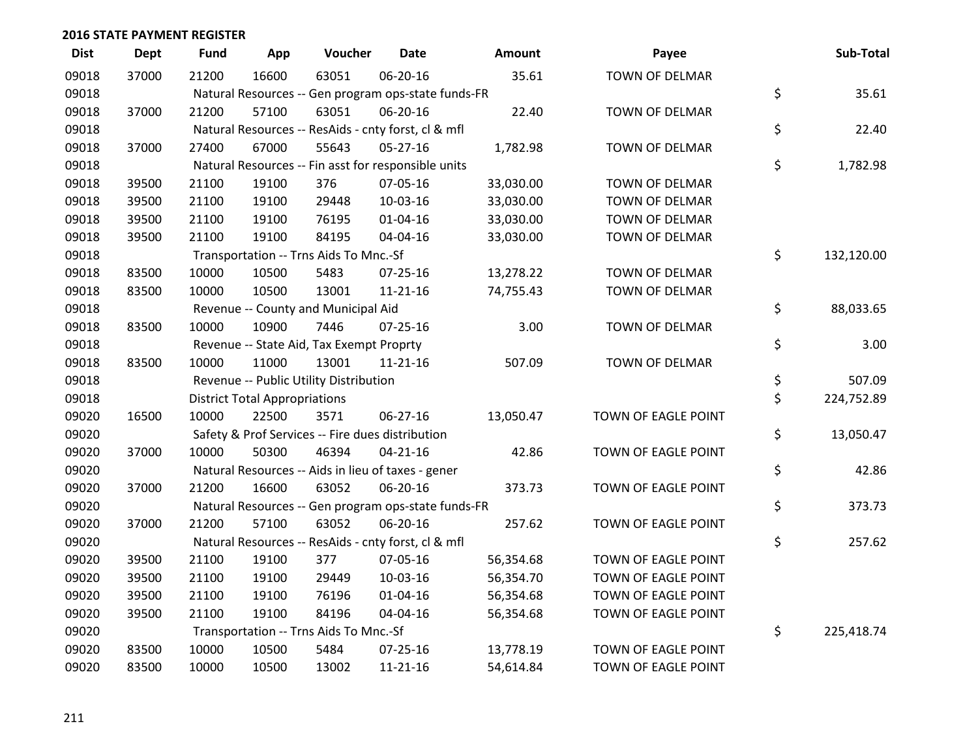| <b>Dist</b> | <b>Dept</b> | <b>Fund</b> | App                                  | Voucher                                             | <b>Date</b>    | Amount    | Payee                 | Sub-Total        |
|-------------|-------------|-------------|--------------------------------------|-----------------------------------------------------|----------------|-----------|-----------------------|------------------|
| 09018       | 37000       | 21200       | 16600                                | 63051                                               | 06-20-16       | 35.61     | <b>TOWN OF DELMAR</b> |                  |
| 09018       |             |             |                                      | Natural Resources -- Gen program ops-state funds-FR |                |           |                       | \$<br>35.61      |
| 09018       | 37000       | 21200       | 57100                                | 63051                                               | 06-20-16       | 22.40     | <b>TOWN OF DELMAR</b> |                  |
| 09018       |             |             |                                      | Natural Resources -- ResAids - cnty forst, cl & mfl |                |           |                       | \$<br>22.40      |
| 09018       | 37000       | 27400       | 67000                                | 55643                                               | $05 - 27 - 16$ | 1,782.98  | TOWN OF DELMAR        |                  |
| 09018       |             |             |                                      | Natural Resources -- Fin asst for responsible units |                |           |                       | \$<br>1,782.98   |
| 09018       | 39500       | 21100       | 19100                                | 376                                                 | 07-05-16       | 33,030.00 | TOWN OF DELMAR        |                  |
| 09018       | 39500       | 21100       | 19100                                | 29448                                               | $10-03-16$     | 33,030.00 | <b>TOWN OF DELMAR</b> |                  |
| 09018       | 39500       | 21100       | 19100                                | 76195                                               | $01 - 04 - 16$ | 33,030.00 | <b>TOWN OF DELMAR</b> |                  |
| 09018       | 39500       | 21100       | 19100                                | 84195                                               | 04-04-16       | 33,030.00 | TOWN OF DELMAR        |                  |
| 09018       |             |             |                                      | Transportation -- Trns Aids To Mnc.-Sf              |                |           |                       | \$<br>132,120.00 |
| 09018       | 83500       | 10000       | 10500                                | 5483                                                | $07 - 25 - 16$ | 13,278.22 | <b>TOWN OF DELMAR</b> |                  |
| 09018       | 83500       | 10000       | 10500                                | 13001                                               | $11 - 21 - 16$ | 74,755.43 | TOWN OF DELMAR        |                  |
| 09018       |             |             |                                      | Revenue -- County and Municipal Aid                 |                |           |                       | \$<br>88,033.65  |
| 09018       | 83500       | 10000       | 10900                                | 7446                                                | 07-25-16       | 3.00      | <b>TOWN OF DELMAR</b> |                  |
| 09018       |             |             |                                      | Revenue -- State Aid, Tax Exempt Proprty            |                |           |                       | \$<br>3.00       |
| 09018       | 83500       | 10000       | 11000                                | 13001                                               | $11 - 21 - 16$ | 507.09    | <b>TOWN OF DELMAR</b> |                  |
| 09018       |             |             |                                      | Revenue -- Public Utility Distribution              |                |           |                       | \$<br>507.09     |
| 09018       |             |             | <b>District Total Appropriations</b> |                                                     |                |           |                       | \$<br>224,752.89 |
| 09020       | 16500       | 10000       | 22500                                | 3571                                                | 06-27-16       | 13,050.47 | TOWN OF EAGLE POINT   |                  |
| 09020       |             |             |                                      | Safety & Prof Services -- Fire dues distribution    |                |           |                       | \$<br>13,050.47  |
| 09020       | 37000       | 10000       | 50300                                | 46394                                               | $04 - 21 - 16$ | 42.86     | TOWN OF EAGLE POINT   |                  |
| 09020       |             |             |                                      | Natural Resources -- Aids in lieu of taxes - gener  |                |           |                       | \$<br>42.86      |
| 09020       | 37000       | 21200       | 16600                                | 63052                                               | 06-20-16       | 373.73    | TOWN OF EAGLE POINT   |                  |
| 09020       |             |             |                                      | Natural Resources -- Gen program ops-state funds-FR |                |           |                       | \$<br>373.73     |
| 09020       | 37000       | 21200       | 57100                                | 63052                                               | 06-20-16       | 257.62    | TOWN OF EAGLE POINT   |                  |
| 09020       |             |             |                                      | Natural Resources -- ResAids - cnty forst, cl & mfl |                |           |                       | \$<br>257.62     |
| 09020       | 39500       | 21100       | 19100                                | 377                                                 | 07-05-16       | 56,354.68 | TOWN OF EAGLE POINT   |                  |
| 09020       | 39500       | 21100       | 19100                                | 29449                                               | 10-03-16       | 56,354.70 | TOWN OF EAGLE POINT   |                  |
| 09020       | 39500       | 21100       | 19100                                | 76196                                               | 01-04-16       | 56,354.68 | TOWN OF EAGLE POINT   |                  |
| 09020       | 39500       | 21100       | 19100                                | 84196                                               | 04-04-16       | 56,354.68 | TOWN OF EAGLE POINT   |                  |
| 09020       |             |             |                                      | Transportation -- Trns Aids To Mnc.-Sf              |                |           |                       | \$<br>225,418.74 |
| 09020       | 83500       | 10000       | 10500                                | 5484                                                | $07 - 25 - 16$ | 13,778.19 | TOWN OF EAGLE POINT   |                  |
| 09020       | 83500       | 10000       | 10500                                | 13002                                               | $11 - 21 - 16$ | 54,614.84 | TOWN OF EAGLE POINT   |                  |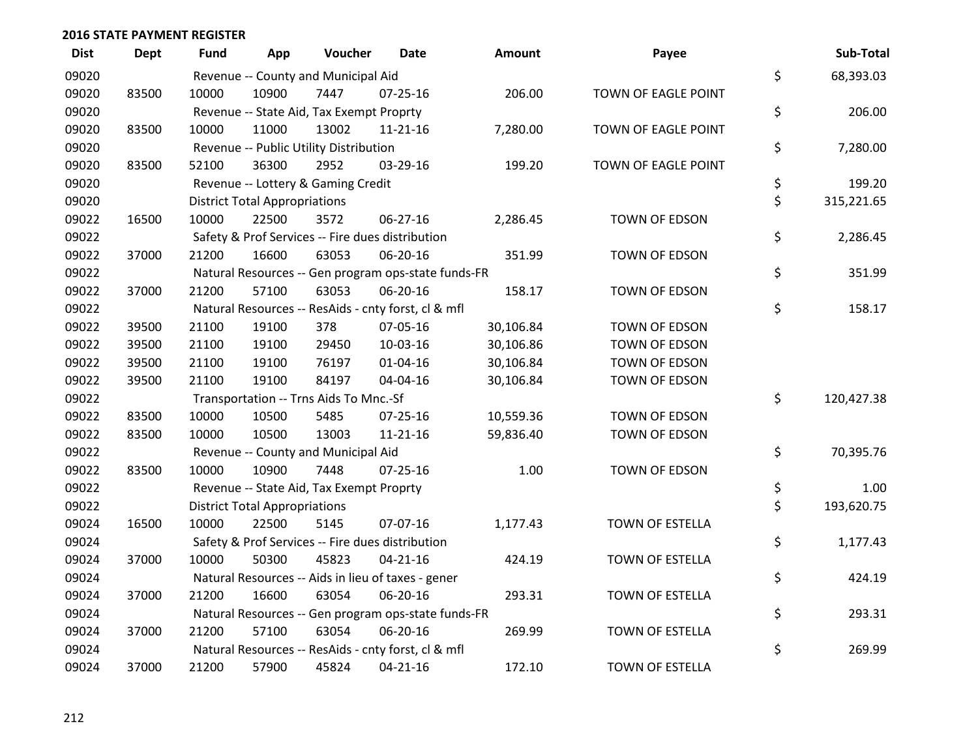| <b>Dist</b> | Dept  | <b>Fund</b> | App                                  | Voucher                                             | Date           | <b>Amount</b> | Payee               | Sub-Total        |
|-------------|-------|-------------|--------------------------------------|-----------------------------------------------------|----------------|---------------|---------------------|------------------|
| 09020       |       |             |                                      | Revenue -- County and Municipal Aid                 |                |               |                     | \$<br>68,393.03  |
| 09020       | 83500 | 10000       | 10900                                | 7447                                                | 07-25-16       | 206.00        | TOWN OF EAGLE POINT |                  |
| 09020       |       |             |                                      | Revenue -- State Aid, Tax Exempt Proprty            |                |               |                     | \$<br>206.00     |
| 09020       | 83500 | 10000       | 11000                                | 13002                                               | $11 - 21 - 16$ | 7,280.00      | TOWN OF EAGLE POINT |                  |
| 09020       |       |             |                                      | Revenue -- Public Utility Distribution              |                |               |                     | \$<br>7,280.00   |
| 09020       | 83500 | 52100       | 36300                                | 2952                                                | 03-29-16       | 199.20        | TOWN OF EAGLE POINT |                  |
| 09020       |       |             |                                      | Revenue -- Lottery & Gaming Credit                  |                |               |                     | \$<br>199.20     |
| 09020       |       |             | <b>District Total Appropriations</b> |                                                     |                |               |                     | \$<br>315,221.65 |
| 09022       | 16500 | 10000       | 22500                                | 3572                                                | 06-27-16       | 2,286.45      | TOWN OF EDSON       |                  |
| 09022       |       |             |                                      | Safety & Prof Services -- Fire dues distribution    |                |               |                     | \$<br>2,286.45   |
| 09022       | 37000 | 21200       | 16600                                | 63053                                               | 06-20-16       | 351.99        | TOWN OF EDSON       |                  |
| 09022       |       |             |                                      | Natural Resources -- Gen program ops-state funds-FR |                |               |                     | \$<br>351.99     |
| 09022       | 37000 | 21200       | 57100                                | 63053                                               | 06-20-16       | 158.17        | TOWN OF EDSON       |                  |
| 09022       |       |             |                                      | Natural Resources -- ResAids - cnty forst, cl & mfl |                |               |                     | \$<br>158.17     |
| 09022       | 39500 | 21100       | 19100                                | 378                                                 | 07-05-16       | 30,106.84     | TOWN OF EDSON       |                  |
| 09022       | 39500 | 21100       | 19100                                | 29450                                               | 10-03-16       | 30,106.86     | TOWN OF EDSON       |                  |
| 09022       | 39500 | 21100       | 19100                                | 76197                                               | 01-04-16       | 30,106.84     | TOWN OF EDSON       |                  |
| 09022       | 39500 | 21100       | 19100                                | 84197                                               | 04-04-16       | 30,106.84     | TOWN OF EDSON       |                  |
| 09022       |       |             |                                      | Transportation -- Trns Aids To Mnc.-Sf              |                |               |                     | \$<br>120,427.38 |
| 09022       | 83500 | 10000       | 10500                                | 5485                                                | $07 - 25 - 16$ | 10,559.36     | TOWN OF EDSON       |                  |
| 09022       | 83500 | 10000       | 10500                                | 13003                                               | $11 - 21 - 16$ | 59,836.40     | TOWN OF EDSON       |                  |
| 09022       |       |             |                                      | Revenue -- County and Municipal Aid                 |                |               |                     | \$<br>70,395.76  |
| 09022       | 83500 | 10000       | 10900                                | 7448                                                | $07 - 25 - 16$ | 1.00          | TOWN OF EDSON       |                  |
| 09022       |       |             |                                      | Revenue -- State Aid, Tax Exempt Proprty            |                |               |                     | \$<br>1.00       |
| 09022       |       |             | <b>District Total Appropriations</b> |                                                     |                |               |                     | \$<br>193,620.75 |
| 09024       | 16500 | 10000       | 22500                                | 5145                                                | 07-07-16       | 1,177.43      | TOWN OF ESTELLA     |                  |
| 09024       |       |             |                                      | Safety & Prof Services -- Fire dues distribution    |                |               |                     | \$<br>1,177.43   |
| 09024       | 37000 | 10000       | 50300                                | 45823                                               | $04 - 21 - 16$ | 424.19        | TOWN OF ESTELLA     |                  |
| 09024       |       |             |                                      | Natural Resources -- Aids in lieu of taxes - gener  |                |               |                     | \$<br>424.19     |
| 09024       | 37000 | 21200       | 16600                                | 63054                                               | 06-20-16       | 293.31        | TOWN OF ESTELLA     |                  |
| 09024       |       |             |                                      | Natural Resources -- Gen program ops-state funds-FR |                |               |                     | \$<br>293.31     |
| 09024       | 37000 | 21200       | 57100                                | 63054                                               | 06-20-16       | 269.99        | TOWN OF ESTELLA     |                  |
| 09024       |       |             |                                      | Natural Resources -- ResAids - cnty forst, cl & mfl |                |               |                     | \$<br>269.99     |
| 09024       | 37000 | 21200       | 57900                                | 45824                                               | $04 - 21 - 16$ | 172.10        | TOWN OF ESTELLA     |                  |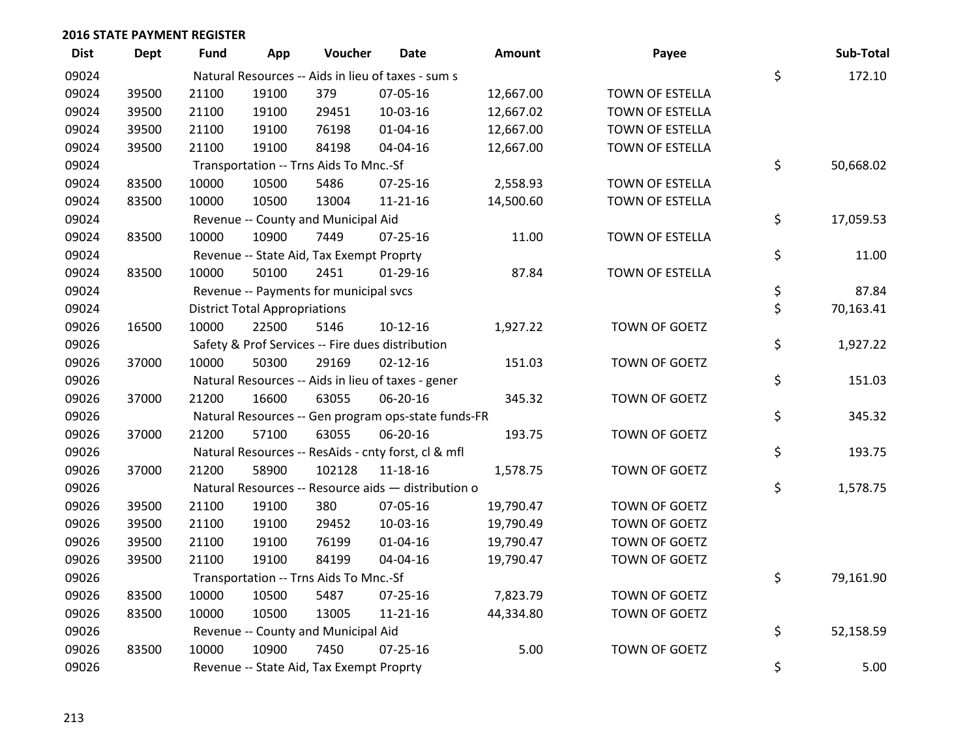| <b>Dist</b> | <b>Dept</b> | <b>Fund</b> | App                                  | Voucher                                  | Date                                                | Amount    | Payee           | Sub-Total       |
|-------------|-------------|-------------|--------------------------------------|------------------------------------------|-----------------------------------------------------|-----------|-----------------|-----------------|
| 09024       |             |             |                                      |                                          | Natural Resources -- Aids in lieu of taxes - sum s  |           |                 | \$<br>172.10    |
| 09024       | 39500       | 21100       | 19100                                | 379                                      | 07-05-16                                            | 12,667.00 | TOWN OF ESTELLA |                 |
| 09024       | 39500       | 21100       | 19100                                | 29451                                    | 10-03-16                                            | 12,667.02 | TOWN OF ESTELLA |                 |
| 09024       | 39500       | 21100       | 19100                                | 76198                                    | $01 - 04 - 16$                                      | 12,667.00 | TOWN OF ESTELLA |                 |
| 09024       | 39500       | 21100       | 19100                                | 84198                                    | 04-04-16                                            | 12,667.00 | TOWN OF ESTELLA |                 |
| 09024       |             |             |                                      | Transportation -- Trns Aids To Mnc.-Sf   |                                                     |           |                 | \$<br>50,668.02 |
| 09024       | 83500       | 10000       | 10500                                | 5486                                     | $07 - 25 - 16$                                      | 2,558.93  | TOWN OF ESTELLA |                 |
| 09024       | 83500       | 10000       | 10500                                | 13004                                    | $11 - 21 - 16$                                      | 14,500.60 | TOWN OF ESTELLA |                 |
| 09024       |             |             |                                      | Revenue -- County and Municipal Aid      |                                                     |           |                 | \$<br>17,059.53 |
| 09024       | 83500       | 10000       | 10900                                | 7449                                     | 07-25-16                                            | 11.00     | TOWN OF ESTELLA |                 |
| 09024       |             |             |                                      | Revenue -- State Aid, Tax Exempt Proprty |                                                     |           |                 | \$<br>11.00     |
| 09024       | 83500       | 10000       | 50100                                | 2451                                     | 01-29-16                                            | 87.84     | TOWN OF ESTELLA |                 |
| 09024       |             |             |                                      | Revenue -- Payments for municipal svcs   |                                                     |           |                 | \$<br>87.84     |
| 09024       |             |             | <b>District Total Appropriations</b> |                                          |                                                     |           |                 | \$<br>70,163.41 |
| 09026       | 16500       | 10000       | 22500                                | 5146                                     | $10-12-16$                                          | 1,927.22  | TOWN OF GOETZ   |                 |
| 09026       |             |             |                                      |                                          | Safety & Prof Services -- Fire dues distribution    |           |                 | \$<br>1,927.22  |
| 09026       | 37000       | 10000       | 50300                                | 29169                                    | $02 - 12 - 16$                                      | 151.03    | TOWN OF GOETZ   |                 |
| 09026       |             |             |                                      |                                          | Natural Resources -- Aids in lieu of taxes - gener  |           |                 | \$<br>151.03    |
| 09026       | 37000       | 21200       | 16600                                | 63055                                    | 06-20-16                                            | 345.32    | TOWN OF GOETZ   |                 |
| 09026       |             |             |                                      |                                          | Natural Resources -- Gen program ops-state funds-FR |           |                 | \$<br>345.32    |
| 09026       | 37000       | 21200       | 57100                                | 63055                                    | 06-20-16                                            | 193.75    | TOWN OF GOETZ   |                 |
| 09026       |             |             |                                      |                                          | Natural Resources -- ResAids - cnty forst, cl & mfl |           |                 | \$<br>193.75    |
| 09026       | 37000       | 21200       | 58900                                | 102128                                   | 11-18-16                                            | 1,578.75  | TOWN OF GOETZ   |                 |
| 09026       |             |             |                                      |                                          | Natural Resources -- Resource aids - distribution o |           |                 | \$<br>1,578.75  |
| 09026       | 39500       | 21100       | 19100                                | 380                                      | 07-05-16                                            | 19,790.47 | TOWN OF GOETZ   |                 |
| 09026       | 39500       | 21100       | 19100                                | 29452                                    | 10-03-16                                            | 19,790.49 | TOWN OF GOETZ   |                 |
| 09026       | 39500       | 21100       | 19100                                | 76199                                    | 01-04-16                                            | 19,790.47 | TOWN OF GOETZ   |                 |
| 09026       | 39500       | 21100       | 19100                                | 84199                                    | 04-04-16                                            | 19,790.47 | TOWN OF GOETZ   |                 |
| 09026       |             |             |                                      | Transportation -- Trns Aids To Mnc.-Sf   |                                                     |           |                 | \$<br>79,161.90 |
| 09026       | 83500       | 10000       | 10500                                | 5487                                     | $07 - 25 - 16$                                      | 7,823.79  | TOWN OF GOETZ   |                 |
| 09026       | 83500       | 10000       | 10500                                | 13005                                    | $11 - 21 - 16$                                      | 44,334.80 | TOWN OF GOETZ   |                 |
| 09026       |             |             |                                      | Revenue -- County and Municipal Aid      |                                                     |           |                 | \$<br>52,158.59 |
| 09026       | 83500       | 10000       | 10900                                | 7450                                     | $07 - 25 - 16$                                      | 5.00      | TOWN OF GOETZ   |                 |
| 09026       |             |             |                                      | Revenue -- State Aid, Tax Exempt Proprty |                                                     |           |                 | \$<br>5.00      |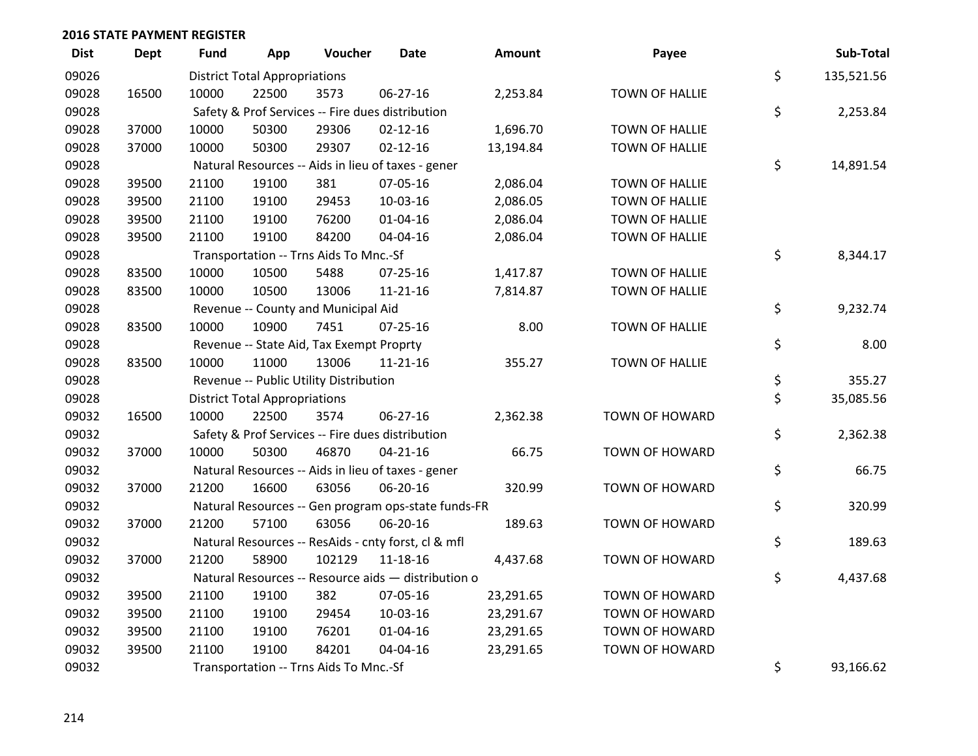| <b>Dist</b> | <b>Dept</b> | <b>Fund</b> | App                                  | Voucher                                  | <b>Date</b>                                         | <b>Amount</b> | Payee                 | Sub-Total        |
|-------------|-------------|-------------|--------------------------------------|------------------------------------------|-----------------------------------------------------|---------------|-----------------------|------------------|
| 09026       |             |             | <b>District Total Appropriations</b> |                                          |                                                     |               |                       | \$<br>135,521.56 |
| 09028       | 16500       | 10000       | 22500                                | 3573                                     | 06-27-16                                            | 2,253.84      | <b>TOWN OF HALLIE</b> |                  |
| 09028       |             |             |                                      |                                          | Safety & Prof Services -- Fire dues distribution    |               |                       | \$<br>2,253.84   |
| 09028       | 37000       | 10000       | 50300                                | 29306                                    | $02 - 12 - 16$                                      | 1,696.70      | <b>TOWN OF HALLIE</b> |                  |
| 09028       | 37000       | 10000       | 50300                                | 29307                                    | $02 - 12 - 16$                                      | 13,194.84     | <b>TOWN OF HALLIE</b> |                  |
| 09028       |             |             |                                      |                                          | Natural Resources -- Aids in lieu of taxes - gener  |               |                       | \$<br>14,891.54  |
| 09028       | 39500       | 21100       | 19100                                | 381                                      | 07-05-16                                            | 2,086.04      | <b>TOWN OF HALLIE</b> |                  |
| 09028       | 39500       | 21100       | 19100                                | 29453                                    | 10-03-16                                            | 2,086.05      | <b>TOWN OF HALLIE</b> |                  |
| 09028       | 39500       | 21100       | 19100                                | 76200                                    | $01 - 04 - 16$                                      | 2,086.04      | <b>TOWN OF HALLIE</b> |                  |
| 09028       | 39500       | 21100       | 19100                                | 84200                                    | 04-04-16                                            | 2,086.04      | TOWN OF HALLIE        |                  |
| 09028       |             |             |                                      | Transportation -- Trns Aids To Mnc.-Sf   |                                                     |               |                       | \$<br>8,344.17   |
| 09028       | 83500       | 10000       | 10500                                | 5488                                     | $07 - 25 - 16$                                      | 1,417.87      | <b>TOWN OF HALLIE</b> |                  |
| 09028       | 83500       | 10000       | 10500                                | 13006                                    | $11 - 21 - 16$                                      | 7,814.87      | <b>TOWN OF HALLIE</b> |                  |
| 09028       |             |             |                                      | Revenue -- County and Municipal Aid      |                                                     |               |                       | \$<br>9,232.74   |
| 09028       | 83500       | 10000       | 10900                                | 7451                                     | $07 - 25 - 16$                                      | 8.00          | <b>TOWN OF HALLIE</b> |                  |
| 09028       |             |             |                                      | Revenue -- State Aid, Tax Exempt Proprty |                                                     |               |                       | \$<br>8.00       |
| 09028       | 83500       | 10000       | 11000                                | 13006                                    | $11 - 21 - 16$                                      | 355.27        | <b>TOWN OF HALLIE</b> |                  |
| 09028       |             |             |                                      | Revenue -- Public Utility Distribution   |                                                     |               |                       | \$<br>355.27     |
| 09028       |             |             | <b>District Total Appropriations</b> |                                          |                                                     |               |                       | \$<br>35,085.56  |
| 09032       | 16500       | 10000       | 22500                                | 3574                                     | 06-27-16                                            | 2,362.38      | <b>TOWN OF HOWARD</b> |                  |
| 09032       |             |             |                                      |                                          | Safety & Prof Services -- Fire dues distribution    |               |                       | \$<br>2,362.38   |
| 09032       | 37000       | 10000       | 50300                                | 46870                                    | $04 - 21 - 16$                                      | 66.75         | TOWN OF HOWARD        |                  |
| 09032       |             |             |                                      |                                          | Natural Resources -- Aids in lieu of taxes - gener  |               |                       | \$<br>66.75      |
| 09032       | 37000       | 21200       | 16600                                | 63056                                    | 06-20-16                                            | 320.99        | TOWN OF HOWARD        |                  |
| 09032       |             |             |                                      |                                          | Natural Resources -- Gen program ops-state funds-FR |               |                       | \$<br>320.99     |
| 09032       | 37000       | 21200       | 57100                                | 63056                                    | 06-20-16                                            | 189.63        | TOWN OF HOWARD        |                  |
| 09032       |             |             |                                      |                                          | Natural Resources -- ResAids - cnty forst, cl & mfl |               |                       | \$<br>189.63     |
| 09032       | 37000       | 21200       | 58900                                | 102129                                   | 11-18-16                                            | 4,437.68      | <b>TOWN OF HOWARD</b> |                  |
| 09032       |             |             |                                      |                                          | Natural Resources -- Resource aids - distribution o |               |                       | \$<br>4,437.68   |
| 09032       | 39500       | 21100       | 19100                                | 382                                      | 07-05-16                                            | 23,291.65     | <b>TOWN OF HOWARD</b> |                  |
| 09032       | 39500       | 21100       | 19100                                | 29454                                    | 10-03-16                                            | 23,291.67     | TOWN OF HOWARD        |                  |
| 09032       | 39500       | 21100       | 19100                                | 76201                                    | 01-04-16                                            | 23,291.65     | TOWN OF HOWARD        |                  |
| 09032       | 39500       | 21100       | 19100                                | 84201                                    | 04-04-16                                            | 23,291.65     | <b>TOWN OF HOWARD</b> |                  |
| 09032       |             |             |                                      | Transportation -- Trns Aids To Mnc.-Sf   |                                                     |               |                       | \$<br>93,166.62  |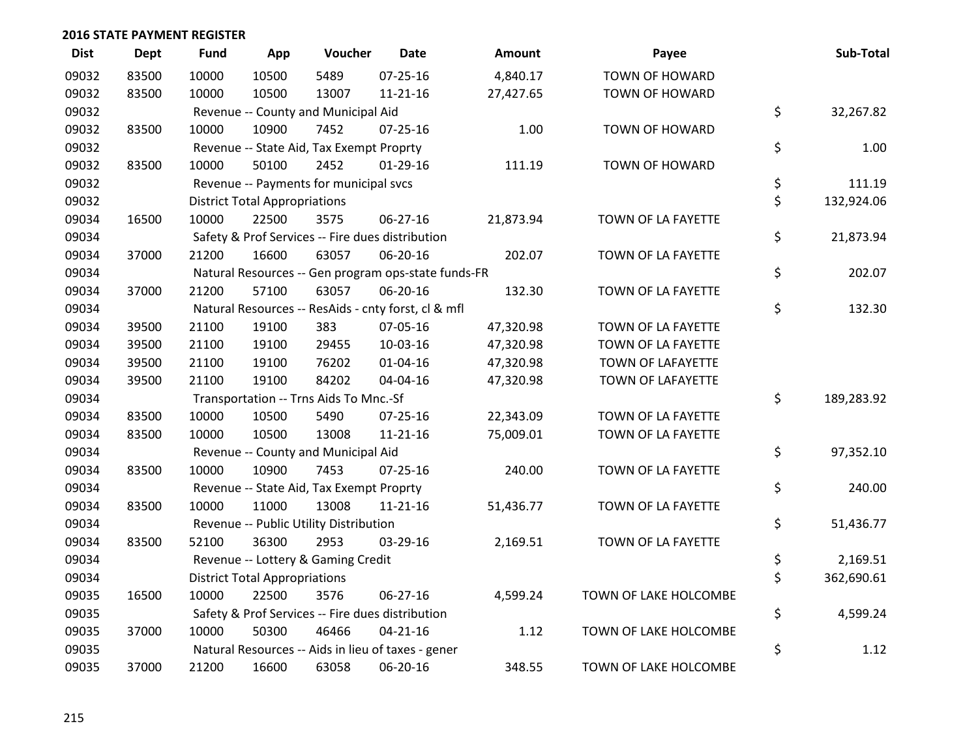| <b>Dist</b> | <b>Dept</b> | <b>Fund</b> | App                                  | Voucher                                  | <b>Date</b>                                         | Amount    | Payee                 | Sub-Total        |
|-------------|-------------|-------------|--------------------------------------|------------------------------------------|-----------------------------------------------------|-----------|-----------------------|------------------|
| 09032       | 83500       | 10000       | 10500                                | 5489                                     | 07-25-16                                            | 4,840.17  | TOWN OF HOWARD        |                  |
| 09032       | 83500       | 10000       | 10500                                | 13007                                    | $11 - 21 - 16$                                      | 27,427.65 | TOWN OF HOWARD        |                  |
| 09032       |             |             |                                      | Revenue -- County and Municipal Aid      |                                                     |           |                       | \$<br>32,267.82  |
| 09032       | 83500       | 10000       | 10900                                | 7452                                     | $07 - 25 - 16$                                      | 1.00      | TOWN OF HOWARD        |                  |
| 09032       |             |             |                                      | Revenue -- State Aid, Tax Exempt Proprty |                                                     |           |                       | \$<br>1.00       |
| 09032       | 83500       | 10000       | 50100                                | 2452                                     | $01-29-16$                                          | 111.19    | TOWN OF HOWARD        |                  |
| 09032       |             |             |                                      | Revenue -- Payments for municipal svcs   |                                                     |           |                       | \$<br>111.19     |
| 09032       |             |             | <b>District Total Appropriations</b> |                                          |                                                     |           |                       | \$<br>132,924.06 |
| 09034       | 16500       | 10000       | 22500                                | 3575                                     | 06-27-16                                            | 21,873.94 | TOWN OF LA FAYETTE    |                  |
| 09034       |             |             |                                      |                                          | Safety & Prof Services -- Fire dues distribution    |           |                       | \$<br>21,873.94  |
| 09034       | 37000       | 21200       | 16600                                | 63057                                    | 06-20-16                                            | 202.07    | TOWN OF LA FAYETTE    |                  |
| 09034       |             |             |                                      |                                          | Natural Resources -- Gen program ops-state funds-FR |           |                       | \$<br>202.07     |
| 09034       | 37000       | 21200       | 57100                                | 63057                                    | 06-20-16                                            | 132.30    | TOWN OF LA FAYETTE    |                  |
| 09034       |             |             |                                      |                                          | Natural Resources -- ResAids - cnty forst, cl & mfl |           |                       | \$<br>132.30     |
| 09034       | 39500       | 21100       | 19100                                | 383                                      | 07-05-16                                            | 47,320.98 | TOWN OF LA FAYETTE    |                  |
| 09034       | 39500       | 21100       | 19100                                | 29455                                    | 10-03-16                                            | 47,320.98 | TOWN OF LA FAYETTE    |                  |
| 09034       | 39500       | 21100       | 19100                                | 76202                                    | $01 - 04 - 16$                                      | 47,320.98 | TOWN OF LAFAYETTE     |                  |
| 09034       | 39500       | 21100       | 19100                                | 84202                                    | 04-04-16                                            | 47,320.98 | TOWN OF LAFAYETTE     |                  |
| 09034       |             |             |                                      | Transportation -- Trns Aids To Mnc.-Sf   |                                                     |           |                       | \$<br>189,283.92 |
| 09034       | 83500       | 10000       | 10500                                | 5490                                     | 07-25-16                                            | 22,343.09 | TOWN OF LA FAYETTE    |                  |
| 09034       | 83500       | 10000       | 10500                                | 13008                                    | $11 - 21 - 16$                                      | 75,009.01 | TOWN OF LA FAYETTE    |                  |
| 09034       |             |             |                                      | Revenue -- County and Municipal Aid      |                                                     |           |                       | \$<br>97,352.10  |
| 09034       | 83500       | 10000       | 10900                                | 7453                                     | $07 - 25 - 16$                                      | 240.00    | TOWN OF LA FAYETTE    |                  |
| 09034       |             |             |                                      | Revenue -- State Aid, Tax Exempt Proprty |                                                     |           |                       | \$<br>240.00     |
| 09034       | 83500       | 10000       | 11000                                | 13008                                    | $11 - 21 - 16$                                      | 51,436.77 | TOWN OF LA FAYETTE    |                  |
| 09034       |             |             |                                      | Revenue -- Public Utility Distribution   |                                                     |           |                       | \$<br>51,436.77  |
| 09034       | 83500       | 52100       | 36300                                | 2953                                     | 03-29-16                                            | 2,169.51  | TOWN OF LA FAYETTE    |                  |
| 09034       |             |             |                                      | Revenue -- Lottery & Gaming Credit       |                                                     |           |                       | \$<br>2,169.51   |
| 09034       |             |             | <b>District Total Appropriations</b> |                                          |                                                     |           |                       | \$<br>362,690.61 |
| 09035       | 16500       | 10000       | 22500                                | 3576                                     | 06-27-16                                            | 4,599.24  | TOWN OF LAKE HOLCOMBE |                  |
| 09035       |             |             |                                      |                                          | Safety & Prof Services -- Fire dues distribution    |           |                       | \$<br>4,599.24   |
| 09035       | 37000       | 10000       | 50300                                | 46466                                    | $04 - 21 - 16$                                      | 1.12      | TOWN OF LAKE HOLCOMBE |                  |
| 09035       |             |             |                                      |                                          | Natural Resources -- Aids in lieu of taxes - gener  |           |                       | \$<br>1.12       |
| 09035       | 37000       | 21200       | 16600                                | 63058                                    | 06-20-16                                            | 348.55    | TOWN OF LAKE HOLCOMBE |                  |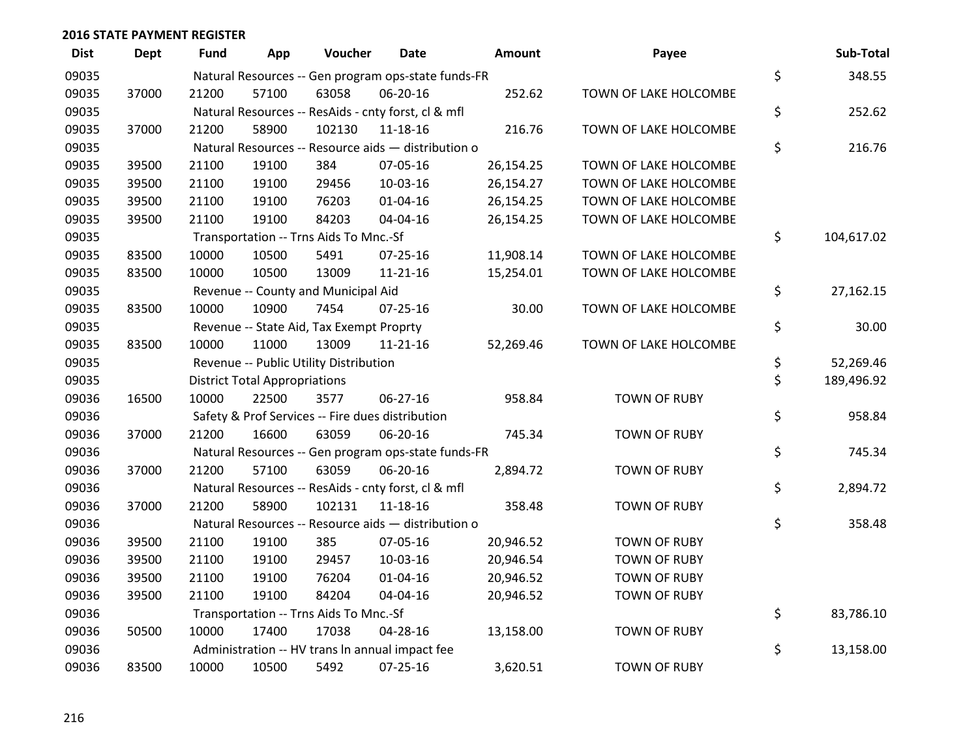| <b>Dist</b> | <b>Dept</b> | <b>Fund</b> | App                                  | Voucher                                             | <b>Date</b>    | Amount    | Payee                 | Sub-Total        |
|-------------|-------------|-------------|--------------------------------------|-----------------------------------------------------|----------------|-----------|-----------------------|------------------|
| 09035       |             |             |                                      | Natural Resources -- Gen program ops-state funds-FR |                |           |                       | \$<br>348.55     |
| 09035       | 37000       | 21200       | 57100                                | 63058                                               | 06-20-16       | 252.62    | TOWN OF LAKE HOLCOMBE |                  |
| 09035       |             |             |                                      | Natural Resources -- ResAids - cnty forst, cl & mfl |                |           |                       | \$<br>252.62     |
| 09035       | 37000       | 21200       | 58900                                | 102130                                              | 11-18-16       | 216.76    | TOWN OF LAKE HOLCOMBE |                  |
| 09035       |             |             |                                      | Natural Resources -- Resource aids - distribution o |                |           |                       | \$<br>216.76     |
| 09035       | 39500       | 21100       | 19100                                | 384                                                 | 07-05-16       | 26,154.25 | TOWN OF LAKE HOLCOMBE |                  |
| 09035       | 39500       | 21100       | 19100                                | 29456                                               | 10-03-16       | 26,154.27 | TOWN OF LAKE HOLCOMBE |                  |
| 09035       | 39500       | 21100       | 19100                                | 76203                                               | $01 - 04 - 16$ | 26,154.25 | TOWN OF LAKE HOLCOMBE |                  |
| 09035       | 39500       | 21100       | 19100                                | 84203                                               | 04-04-16       | 26,154.25 | TOWN OF LAKE HOLCOMBE |                  |
| 09035       |             |             |                                      | Transportation -- Trns Aids To Mnc.-Sf              |                |           |                       | \$<br>104,617.02 |
| 09035       | 83500       | 10000       | 10500                                | 5491                                                | 07-25-16       | 11,908.14 | TOWN OF LAKE HOLCOMBE |                  |
| 09035       | 83500       | 10000       | 10500                                | 13009                                               | $11 - 21 - 16$ | 15,254.01 | TOWN OF LAKE HOLCOMBE |                  |
| 09035       |             |             |                                      | Revenue -- County and Municipal Aid                 |                |           |                       | \$<br>27,162.15  |
| 09035       | 83500       | 10000       | 10900                                | 7454                                                | $07 - 25 - 16$ | 30.00     | TOWN OF LAKE HOLCOMBE |                  |
| 09035       |             |             |                                      | Revenue -- State Aid, Tax Exempt Proprty            |                |           |                       | \$<br>30.00      |
| 09035       | 83500       | 10000       | 11000                                | 13009                                               | 11-21-16       | 52,269.46 | TOWN OF LAKE HOLCOMBE |                  |
| 09035       |             |             |                                      | Revenue -- Public Utility Distribution              |                |           |                       | \$<br>52,269.46  |
| 09035       |             |             | <b>District Total Appropriations</b> |                                                     |                |           |                       | \$<br>189,496.92 |
| 09036       | 16500       | 10000       | 22500                                | 3577                                                | 06-27-16       | 958.84    | <b>TOWN OF RUBY</b>   |                  |
| 09036       |             |             |                                      | Safety & Prof Services -- Fire dues distribution    |                |           |                       | \$<br>958.84     |
| 09036       | 37000       | 21200       | 16600                                | 63059                                               | 06-20-16       | 745.34    | <b>TOWN OF RUBY</b>   |                  |
| 09036       |             |             |                                      | Natural Resources -- Gen program ops-state funds-FR |                |           |                       | \$<br>745.34     |
| 09036       | 37000       | 21200       | 57100                                | 63059                                               | 06-20-16       | 2,894.72  | <b>TOWN OF RUBY</b>   |                  |
| 09036       |             |             |                                      | Natural Resources -- ResAids - cnty forst, cl & mfl |                |           |                       | \$<br>2,894.72   |
| 09036       | 37000       | 21200       | 58900                                | 102131                                              | 11-18-16       | 358.48    | <b>TOWN OF RUBY</b>   |                  |
| 09036       |             |             |                                      | Natural Resources -- Resource aids - distribution o |                |           |                       | \$<br>358.48     |
| 09036       | 39500       | 21100       | 19100                                | 385                                                 | 07-05-16       | 20,946.52 | <b>TOWN OF RUBY</b>   |                  |
| 09036       | 39500       | 21100       | 19100                                | 29457                                               | 10-03-16       | 20,946.54 | <b>TOWN OF RUBY</b>   |                  |
| 09036       | 39500       | 21100       | 19100                                | 76204                                               | $01 - 04 - 16$ | 20,946.52 | <b>TOWN OF RUBY</b>   |                  |
| 09036       | 39500       | 21100       | 19100                                | 84204                                               | 04-04-16       | 20,946.52 | <b>TOWN OF RUBY</b>   |                  |
| 09036       |             |             |                                      | Transportation -- Trns Aids To Mnc.-Sf              |                |           |                       | \$<br>83,786.10  |
| 09036       | 50500       | 10000       | 17400                                | 17038                                               | 04-28-16       | 13,158.00 | <b>TOWN OF RUBY</b>   |                  |
| 09036       |             |             |                                      | Administration -- HV trans In annual impact fee     |                |           |                       | \$<br>13,158.00  |
| 09036       | 83500       | 10000       | 10500                                | 5492                                                | 07-25-16       | 3,620.51  | <b>TOWN OF RUBY</b>   |                  |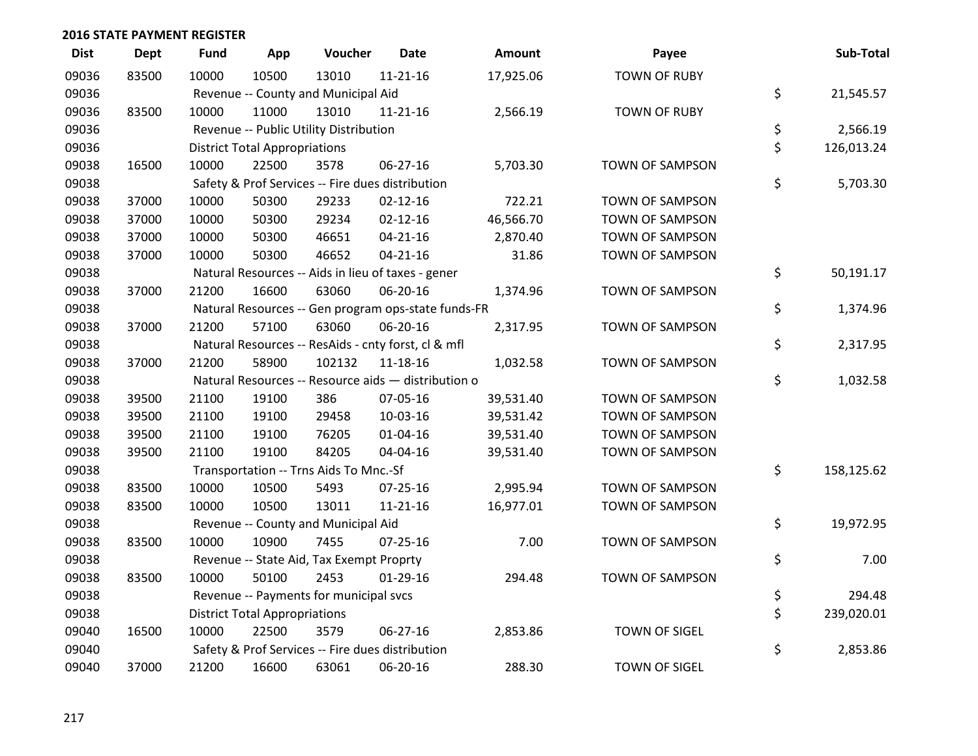| <b>Dist</b> | <b>Dept</b> | <b>Fund</b> | App                                  | Voucher                                  | <b>Date</b>                                         | <b>Amount</b> | Payee                  | Sub-Total        |
|-------------|-------------|-------------|--------------------------------------|------------------------------------------|-----------------------------------------------------|---------------|------------------------|------------------|
| 09036       | 83500       | 10000       | 10500                                | 13010                                    | $11 - 21 - 16$                                      | 17,925.06     | <b>TOWN OF RUBY</b>    |                  |
| 09036       |             |             |                                      | Revenue -- County and Municipal Aid      |                                                     |               |                        | \$<br>21,545.57  |
| 09036       | 83500       | 10000       | 11000                                | 13010                                    | $11 - 21 - 16$                                      | 2,566.19      | <b>TOWN OF RUBY</b>    |                  |
| 09036       |             |             |                                      | Revenue -- Public Utility Distribution   |                                                     |               |                        | \$<br>2,566.19   |
| 09036       |             |             | <b>District Total Appropriations</b> |                                          |                                                     |               |                        | \$<br>126,013.24 |
| 09038       | 16500       | 10000       | 22500                                | 3578                                     | 06-27-16                                            | 5,703.30      | <b>TOWN OF SAMPSON</b> |                  |
| 09038       |             |             |                                      |                                          | Safety & Prof Services -- Fire dues distribution    |               |                        | \$<br>5,703.30   |
| 09038       | 37000       | 10000       | 50300                                | 29233                                    | $02 - 12 - 16$                                      | 722.21        | TOWN OF SAMPSON        |                  |
| 09038       | 37000       | 10000       | 50300                                | 29234                                    | $02 - 12 - 16$                                      | 46,566.70     | TOWN OF SAMPSON        |                  |
| 09038       | 37000       | 10000       | 50300                                | 46651                                    | $04 - 21 - 16$                                      | 2,870.40      | <b>TOWN OF SAMPSON</b> |                  |
| 09038       | 37000       | 10000       | 50300                                | 46652                                    | $04 - 21 - 16$                                      | 31.86         | TOWN OF SAMPSON        |                  |
| 09038       |             |             |                                      |                                          | Natural Resources -- Aids in lieu of taxes - gener  |               |                        | \$<br>50,191.17  |
| 09038       | 37000       | 21200       | 16600                                | 63060                                    | 06-20-16                                            | 1,374.96      | TOWN OF SAMPSON        |                  |
| 09038       |             |             |                                      |                                          | Natural Resources -- Gen program ops-state funds-FR |               |                        | \$<br>1,374.96   |
| 09038       | 37000       | 21200       | 57100                                | 63060                                    | 06-20-16                                            | 2,317.95      | TOWN OF SAMPSON        |                  |
| 09038       |             |             |                                      |                                          | Natural Resources -- ResAids - cnty forst, cl & mfl |               |                        | \$<br>2,317.95   |
| 09038       | 37000       | 21200       | 58900                                | 102132                                   | 11-18-16                                            | 1,032.58      | TOWN OF SAMPSON        |                  |
| 09038       |             |             |                                      |                                          | Natural Resources -- Resource aids - distribution o |               |                        | \$<br>1,032.58   |
| 09038       | 39500       | 21100       | 19100                                | 386                                      | 07-05-16                                            | 39,531.40     | TOWN OF SAMPSON        |                  |
| 09038       | 39500       | 21100       | 19100                                | 29458                                    | 10-03-16                                            | 39,531.42     | TOWN OF SAMPSON        |                  |
| 09038       | 39500       | 21100       | 19100                                | 76205                                    | $01 - 04 - 16$                                      | 39,531.40     | <b>TOWN OF SAMPSON</b> |                  |
| 09038       | 39500       | 21100       | 19100                                | 84205                                    | 04-04-16                                            | 39,531.40     | TOWN OF SAMPSON        |                  |
| 09038       |             |             |                                      | Transportation -- Trns Aids To Mnc.-Sf   |                                                     |               |                        | \$<br>158,125.62 |
| 09038       | 83500       | 10000       | 10500                                | 5493                                     | 07-25-16                                            | 2,995.94      | TOWN OF SAMPSON        |                  |
| 09038       | 83500       | 10000       | 10500                                | 13011                                    | $11 - 21 - 16$                                      | 16,977.01     | <b>TOWN OF SAMPSON</b> |                  |
| 09038       |             |             |                                      | Revenue -- County and Municipal Aid      |                                                     |               |                        | \$<br>19,972.95  |
| 09038       | 83500       | 10000       | 10900                                | 7455                                     | $07 - 25 - 16$                                      | 7.00          | TOWN OF SAMPSON        |                  |
| 09038       |             |             |                                      | Revenue -- State Aid, Tax Exempt Proprty |                                                     |               |                        | \$<br>7.00       |
| 09038       | 83500       | 10000       | 50100                                | 2453                                     | $01-29-16$                                          | 294.48        | <b>TOWN OF SAMPSON</b> |                  |
| 09038       |             |             |                                      | Revenue -- Payments for municipal svcs   |                                                     |               |                        | \$<br>294.48     |
| 09038       |             |             | <b>District Total Appropriations</b> |                                          |                                                     |               |                        | \$<br>239,020.01 |
| 09040       | 16500       | 10000       | 22500                                | 3579                                     | 06-27-16                                            | 2,853.86      | <b>TOWN OF SIGEL</b>   |                  |
| 09040       |             |             |                                      |                                          | Safety & Prof Services -- Fire dues distribution    |               |                        | \$<br>2,853.86   |
| 09040       | 37000       | 21200       | 16600                                | 63061                                    | 06-20-16                                            | 288.30        | <b>TOWN OF SIGEL</b>   |                  |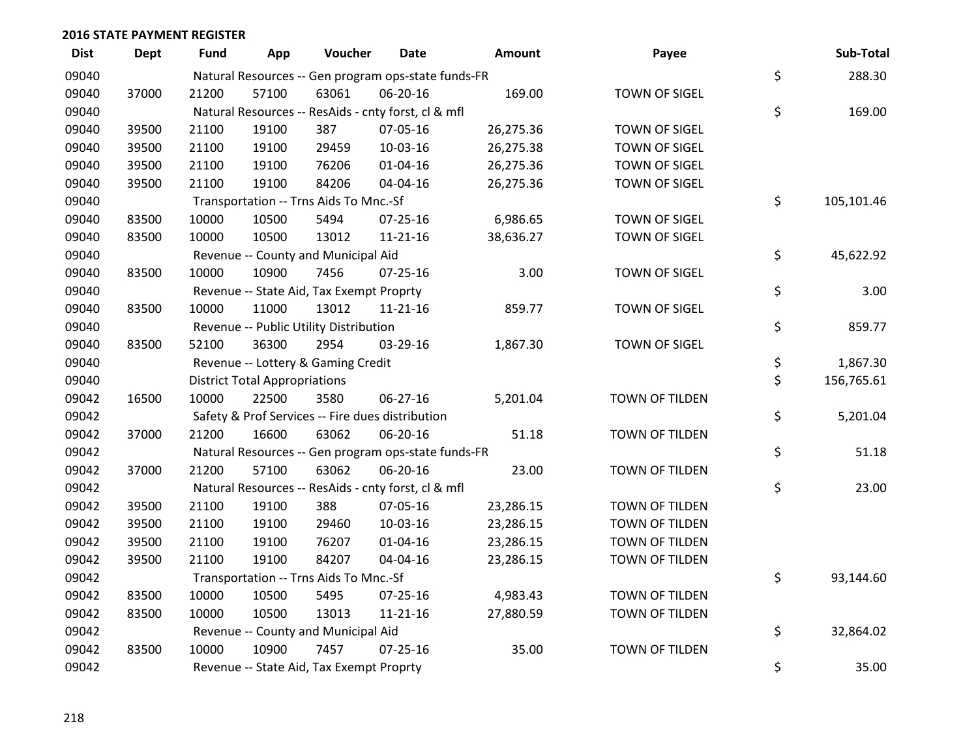| <b>Dist</b> | <b>Dept</b> | Fund  | App                                  | Voucher                                             | Date           | <b>Amount</b> | Payee                 | Sub-Total        |
|-------------|-------------|-------|--------------------------------------|-----------------------------------------------------|----------------|---------------|-----------------------|------------------|
| 09040       |             |       |                                      | Natural Resources -- Gen program ops-state funds-FR |                |               |                       | \$<br>288.30     |
| 09040       | 37000       | 21200 | 57100                                | 63061                                               | 06-20-16       | 169.00        | <b>TOWN OF SIGEL</b>  |                  |
| 09040       |             |       |                                      | Natural Resources -- ResAids - cnty forst, cl & mfl |                |               |                       | \$<br>169.00     |
| 09040       | 39500       | 21100 | 19100                                | 387                                                 | 07-05-16       | 26,275.36     | <b>TOWN OF SIGEL</b>  |                  |
| 09040       | 39500       | 21100 | 19100                                | 29459                                               | 10-03-16       | 26,275.38     | <b>TOWN OF SIGEL</b>  |                  |
| 09040       | 39500       | 21100 | 19100                                | 76206                                               | $01 - 04 - 16$ | 26,275.36     | <b>TOWN OF SIGEL</b>  |                  |
| 09040       | 39500       | 21100 | 19100                                | 84206                                               | 04-04-16       | 26,275.36     | <b>TOWN OF SIGEL</b>  |                  |
| 09040       |             |       |                                      | Transportation -- Trns Aids To Mnc.-Sf              |                |               |                       | \$<br>105,101.46 |
| 09040       | 83500       | 10000 | 10500                                | 5494                                                | $07 - 25 - 16$ | 6,986.65      | <b>TOWN OF SIGEL</b>  |                  |
| 09040       | 83500       | 10000 | 10500                                | 13012                                               | $11 - 21 - 16$ | 38,636.27     | TOWN OF SIGEL         |                  |
| 09040       |             |       |                                      | Revenue -- County and Municipal Aid                 |                |               |                       | \$<br>45,622.92  |
| 09040       | 83500       | 10000 | 10900                                | 7456                                                | $07 - 25 - 16$ | 3.00          | <b>TOWN OF SIGEL</b>  |                  |
| 09040       |             |       |                                      | Revenue -- State Aid, Tax Exempt Proprty            |                |               |                       | \$<br>3.00       |
| 09040       | 83500       | 10000 | 11000                                | 13012                                               | $11 - 21 - 16$ | 859.77        | <b>TOWN OF SIGEL</b>  |                  |
| 09040       |             |       |                                      | Revenue -- Public Utility Distribution              |                |               |                       | \$<br>859.77     |
| 09040       | 83500       | 52100 | 36300                                | 2954                                                | 03-29-16       | 1,867.30      | <b>TOWN OF SIGEL</b>  |                  |
| 09040       |             |       |                                      | Revenue -- Lottery & Gaming Credit                  |                |               |                       | \$<br>1,867.30   |
| 09040       |             |       | <b>District Total Appropriations</b> |                                                     |                |               |                       | \$<br>156,765.61 |
| 09042       | 16500       | 10000 | 22500                                | 3580                                                | 06-27-16       | 5,201.04      | TOWN OF TILDEN        |                  |
| 09042       |             |       |                                      | Safety & Prof Services -- Fire dues distribution    |                |               |                       | \$<br>5,201.04   |
| 09042       | 37000       | 21200 | 16600                                | 63062                                               | 06-20-16       | 51.18         | TOWN OF TILDEN        |                  |
| 09042       |             |       |                                      | Natural Resources -- Gen program ops-state funds-FR |                |               |                       | \$<br>51.18      |
| 09042       | 37000       | 21200 | 57100                                | 63062                                               | 06-20-16       | 23.00         | TOWN OF TILDEN        |                  |
| 09042       |             |       |                                      | Natural Resources -- ResAids - cnty forst, cl & mfl |                |               |                       | \$<br>23.00      |
| 09042       | 39500       | 21100 | 19100                                | 388                                                 | 07-05-16       | 23,286.15     | <b>TOWN OF TILDEN</b> |                  |
| 09042       | 39500       | 21100 | 19100                                | 29460                                               | 10-03-16       | 23,286.15     | TOWN OF TILDEN        |                  |
| 09042       | 39500       | 21100 | 19100                                | 76207                                               | $01 - 04 - 16$ | 23,286.15     | TOWN OF TILDEN        |                  |
| 09042       | 39500       | 21100 | 19100                                | 84207                                               | 04-04-16       | 23,286.15     | TOWN OF TILDEN        |                  |
| 09042       |             |       |                                      | Transportation -- Trns Aids To Mnc.-Sf              |                |               |                       | \$<br>93,144.60  |
| 09042       | 83500       | 10000 | 10500                                | 5495                                                | 07-25-16       | 4,983.43      | TOWN OF TILDEN        |                  |
| 09042       | 83500       | 10000 | 10500                                | 13013                                               | $11 - 21 - 16$ | 27,880.59     | TOWN OF TILDEN        |                  |
| 09042       |             |       |                                      | Revenue -- County and Municipal Aid                 |                |               |                       | \$<br>32,864.02  |
| 09042       | 83500       | 10000 | 10900                                | 7457                                                | $07 - 25 - 16$ | 35.00         | TOWN OF TILDEN        |                  |
| 09042       |             |       |                                      | Revenue -- State Aid, Tax Exempt Proprty            |                |               |                       | \$<br>35.00      |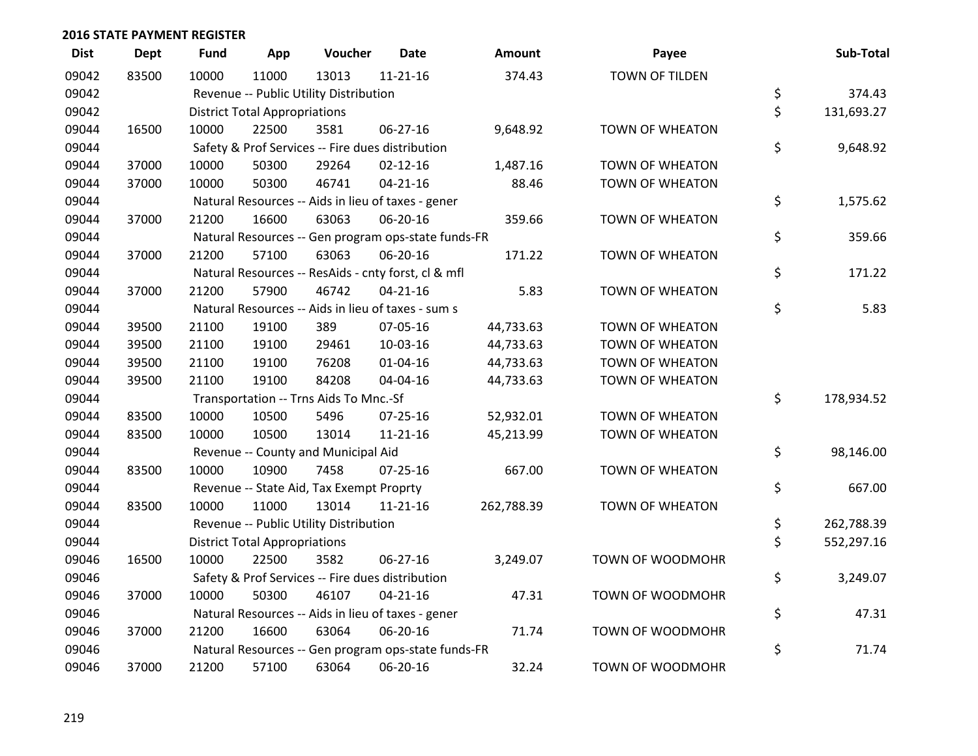| <b>Dist</b> | <b>Dept</b> | <b>Fund</b> | App                                  | Voucher                                             | <b>Date</b>    | <b>Amount</b> | Payee                  | Sub-Total        |
|-------------|-------------|-------------|--------------------------------------|-----------------------------------------------------|----------------|---------------|------------------------|------------------|
| 09042       | 83500       | 10000       | 11000                                | 13013                                               | $11 - 21 - 16$ | 374.43        | <b>TOWN OF TILDEN</b>  |                  |
| 09042       |             |             |                                      | Revenue -- Public Utility Distribution              |                |               |                        | \$<br>374.43     |
| 09042       |             |             | <b>District Total Appropriations</b> |                                                     |                |               |                        | \$<br>131,693.27 |
| 09044       | 16500       | 10000       | 22500                                | 3581                                                | $06 - 27 - 16$ | 9,648.92      | TOWN OF WHEATON        |                  |
| 09044       |             |             |                                      | Safety & Prof Services -- Fire dues distribution    |                |               |                        | \$<br>9,648.92   |
| 09044       | 37000       | 10000       | 50300                                | 29264                                               | $02 - 12 - 16$ | 1,487.16      | TOWN OF WHEATON        |                  |
| 09044       | 37000       | 10000       | 50300                                | 46741                                               | $04 - 21 - 16$ | 88.46         | TOWN OF WHEATON        |                  |
| 09044       |             |             |                                      | Natural Resources -- Aids in lieu of taxes - gener  |                |               |                        | \$<br>1,575.62   |
| 09044       | 37000       | 21200       | 16600                                | 63063                                               | 06-20-16       | 359.66        | TOWN OF WHEATON        |                  |
| 09044       |             |             |                                      | Natural Resources -- Gen program ops-state funds-FR |                |               |                        | \$<br>359.66     |
| 09044       | 37000       | 21200       | 57100                                | 63063                                               | 06-20-16       | 171.22        | TOWN OF WHEATON        |                  |
| 09044       |             |             |                                      | Natural Resources -- ResAids - cnty forst, cl & mfl |                |               |                        | \$<br>171.22     |
| 09044       | 37000       | 21200       | 57900                                | 46742                                               | $04 - 21 - 16$ | 5.83          | TOWN OF WHEATON        |                  |
| 09044       |             |             |                                      | Natural Resources -- Aids in lieu of taxes - sum s  |                |               |                        | \$<br>5.83       |
| 09044       | 39500       | 21100       | 19100                                | 389                                                 | 07-05-16       | 44,733.63     | TOWN OF WHEATON        |                  |
| 09044       | 39500       | 21100       | 19100                                | 29461                                               | 10-03-16       | 44,733.63     | TOWN OF WHEATON        |                  |
| 09044       | 39500       | 21100       | 19100                                | 76208                                               | $01 - 04 - 16$ | 44,733.63     | TOWN OF WHEATON        |                  |
| 09044       | 39500       | 21100       | 19100                                | 84208                                               | 04-04-16       | 44,733.63     | TOWN OF WHEATON        |                  |
| 09044       |             |             |                                      | Transportation -- Trns Aids To Mnc.-Sf              |                |               |                        | \$<br>178,934.52 |
| 09044       | 83500       | 10000       | 10500                                | 5496                                                | $07 - 25 - 16$ | 52,932.01     | TOWN OF WHEATON        |                  |
| 09044       | 83500       | 10000       | 10500                                | 13014                                               | $11 - 21 - 16$ | 45,213.99     | <b>TOWN OF WHEATON</b> |                  |
| 09044       |             |             |                                      | Revenue -- County and Municipal Aid                 |                |               |                        | \$<br>98,146.00  |
| 09044       | 83500       | 10000       | 10900                                | 7458                                                | $07 - 25 - 16$ | 667.00        | TOWN OF WHEATON        |                  |
| 09044       |             |             |                                      | Revenue -- State Aid, Tax Exempt Proprty            |                |               |                        | \$<br>667.00     |
| 09044       | 83500       | 10000       | 11000                                | 13014                                               | $11 - 21 - 16$ | 262,788.39    | TOWN OF WHEATON        |                  |
| 09044       |             |             |                                      | Revenue -- Public Utility Distribution              |                |               |                        | \$<br>262,788.39 |
| 09044       |             |             | <b>District Total Appropriations</b> |                                                     |                |               |                        | \$<br>552,297.16 |
| 09046       | 16500       | 10000       | 22500                                | 3582                                                | 06-27-16       | 3,249.07      | TOWN OF WOODMOHR       |                  |
| 09046       |             |             |                                      | Safety & Prof Services -- Fire dues distribution    |                |               |                        | \$<br>3,249.07   |
| 09046       | 37000       | 10000       | 50300                                | 46107                                               | $04 - 21 - 16$ | 47.31         | TOWN OF WOODMOHR       |                  |
| 09046       |             |             |                                      | Natural Resources -- Aids in lieu of taxes - gener  |                |               |                        | \$<br>47.31      |
| 09046       | 37000       | 21200       | 16600                                | 63064                                               | 06-20-16       | 71.74         | TOWN OF WOODMOHR       |                  |
| 09046       |             |             |                                      | Natural Resources -- Gen program ops-state funds-FR |                |               |                        | \$<br>71.74      |
| 09046       | 37000       | 21200       | 57100                                | 63064                                               | 06-20-16       | 32.24         | TOWN OF WOODMOHR       |                  |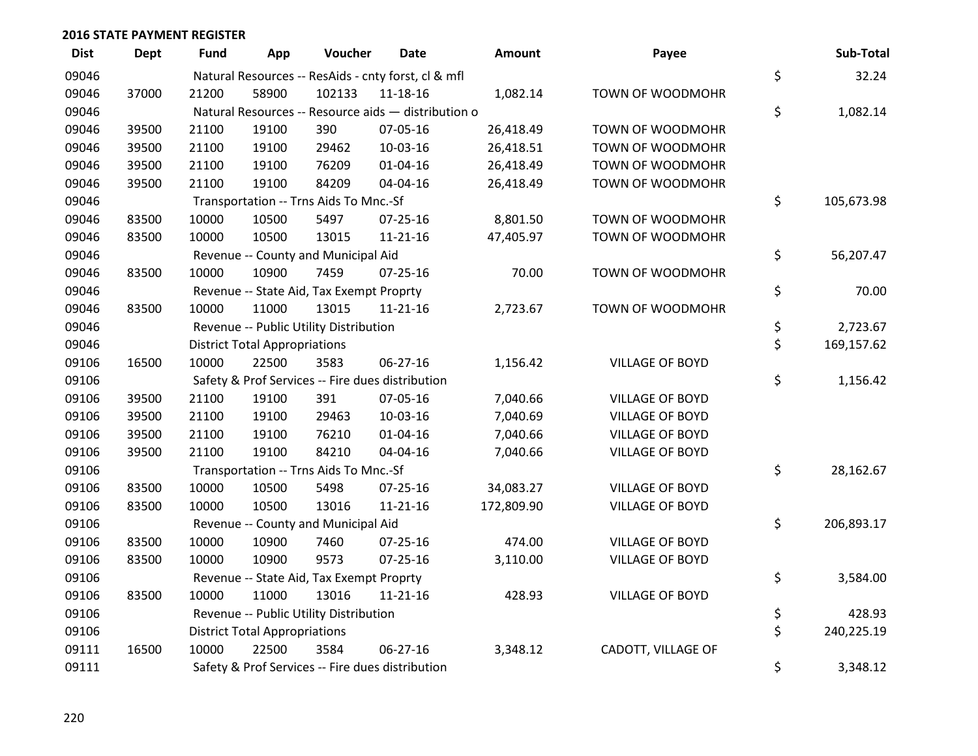| <b>Dist</b> | <b>Dept</b> | <b>Fund</b> | App                                  | Voucher                                  | <b>Date</b>                                         | <b>Amount</b> | Payee                  | Sub-Total        |
|-------------|-------------|-------------|--------------------------------------|------------------------------------------|-----------------------------------------------------|---------------|------------------------|------------------|
| 09046       |             |             |                                      |                                          | Natural Resources -- ResAids - cnty forst, cl & mfl |               |                        | \$<br>32.24      |
| 09046       | 37000       | 21200       | 58900                                | 102133                                   | 11-18-16                                            | 1,082.14      | TOWN OF WOODMOHR       |                  |
| 09046       |             |             |                                      |                                          | Natural Resources -- Resource aids - distribution o |               |                        | \$<br>1,082.14   |
| 09046       | 39500       | 21100       | 19100                                | 390                                      | 07-05-16                                            | 26,418.49     | TOWN OF WOODMOHR       |                  |
| 09046       | 39500       | 21100       | 19100                                | 29462                                    | 10-03-16                                            | 26,418.51     | TOWN OF WOODMOHR       |                  |
| 09046       | 39500       | 21100       | 19100                                | 76209                                    | 01-04-16                                            | 26,418.49     | TOWN OF WOODMOHR       |                  |
| 09046       | 39500       | 21100       | 19100                                | 84209                                    | 04-04-16                                            | 26,418.49     | TOWN OF WOODMOHR       |                  |
| 09046       |             |             |                                      | Transportation -- Trns Aids To Mnc.-Sf   |                                                     |               |                        | \$<br>105,673.98 |
| 09046       | 83500       | 10000       | 10500                                | 5497                                     | $07 - 25 - 16$                                      | 8,801.50      | TOWN OF WOODMOHR       |                  |
| 09046       | 83500       | 10000       | 10500                                | 13015                                    | $11 - 21 - 16$                                      | 47,405.97     | TOWN OF WOODMOHR       |                  |
| 09046       |             |             |                                      | Revenue -- County and Municipal Aid      |                                                     |               |                        | \$<br>56,207.47  |
| 09046       | 83500       | 10000       | 10900                                | 7459                                     | $07 - 25 - 16$                                      | 70.00         | TOWN OF WOODMOHR       |                  |
| 09046       |             |             |                                      | Revenue -- State Aid, Tax Exempt Proprty |                                                     |               |                        | \$<br>70.00      |
| 09046       | 83500       | 10000       | 11000                                | 13015                                    | $11 - 21 - 16$                                      | 2,723.67      | TOWN OF WOODMOHR       |                  |
| 09046       |             |             |                                      | Revenue -- Public Utility Distribution   |                                                     |               |                        | \$<br>2,723.67   |
| 09046       |             |             | <b>District Total Appropriations</b> |                                          |                                                     |               |                        | \$<br>169,157.62 |
| 09106       | 16500       | 10000       | 22500                                | 3583                                     | 06-27-16                                            | 1,156.42      | <b>VILLAGE OF BOYD</b> |                  |
| 09106       |             |             |                                      |                                          | Safety & Prof Services -- Fire dues distribution    |               |                        | \$<br>1,156.42   |
| 09106       | 39500       | 21100       | 19100                                | 391                                      | 07-05-16                                            | 7,040.66      | <b>VILLAGE OF BOYD</b> |                  |
| 09106       | 39500       | 21100       | 19100                                | 29463                                    | 10-03-16                                            | 7,040.69      | <b>VILLAGE OF BOYD</b> |                  |
| 09106       | 39500       | 21100       | 19100                                | 76210                                    | $01 - 04 - 16$                                      | 7,040.66      | <b>VILLAGE OF BOYD</b> |                  |
| 09106       | 39500       | 21100       | 19100                                | 84210                                    | 04-04-16                                            | 7,040.66      | VILLAGE OF BOYD        |                  |
| 09106       |             |             |                                      | Transportation -- Trns Aids To Mnc.-Sf   |                                                     |               |                        | \$<br>28,162.67  |
| 09106       | 83500       | 10000       | 10500                                | 5498                                     | 07-25-16                                            | 34,083.27     | <b>VILLAGE OF BOYD</b> |                  |
| 09106       | 83500       | 10000       | 10500                                | 13016                                    | $11 - 21 - 16$                                      | 172,809.90    | <b>VILLAGE OF BOYD</b> |                  |
| 09106       |             |             |                                      | Revenue -- County and Municipal Aid      |                                                     |               |                        | \$<br>206,893.17 |
| 09106       | 83500       | 10000       | 10900                                | 7460                                     | $07 - 25 - 16$                                      | 474.00        | <b>VILLAGE OF BOYD</b> |                  |
| 09106       | 83500       | 10000       | 10900                                | 9573                                     | 07-25-16                                            | 3,110.00      | <b>VILLAGE OF BOYD</b> |                  |
| 09106       |             |             |                                      | Revenue -- State Aid, Tax Exempt Proprty |                                                     |               |                        | \$<br>3,584.00   |
| 09106       | 83500       | 10000       | 11000                                | 13016                                    | $11 - 21 - 16$                                      | 428.93        | <b>VILLAGE OF BOYD</b> |                  |
| 09106       |             |             |                                      | Revenue -- Public Utility Distribution   |                                                     |               |                        | \$<br>428.93     |
| 09106       |             |             | <b>District Total Appropriations</b> |                                          |                                                     |               |                        | \$<br>240,225.19 |
| 09111       | 16500       | 10000       | 22500                                | 3584                                     | $06 - 27 - 16$                                      | 3,348.12      | CADOTT, VILLAGE OF     |                  |
| 09111       |             |             |                                      |                                          | Safety & Prof Services -- Fire dues distribution    |               |                        | \$<br>3,348.12   |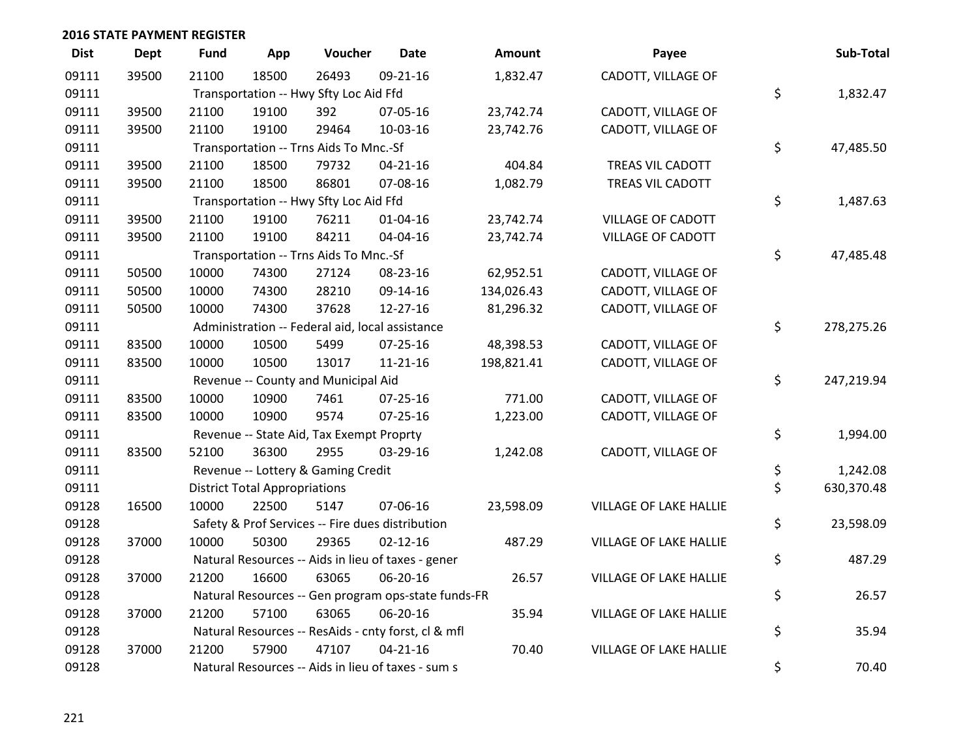| <b>Dist</b> | Dept  | <b>Fund</b> | App                                  | Voucher                                             | <b>Date</b>    | Amount     | Payee                         | Sub-Total        |
|-------------|-------|-------------|--------------------------------------|-----------------------------------------------------|----------------|------------|-------------------------------|------------------|
| 09111       | 39500 | 21100       | 18500                                | 26493                                               | 09-21-16       | 1,832.47   | CADOTT, VILLAGE OF            |                  |
| 09111       |       |             |                                      | Transportation -- Hwy Sfty Loc Aid Ffd              |                |            |                               | \$<br>1,832.47   |
| 09111       | 39500 | 21100       | 19100                                | 392                                                 | 07-05-16       | 23,742.74  | CADOTT, VILLAGE OF            |                  |
| 09111       | 39500 | 21100       | 19100                                | 29464                                               | 10-03-16       | 23,742.76  | CADOTT, VILLAGE OF            |                  |
| 09111       |       |             |                                      | Transportation -- Trns Aids To Mnc.-Sf              |                |            |                               | \$<br>47,485.50  |
| 09111       | 39500 | 21100       | 18500                                | 79732                                               | $04 - 21 - 16$ | 404.84     | TREAS VIL CADOTT              |                  |
| 09111       | 39500 | 21100       | 18500                                | 86801                                               | 07-08-16       | 1,082.79   | TREAS VIL CADOTT              |                  |
| 09111       |       |             |                                      | Transportation -- Hwy Sfty Loc Aid Ffd              |                |            |                               | \$<br>1,487.63   |
| 09111       | 39500 | 21100       | 19100                                | 76211                                               | $01 - 04 - 16$ | 23,742.74  | VILLAGE OF CADOTT             |                  |
| 09111       | 39500 | 21100       | 19100                                | 84211                                               | 04-04-16       | 23,742.74  | <b>VILLAGE OF CADOTT</b>      |                  |
| 09111       |       |             |                                      | Transportation -- Trns Aids To Mnc.-Sf              |                |            |                               | \$<br>47,485.48  |
| 09111       | 50500 | 10000       | 74300                                | 27124                                               | 08-23-16       | 62,952.51  | CADOTT, VILLAGE OF            |                  |
| 09111       | 50500 | 10000       | 74300                                | 28210                                               | 09-14-16       | 134,026.43 | CADOTT, VILLAGE OF            |                  |
| 09111       | 50500 | 10000       | 74300                                | 37628                                               | 12-27-16       | 81,296.32  | CADOTT, VILLAGE OF            |                  |
| 09111       |       |             |                                      | Administration -- Federal aid, local assistance     |                |            |                               | \$<br>278,275.26 |
| 09111       | 83500 | 10000       | 10500                                | 5499                                                | $07 - 25 - 16$ | 48,398.53  | CADOTT, VILLAGE OF            |                  |
| 09111       | 83500 | 10000       | 10500                                | 13017                                               | 11-21-16       | 198,821.41 | CADOTT, VILLAGE OF            |                  |
| 09111       |       |             |                                      | Revenue -- County and Municipal Aid                 |                |            |                               | \$<br>247,219.94 |
| 09111       | 83500 | 10000       | 10900                                | 7461                                                | 07-25-16       | 771.00     | CADOTT, VILLAGE OF            |                  |
| 09111       | 83500 | 10000       | 10900                                | 9574                                                | $07 - 25 - 16$ | 1,223.00   | CADOTT, VILLAGE OF            |                  |
| 09111       |       |             |                                      | Revenue -- State Aid, Tax Exempt Proprty            |                |            |                               | \$<br>1,994.00   |
| 09111       | 83500 | 52100       | 36300                                | 2955                                                | 03-29-16       | 1,242.08   | CADOTT, VILLAGE OF            |                  |
| 09111       |       |             |                                      | Revenue -- Lottery & Gaming Credit                  |                |            |                               | \$<br>1,242.08   |
| 09111       |       |             | <b>District Total Appropriations</b> |                                                     |                |            |                               | \$<br>630,370.48 |
| 09128       | 16500 | 10000       | 22500                                | 5147                                                | 07-06-16       | 23,598.09  | <b>VILLAGE OF LAKE HALLIE</b> |                  |
| 09128       |       |             |                                      | Safety & Prof Services -- Fire dues distribution    |                |            |                               | \$<br>23,598.09  |
| 09128       | 37000 | 10000       | 50300                                | 29365                                               | $02 - 12 - 16$ | 487.29     | VILLAGE OF LAKE HALLIE        |                  |
| 09128       |       |             |                                      | Natural Resources -- Aids in lieu of taxes - gener  |                |            |                               | \$<br>487.29     |
| 09128       | 37000 | 21200       | 16600                                | 63065                                               | 06-20-16       | 26.57      | VILLAGE OF LAKE HALLIE        |                  |
| 09128       |       |             |                                      | Natural Resources -- Gen program ops-state funds-FR |                |            |                               | \$<br>26.57      |
| 09128       | 37000 | 21200       | 57100                                | 63065                                               | 06-20-16       | 35.94      | <b>VILLAGE OF LAKE HALLIE</b> |                  |
| 09128       |       |             |                                      | Natural Resources -- ResAids - cnty forst, cl & mfl |                |            |                               | \$<br>35.94      |
| 09128       | 37000 | 21200       | 57900                                | 47107                                               | $04 - 21 - 16$ | 70.40      | VILLAGE OF LAKE HALLIE        |                  |
| 09128       |       |             |                                      | Natural Resources -- Aids in lieu of taxes - sum s  |                |            |                               | \$<br>70.40      |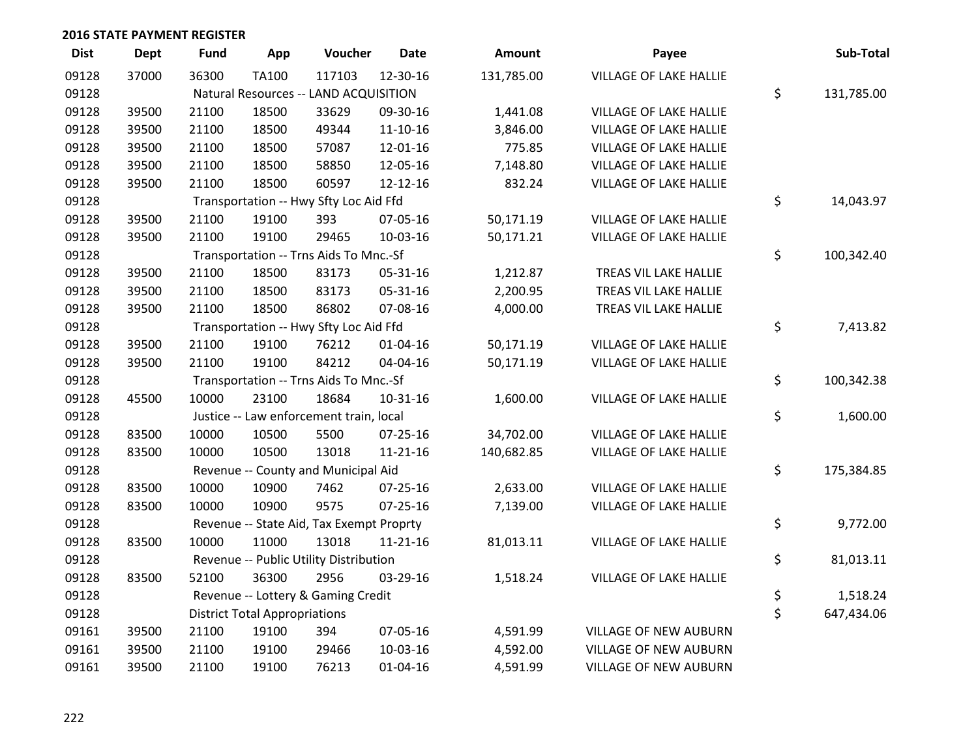| <b>Dist</b> | <b>Dept</b> | Fund  | App                                   | Voucher                                  | <b>Date</b>    | <b>Amount</b> | Payee                         |    | Sub-Total  |  |  |
|-------------|-------------|-------|---------------------------------------|------------------------------------------|----------------|---------------|-------------------------------|----|------------|--|--|
| 09128       | 37000       | 36300 | <b>TA100</b>                          | 117103                                   | 12-30-16       | 131,785.00    | <b>VILLAGE OF LAKE HALLIE</b> |    |            |  |  |
| 09128       |             |       | Natural Resources -- LAND ACQUISITION |                                          |                |               |                               |    |            |  |  |
| 09128       | 39500       | 21100 | 18500                                 | 33629                                    | 09-30-16       | 1,441.08      | <b>VILLAGE OF LAKE HALLIE</b> |    |            |  |  |
| 09128       | 39500       | 21100 | 18500                                 | 49344                                    | $11 - 10 - 16$ | 3,846.00      | <b>VILLAGE OF LAKE HALLIE</b> |    |            |  |  |
| 09128       | 39500       | 21100 | 18500                                 | 57087                                    | 12-01-16       | 775.85        | <b>VILLAGE OF LAKE HALLIE</b> |    |            |  |  |
| 09128       | 39500       | 21100 | 18500                                 | 58850                                    | 12-05-16       | 7,148.80      | VILLAGE OF LAKE HALLIE        |    |            |  |  |
| 09128       | 39500       | 21100 | 18500                                 | 60597                                    | 12-12-16       | 832.24        | VILLAGE OF LAKE HALLIE        |    |            |  |  |
| 09128       |             |       |                                       | Transportation -- Hwy Sfty Loc Aid Ffd   |                |               |                               | \$ | 14,043.97  |  |  |
| 09128       | 39500       | 21100 | 19100                                 | 393                                      | 07-05-16       | 50,171.19     | VILLAGE OF LAKE HALLIE        |    |            |  |  |
| 09128       | 39500       | 21100 | 19100                                 | 29465                                    | 10-03-16       | 50,171.21     | VILLAGE OF LAKE HALLIE        |    |            |  |  |
| 09128       |             |       |                                       | Transportation -- Trns Aids To Mnc.-Sf   |                |               |                               | \$ | 100,342.40 |  |  |
| 09128       | 39500       | 21100 | 18500                                 | 83173                                    | 05-31-16       | 1,212.87      | TREAS VIL LAKE HALLIE         |    |            |  |  |
| 09128       | 39500       | 21100 | 18500                                 | 83173                                    | 05-31-16       | 2,200.95      | TREAS VIL LAKE HALLIE         |    |            |  |  |
| 09128       | 39500       | 21100 | 18500                                 | 86802                                    | 07-08-16       | 4,000.00      | TREAS VIL LAKE HALLIE         |    |            |  |  |
| 09128       |             |       |                                       | Transportation -- Hwy Sfty Loc Aid Ffd   |                |               |                               | \$ | 7,413.82   |  |  |
| 09128       | 39500       | 21100 | 19100                                 | 76212                                    | $01 - 04 - 16$ | 50,171.19     | VILLAGE OF LAKE HALLIE        |    |            |  |  |
| 09128       | 39500       | 21100 | 19100                                 | 84212                                    | 04-04-16       | 50,171.19     | VILLAGE OF LAKE HALLIE        |    |            |  |  |
| 09128       |             |       |                                       | Transportation -- Trns Aids To Mnc.-Sf   |                |               |                               | \$ | 100,342.38 |  |  |
| 09128       | 45500       | 10000 | 23100                                 | 18684                                    | $10-31-16$     | 1,600.00      | VILLAGE OF LAKE HALLIE        |    |            |  |  |
| 09128       |             |       |                                       | Justice -- Law enforcement train, local  |                |               |                               | \$ | 1,600.00   |  |  |
| 09128       | 83500       | 10000 | 10500                                 | 5500                                     | $07 - 25 - 16$ | 34,702.00     | VILLAGE OF LAKE HALLIE        |    |            |  |  |
| 09128       | 83500       | 10000 | 10500                                 | 13018                                    | $11 - 21 - 16$ | 140,682.85    | VILLAGE OF LAKE HALLIE        |    |            |  |  |
| 09128       |             |       |                                       | Revenue -- County and Municipal Aid      |                |               |                               | \$ | 175,384.85 |  |  |
| 09128       | 83500       | 10000 | 10900                                 | 7462                                     | $07 - 25 - 16$ | 2,633.00      | <b>VILLAGE OF LAKE HALLIE</b> |    |            |  |  |
| 09128       | 83500       | 10000 | 10900                                 | 9575                                     | $07 - 25 - 16$ | 7,139.00      | VILLAGE OF LAKE HALLIE        |    |            |  |  |
| 09128       |             |       |                                       | Revenue -- State Aid, Tax Exempt Proprty |                |               |                               | \$ | 9,772.00   |  |  |
| 09128       | 83500       | 10000 | 11000                                 | 13018                                    | $11 - 21 - 16$ | 81,013.11     | VILLAGE OF LAKE HALLIE        |    |            |  |  |
| 09128       |             |       |                                       | Revenue -- Public Utility Distribution   |                |               |                               | \$ | 81,013.11  |  |  |
| 09128       | 83500       | 52100 | 36300                                 | 2956                                     | 03-29-16       | 1,518.24      | VILLAGE OF LAKE HALLIE        |    |            |  |  |
| 09128       |             |       |                                       | Revenue -- Lottery & Gaming Credit       |                |               |                               | \$ | 1,518.24   |  |  |
| 09128       |             |       | <b>District Total Appropriations</b>  |                                          |                |               |                               | \$ | 647,434.06 |  |  |
| 09161       | 39500       | 21100 | 19100                                 | 394                                      | 07-05-16       | 4,591.99      | <b>VILLAGE OF NEW AUBURN</b>  |    |            |  |  |
| 09161       | 39500       | 21100 | 19100                                 | 29466                                    | 10-03-16       | 4,592.00      | <b>VILLAGE OF NEW AUBURN</b>  |    |            |  |  |
| 09161       | 39500       | 21100 | 19100                                 | 76213                                    | $01 - 04 - 16$ | 4,591.99      | VILLAGE OF NEW AUBURN         |    |            |  |  |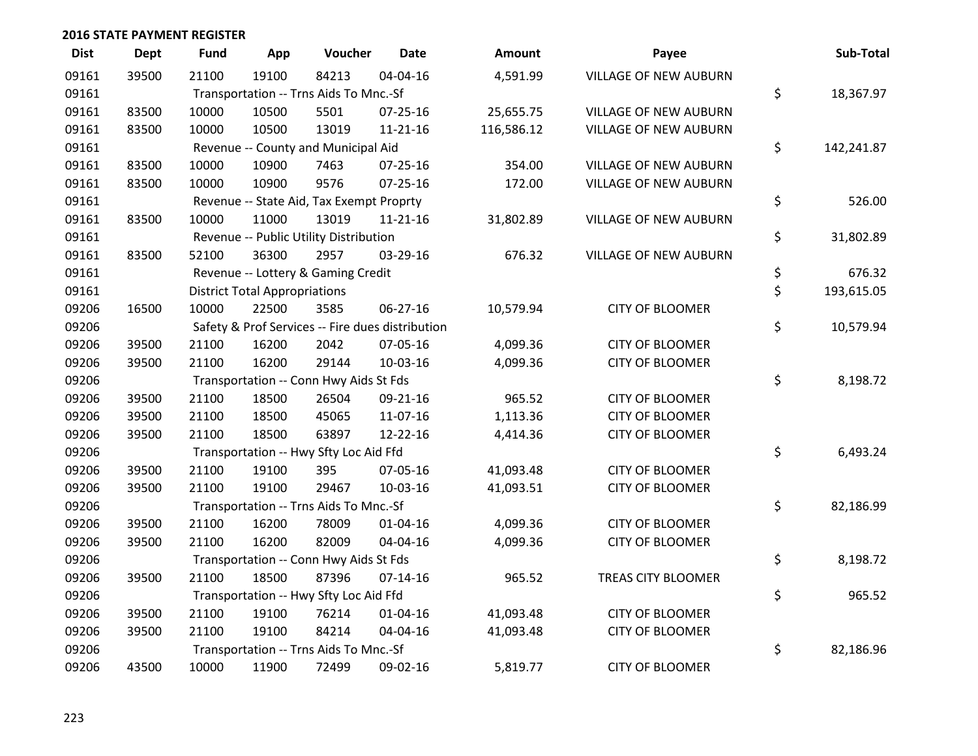| <b>Dist</b> | <b>Dept</b> | <b>Fund</b> | App                                  | Voucher                                  | <b>Date</b>                                      | <b>Amount</b> | Payee                        | Sub-Total        |
|-------------|-------------|-------------|--------------------------------------|------------------------------------------|--------------------------------------------------|---------------|------------------------------|------------------|
| 09161       | 39500       | 21100       | 19100                                | 84213                                    | 04-04-16                                         | 4,591.99      | <b>VILLAGE OF NEW AUBURN</b> |                  |
| 09161       |             |             |                                      | Transportation -- Trns Aids To Mnc.-Sf   |                                                  |               |                              | \$<br>18,367.97  |
| 09161       | 83500       | 10000       | 10500                                | 5501                                     | 07-25-16                                         | 25,655.75     | VILLAGE OF NEW AUBURN        |                  |
| 09161       | 83500       | 10000       | 10500                                | 13019                                    | $11 - 21 - 16$                                   | 116,586.12    | <b>VILLAGE OF NEW AUBURN</b> |                  |
| 09161       |             |             |                                      | Revenue -- County and Municipal Aid      |                                                  |               |                              | \$<br>142,241.87 |
| 09161       | 83500       | 10000       | 10900                                | 7463                                     | 07-25-16                                         | 354.00        | <b>VILLAGE OF NEW AUBURN</b> |                  |
| 09161       | 83500       | 10000       | 10900                                | 9576                                     | 07-25-16                                         | 172.00        | <b>VILLAGE OF NEW AUBURN</b> |                  |
| 09161       |             |             |                                      | Revenue -- State Aid, Tax Exempt Proprty |                                                  |               |                              | \$<br>526.00     |
| 09161       | 83500       | 10000       | 11000                                | 13019                                    | $11 - 21 - 16$                                   | 31,802.89     | VILLAGE OF NEW AUBURN        |                  |
| 09161       |             |             |                                      | Revenue -- Public Utility Distribution   |                                                  |               |                              | \$<br>31,802.89  |
| 09161       | 83500       | 52100       | 36300                                | 2957                                     | 03-29-16                                         | 676.32        | VILLAGE OF NEW AUBURN        |                  |
| 09161       |             |             |                                      | Revenue -- Lottery & Gaming Credit       |                                                  |               |                              | \$<br>676.32     |
| 09161       |             |             | <b>District Total Appropriations</b> |                                          |                                                  |               |                              | \$<br>193,615.05 |
| 09206       | 16500       | 10000       | 22500                                | 3585                                     | 06-27-16                                         | 10,579.94     | <b>CITY OF BLOOMER</b>       |                  |
| 09206       |             |             |                                      |                                          | Safety & Prof Services -- Fire dues distribution |               |                              | \$<br>10,579.94  |
| 09206       | 39500       | 21100       | 16200                                | 2042                                     | 07-05-16                                         | 4,099.36      | <b>CITY OF BLOOMER</b>       |                  |
| 09206       | 39500       | 21100       | 16200                                | 29144                                    | 10-03-16                                         | 4,099.36      | <b>CITY OF BLOOMER</b>       |                  |
| 09206       |             |             |                                      | Transportation -- Conn Hwy Aids St Fds   |                                                  |               |                              | \$<br>8,198.72   |
| 09206       | 39500       | 21100       | 18500                                | 26504                                    | 09-21-16                                         | 965.52        | <b>CITY OF BLOOMER</b>       |                  |
| 09206       | 39500       | 21100       | 18500                                | 45065                                    | 11-07-16                                         | 1,113.36      | <b>CITY OF BLOOMER</b>       |                  |
| 09206       | 39500       | 21100       | 18500                                | 63897                                    | 12-22-16                                         | 4,414.36      | <b>CITY OF BLOOMER</b>       |                  |
| 09206       |             |             |                                      | Transportation -- Hwy Sfty Loc Aid Ffd   |                                                  |               |                              | \$<br>6,493.24   |
| 09206       | 39500       | 21100       | 19100                                | 395                                      | 07-05-16                                         | 41,093.48     | <b>CITY OF BLOOMER</b>       |                  |
| 09206       | 39500       | 21100       | 19100                                | 29467                                    | 10-03-16                                         | 41,093.51     | <b>CITY OF BLOOMER</b>       |                  |
| 09206       |             |             |                                      | Transportation -- Trns Aids To Mnc.-Sf   |                                                  |               |                              | \$<br>82,186.99  |
| 09206       | 39500       | 21100       | 16200                                | 78009                                    | $01 - 04 - 16$                                   | 4,099.36      | <b>CITY OF BLOOMER</b>       |                  |
| 09206       | 39500       | 21100       | 16200                                | 82009                                    | 04-04-16                                         | 4,099.36      | <b>CITY OF BLOOMER</b>       |                  |
| 09206       |             |             |                                      | Transportation -- Conn Hwy Aids St Fds   |                                                  |               |                              | \$<br>8,198.72   |
| 09206       | 39500       | 21100       | 18500                                | 87396                                    | $07 - 14 - 16$                                   | 965.52        | TREAS CITY BLOOMER           |                  |
| 09206       |             |             |                                      | Transportation -- Hwy Sfty Loc Aid Ffd   |                                                  |               |                              | \$<br>965.52     |
| 09206       | 39500       | 21100       | 19100                                | 76214                                    | $01 - 04 - 16$                                   | 41,093.48     | <b>CITY OF BLOOMER</b>       |                  |
| 09206       | 39500       | 21100       | 19100                                | 84214                                    | 04-04-16                                         | 41,093.48     | <b>CITY OF BLOOMER</b>       |                  |
| 09206       |             |             |                                      | Transportation -- Trns Aids To Mnc.-Sf   |                                                  |               |                              | \$<br>82,186.96  |
| 09206       | 43500       | 10000       | 11900                                | 72499                                    | 09-02-16                                         | 5,819.77      | <b>CITY OF BLOOMER</b>       |                  |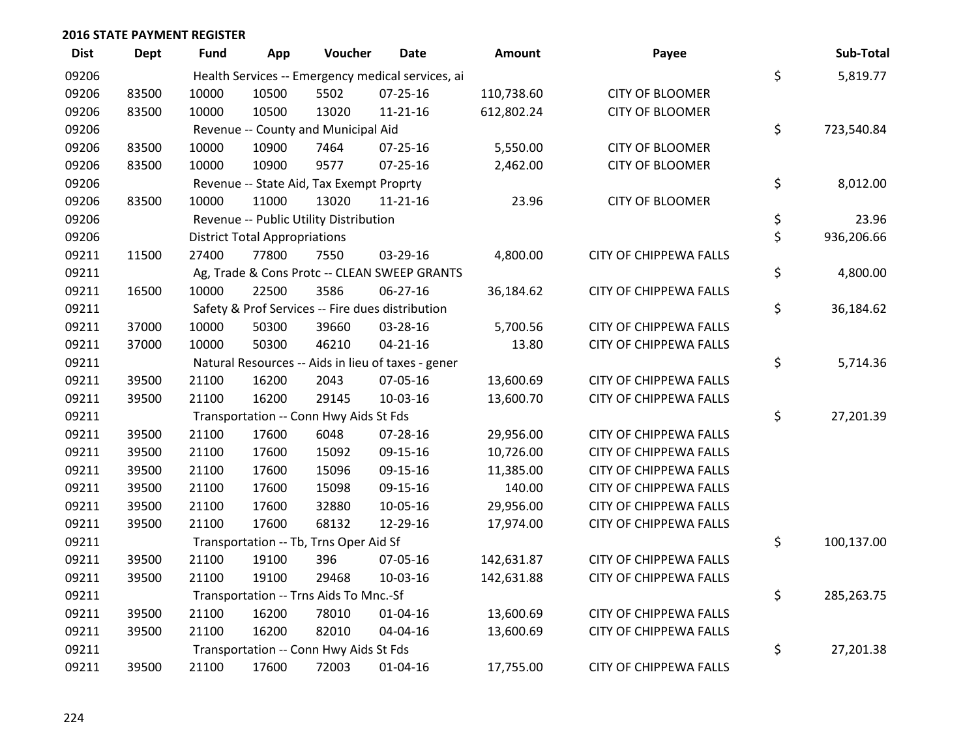| <b>Dist</b> | <b>Dept</b> | <b>Fund</b> | App                                  | Voucher                                  | <b>Date</b>                                        | <b>Amount</b> | Payee                         | Sub-Total        |
|-------------|-------------|-------------|--------------------------------------|------------------------------------------|----------------------------------------------------|---------------|-------------------------------|------------------|
| 09206       |             |             |                                      |                                          | Health Services -- Emergency medical services, ai  |               |                               | \$<br>5,819.77   |
| 09206       | 83500       | 10000       | 10500                                | 5502                                     | 07-25-16                                           | 110,738.60    | <b>CITY OF BLOOMER</b>        |                  |
| 09206       | 83500       | 10000       | 10500                                | 13020                                    | $11 - 21 - 16$                                     | 612,802.24    | <b>CITY OF BLOOMER</b>        |                  |
| 09206       |             |             |                                      | Revenue -- County and Municipal Aid      |                                                    |               |                               | \$<br>723,540.84 |
| 09206       | 83500       | 10000       | 10900                                | 7464                                     | $07 - 25 - 16$                                     | 5,550.00      | <b>CITY OF BLOOMER</b>        |                  |
| 09206       | 83500       | 10000       | 10900                                | 9577                                     | 07-25-16                                           | 2,462.00      | <b>CITY OF BLOOMER</b>        |                  |
| 09206       |             |             |                                      | Revenue -- State Aid, Tax Exempt Proprty |                                                    |               |                               | \$<br>8,012.00   |
| 09206       | 83500       | 10000       | 11000                                | 13020                                    | $11 - 21 - 16$                                     | 23.96         | <b>CITY OF BLOOMER</b>        |                  |
| 09206       |             |             |                                      | Revenue -- Public Utility Distribution   |                                                    |               |                               | \$<br>23.96      |
| 09206       |             |             | <b>District Total Appropriations</b> |                                          |                                                    |               |                               | \$<br>936,206.66 |
| 09211       | 11500       | 27400       | 77800                                | 7550                                     | 03-29-16                                           | 4,800.00      | <b>CITY OF CHIPPEWA FALLS</b> |                  |
| 09211       |             |             |                                      |                                          | Ag, Trade & Cons Protc -- CLEAN SWEEP GRANTS       |               |                               | \$<br>4,800.00   |
| 09211       | 16500       | 10000       | 22500                                | 3586                                     | 06-27-16                                           | 36,184.62     | <b>CITY OF CHIPPEWA FALLS</b> |                  |
| 09211       |             |             |                                      |                                          | Safety & Prof Services -- Fire dues distribution   |               |                               | \$<br>36,184.62  |
| 09211       | 37000       | 10000       | 50300                                | 39660                                    | 03-28-16                                           | 5,700.56      | <b>CITY OF CHIPPEWA FALLS</b> |                  |
| 09211       | 37000       | 10000       | 50300                                | 46210                                    | $04 - 21 - 16$                                     | 13.80         | <b>CITY OF CHIPPEWA FALLS</b> |                  |
| 09211       |             |             |                                      |                                          | Natural Resources -- Aids in lieu of taxes - gener |               |                               | \$<br>5,714.36   |
| 09211       | 39500       | 21100       | 16200                                | 2043                                     | 07-05-16                                           | 13,600.69     | <b>CITY OF CHIPPEWA FALLS</b> |                  |
| 09211       | 39500       | 21100       | 16200                                | 29145                                    | 10-03-16                                           | 13,600.70     | <b>CITY OF CHIPPEWA FALLS</b> |                  |
| 09211       |             |             |                                      | Transportation -- Conn Hwy Aids St Fds   |                                                    |               |                               | \$<br>27,201.39  |
| 09211       | 39500       | 21100       | 17600                                | 6048                                     | 07-28-16                                           | 29,956.00     | <b>CITY OF CHIPPEWA FALLS</b> |                  |
| 09211       | 39500       | 21100       | 17600                                | 15092                                    | 09-15-16                                           | 10,726.00     | <b>CITY OF CHIPPEWA FALLS</b> |                  |
| 09211       | 39500       | 21100       | 17600                                | 15096                                    | 09-15-16                                           | 11,385.00     | <b>CITY OF CHIPPEWA FALLS</b> |                  |
| 09211       | 39500       | 21100       | 17600                                | 15098                                    | 09-15-16                                           | 140.00        | <b>CITY OF CHIPPEWA FALLS</b> |                  |
| 09211       | 39500       | 21100       | 17600                                | 32880                                    | 10-05-16                                           | 29,956.00     | <b>CITY OF CHIPPEWA FALLS</b> |                  |
| 09211       | 39500       | 21100       | 17600                                | 68132                                    | 12-29-16                                           | 17,974.00     | <b>CITY OF CHIPPEWA FALLS</b> |                  |
| 09211       |             |             |                                      | Transportation -- Tb, Trns Oper Aid Sf   |                                                    |               |                               | \$<br>100,137.00 |
| 09211       | 39500       | 21100       | 19100                                | 396                                      | 07-05-16                                           | 142,631.87    | <b>CITY OF CHIPPEWA FALLS</b> |                  |
| 09211       | 39500       | 21100       | 19100                                | 29468                                    | 10-03-16                                           | 142,631.88    | <b>CITY OF CHIPPEWA FALLS</b> |                  |
| 09211       |             |             |                                      | Transportation -- Trns Aids To Mnc.-Sf   |                                                    |               |                               | \$<br>285,263.75 |
| 09211       | 39500       | 21100       | 16200                                | 78010                                    | $01 - 04 - 16$                                     | 13,600.69     | <b>CITY OF CHIPPEWA FALLS</b> |                  |
| 09211       | 39500       | 21100       | 16200                                | 82010                                    | 04-04-16                                           | 13,600.69     | <b>CITY OF CHIPPEWA FALLS</b> |                  |
| 09211       |             |             |                                      | Transportation -- Conn Hwy Aids St Fds   |                                                    |               |                               | \$<br>27,201.38  |
| 09211       | 39500       | 21100       | 17600                                | 72003                                    | $01 - 04 - 16$                                     | 17,755.00     | CITY OF CHIPPEWA FALLS        |                  |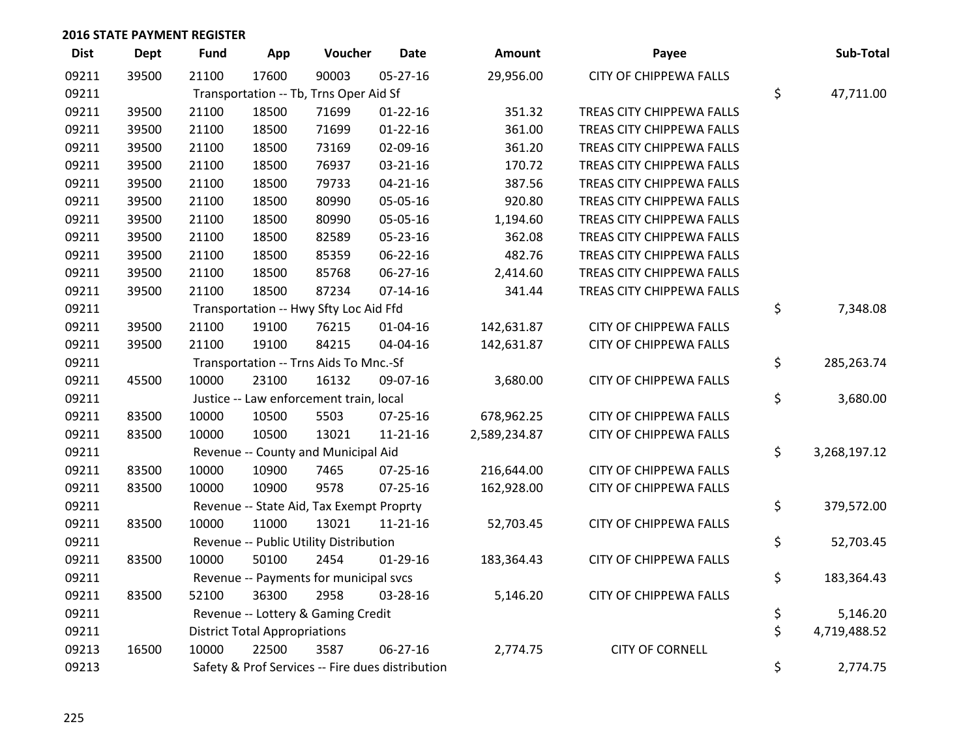| <b>Dist</b> | <b>Dept</b> | <b>Fund</b>                        | App                                              | Voucher                                  | <b>Date</b>    | <b>Amount</b> | Payee                            |    | Sub-Total    |  |
|-------------|-------------|------------------------------------|--------------------------------------------------|------------------------------------------|----------------|---------------|----------------------------------|----|--------------|--|
| 09211       | 39500       | 21100                              | 17600                                            | 90003                                    | 05-27-16       | 29,956.00     | CITY OF CHIPPEWA FALLS           |    |              |  |
| 09211       |             |                                    | Transportation -- Tb, Trns Oper Aid Sf           |                                          |                |               |                                  |    |              |  |
| 09211       | 39500       | 21100                              | 18500                                            | 71699                                    | $01 - 22 - 16$ | 351.32        | TREAS CITY CHIPPEWA FALLS        |    |              |  |
| 09211       | 39500       | 21100                              | 18500                                            | 71699                                    | $01 - 22 - 16$ | 361.00        | TREAS CITY CHIPPEWA FALLS        |    |              |  |
| 09211       | 39500       | 21100                              | 18500                                            | 73169                                    | 02-09-16       | 361.20        | TREAS CITY CHIPPEWA FALLS        |    |              |  |
| 09211       | 39500       | 21100                              | 18500                                            | 76937                                    | 03-21-16       | 170.72        | TREAS CITY CHIPPEWA FALLS        |    |              |  |
| 09211       | 39500       | 21100                              | 18500                                            | 79733                                    | $04 - 21 - 16$ | 387.56        | TREAS CITY CHIPPEWA FALLS        |    |              |  |
| 09211       | 39500       | 21100                              | 18500                                            | 80990                                    | 05-05-16       | 920.80        | TREAS CITY CHIPPEWA FALLS        |    |              |  |
| 09211       | 39500       | 21100                              | 18500                                            | 80990                                    | 05-05-16       | 1,194.60      | TREAS CITY CHIPPEWA FALLS        |    |              |  |
| 09211       | 39500       | 21100                              | 18500                                            | 82589                                    | 05-23-16       | 362.08        | <b>TREAS CITY CHIPPEWA FALLS</b> |    |              |  |
| 09211       | 39500       | 21100                              | 18500                                            | 85359                                    | 06-22-16       | 482.76        | TREAS CITY CHIPPEWA FALLS        |    |              |  |
| 09211       | 39500       | 21100                              | 18500                                            | 85768                                    | 06-27-16       | 2,414.60      | TREAS CITY CHIPPEWA FALLS        |    |              |  |
| 09211       | 39500       | 21100                              | 18500                                            | 87234                                    | $07-14-16$     | 341.44        | TREAS CITY CHIPPEWA FALLS        |    |              |  |
| 09211       |             |                                    |                                                  | Transportation -- Hwy Sfty Loc Aid Ffd   |                |               |                                  | \$ | 7,348.08     |  |
| 09211       | 39500       | 21100                              | 19100                                            | 76215                                    | $01 - 04 - 16$ | 142,631.87    | <b>CITY OF CHIPPEWA FALLS</b>    |    |              |  |
| 09211       | 39500       | 21100                              | 19100                                            | 84215                                    | 04-04-16       | 142,631.87    | <b>CITY OF CHIPPEWA FALLS</b>    |    |              |  |
| 09211       |             |                                    |                                                  | Transportation -- Trns Aids To Mnc.-Sf   |                |               |                                  | \$ | 285,263.74   |  |
| 09211       | 45500       | 10000                              | 23100                                            | 16132                                    | 09-07-16       | 3,680.00      | CITY OF CHIPPEWA FALLS           |    |              |  |
| 09211       |             |                                    |                                                  | Justice -- Law enforcement train, local  |                |               |                                  | \$ | 3,680.00     |  |
| 09211       | 83500       | 10000                              | 10500                                            | 5503                                     | 07-25-16       | 678,962.25    | CITY OF CHIPPEWA FALLS           |    |              |  |
| 09211       | 83500       | 10000                              | 10500                                            | 13021                                    | $11 - 21 - 16$ | 2,589,234.87  | CITY OF CHIPPEWA FALLS           |    |              |  |
| 09211       |             |                                    |                                                  | Revenue -- County and Municipal Aid      |                |               |                                  | \$ | 3,268,197.12 |  |
| 09211       | 83500       | 10000                              | 10900                                            | 7465                                     | 07-25-16       | 216,644.00    | <b>CITY OF CHIPPEWA FALLS</b>    |    |              |  |
| 09211       | 83500       | 10000                              | 10900                                            | 9578                                     | $07 - 25 - 16$ | 162,928.00    | <b>CITY OF CHIPPEWA FALLS</b>    |    |              |  |
| 09211       |             |                                    |                                                  | Revenue -- State Aid, Tax Exempt Proprty |                |               |                                  | \$ | 379,572.00   |  |
| 09211       | 83500       | 10000                              | 11000                                            | 13021                                    | 11-21-16       | 52,703.45     | <b>CITY OF CHIPPEWA FALLS</b>    |    |              |  |
| 09211       |             |                                    |                                                  | Revenue -- Public Utility Distribution   |                |               |                                  | \$ | 52,703.45    |  |
| 09211       | 83500       | 10000                              | 50100                                            | 2454                                     | 01-29-16       | 183,364.43    | <b>CITY OF CHIPPEWA FALLS</b>    |    |              |  |
| 09211       |             |                                    |                                                  | Revenue -- Payments for municipal svcs   |                |               |                                  | \$ | 183,364.43   |  |
| 09211       | 83500       | 52100                              | 36300                                            | 2958                                     | 03-28-16       | 5,146.20      | CITY OF CHIPPEWA FALLS           |    |              |  |
| 09211       |             | Revenue -- Lottery & Gaming Credit |                                                  |                                          |                |               |                                  |    | 5,146.20     |  |
| 09211       |             |                                    | <b>District Total Appropriations</b>             |                                          |                |               |                                  | \$ | 4,719,488.52 |  |
| 09213       | 16500       | 10000                              | 22500                                            | 3587                                     | 06-27-16       | 2,774.75      | <b>CITY OF CORNELL</b>           |    |              |  |
| 09213       |             |                                    | Safety & Prof Services -- Fire dues distribution |                                          |                |               |                                  |    |              |  |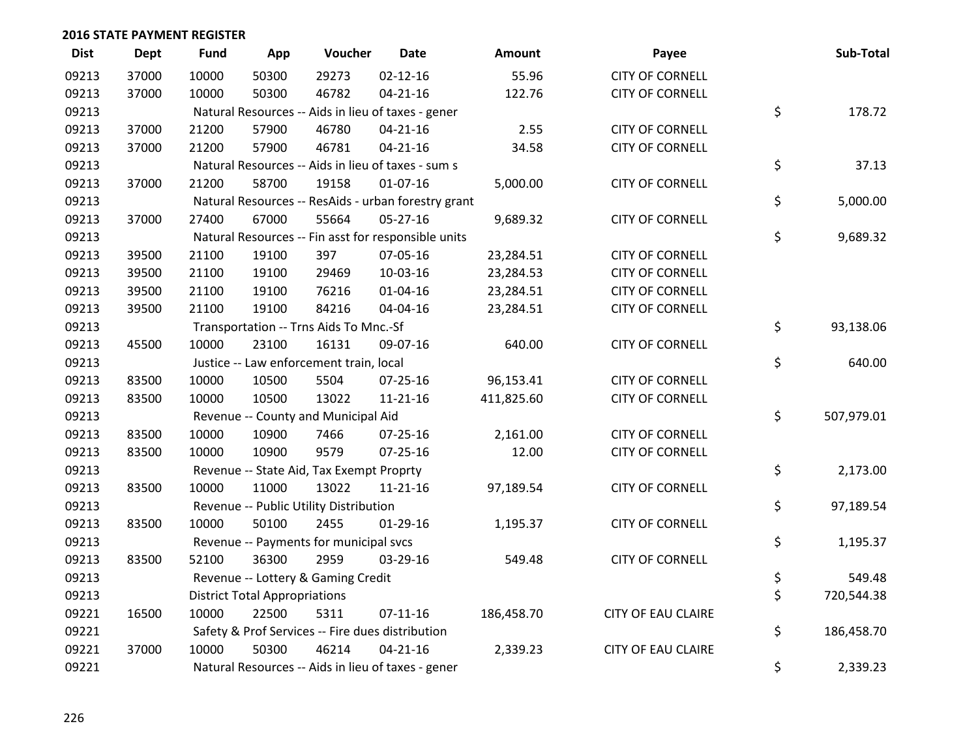| <b>Dist</b> | Dept  | <b>Fund</b> | App                                                | Voucher                                             | <b>Date</b>    | Amount     | Payee                     | Sub-Total        |
|-------------|-------|-------------|----------------------------------------------------|-----------------------------------------------------|----------------|------------|---------------------------|------------------|
| 09213       | 37000 | 10000       | 50300                                              | 29273                                               | $02 - 12 - 16$ | 55.96      | <b>CITY OF CORNELL</b>    |                  |
| 09213       | 37000 | 10000       | 50300                                              | 46782                                               | $04 - 21 - 16$ | 122.76     | <b>CITY OF CORNELL</b>    |                  |
| 09213       |       |             | Natural Resources -- Aids in lieu of taxes - gener | \$<br>178.72                                        |                |            |                           |                  |
| 09213       | 37000 | 21200       | 57900                                              | 46780                                               | $04 - 21 - 16$ | 2.55       | <b>CITY OF CORNELL</b>    |                  |
| 09213       | 37000 | 21200       | 57900                                              | 46781                                               | $04 - 21 - 16$ | 34.58      | <b>CITY OF CORNELL</b>    |                  |
| 09213       |       |             |                                                    | Natural Resources -- Aids in lieu of taxes - sum s  |                |            |                           | \$<br>37.13      |
| 09213       | 37000 | 21200       | 58700                                              | 19158                                               | $01-07-16$     | 5,000.00   | <b>CITY OF CORNELL</b>    |                  |
| 09213       |       |             |                                                    | Natural Resources -- ResAids - urban forestry grant |                |            |                           | \$<br>5,000.00   |
| 09213       | 37000 | 27400       | 67000                                              | 55664                                               | $05 - 27 - 16$ | 9,689.32   | <b>CITY OF CORNELL</b>    |                  |
| 09213       |       |             |                                                    | Natural Resources -- Fin asst for responsible units |                |            |                           | \$<br>9,689.32   |
| 09213       | 39500 | 21100       | 19100                                              | 397                                                 | 07-05-16       | 23,284.51  | <b>CITY OF CORNELL</b>    |                  |
| 09213       | 39500 | 21100       | 19100                                              | 29469                                               | 10-03-16       | 23,284.53  | <b>CITY OF CORNELL</b>    |                  |
| 09213       | 39500 | 21100       | 19100                                              | 76216                                               | $01 - 04 - 16$ | 23,284.51  | <b>CITY OF CORNELL</b>    |                  |
| 09213       | 39500 | 21100       | 19100                                              | 84216                                               | 04-04-16       | 23,284.51  | <b>CITY OF CORNELL</b>    |                  |
| 09213       |       |             |                                                    | Transportation -- Trns Aids To Mnc.-Sf              |                |            |                           | \$<br>93,138.06  |
| 09213       | 45500 | 10000       | 23100                                              | 16131                                               | 09-07-16       | 640.00     | <b>CITY OF CORNELL</b>    |                  |
| 09213       |       |             |                                                    | Justice -- Law enforcement train, local             |                |            |                           | \$<br>640.00     |
| 09213       | 83500 | 10000       | 10500                                              | 5504                                                | 07-25-16       | 96,153.41  | <b>CITY OF CORNELL</b>    |                  |
| 09213       | 83500 | 10000       | 10500                                              | 13022                                               | $11 - 21 - 16$ | 411,825.60 | <b>CITY OF CORNELL</b>    |                  |
| 09213       |       |             |                                                    | Revenue -- County and Municipal Aid                 |                |            |                           | \$<br>507,979.01 |
| 09213       | 83500 | 10000       | 10900                                              | 7466                                                | 07-25-16       | 2,161.00   | <b>CITY OF CORNELL</b>    |                  |
| 09213       | 83500 | 10000       | 10900                                              | 9579                                                | 07-25-16       | 12.00      | <b>CITY OF CORNELL</b>    |                  |
| 09213       |       |             |                                                    | Revenue -- State Aid, Tax Exempt Proprty            |                |            |                           | \$<br>2,173.00   |
| 09213       | 83500 | 10000       | 11000                                              | 13022                                               | $11 - 21 - 16$ | 97,189.54  | <b>CITY OF CORNELL</b>    |                  |
| 09213       |       |             |                                                    | Revenue -- Public Utility Distribution              |                |            |                           | \$<br>97,189.54  |
| 09213       | 83500 | 10000       | 50100                                              | 2455                                                | $01-29-16$     | 1,195.37   | <b>CITY OF CORNELL</b>    |                  |
| 09213       |       |             |                                                    | Revenue -- Payments for municipal svcs              |                |            |                           | \$<br>1,195.37   |
| 09213       | 83500 | 52100       | 36300                                              | 2959                                                | 03-29-16       | 549.48     | <b>CITY OF CORNELL</b>    |                  |
| 09213       |       |             |                                                    | Revenue -- Lottery & Gaming Credit                  |                |            |                           | \$<br>549.48     |
| 09213       |       |             | <b>District Total Appropriations</b>               |                                                     |                |            |                           | \$<br>720,544.38 |
| 09221       | 16500 | 10000       | 22500                                              | 5311                                                | $07 - 11 - 16$ | 186,458.70 | <b>CITY OF EAU CLAIRE</b> |                  |
| 09221       |       |             |                                                    | Safety & Prof Services -- Fire dues distribution    |                |            |                           | \$<br>186,458.70 |
| 09221       | 37000 | 10000       | 50300                                              | 46214                                               | $04 - 21 - 16$ | 2,339.23   | <b>CITY OF EAU CLAIRE</b> |                  |
| 09221       |       |             |                                                    | Natural Resources -- Aids in lieu of taxes - gener  |                |            |                           | \$<br>2,339.23   |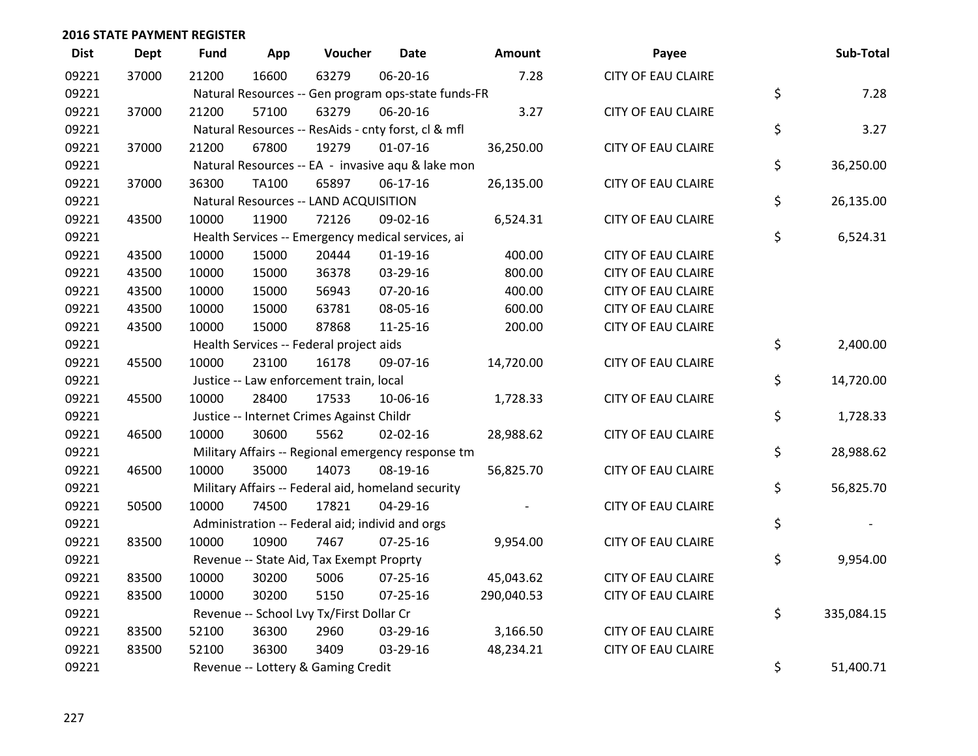| <b>Dist</b> | <b>Dept</b> | <b>Fund</b> | App   | Voucher                                             | <b>Date</b>    | Amount     | Payee                     | Sub-Total        |
|-------------|-------------|-------------|-------|-----------------------------------------------------|----------------|------------|---------------------------|------------------|
| 09221       | 37000       | 21200       | 16600 | 63279                                               | 06-20-16       | 7.28       | <b>CITY OF EAU CLAIRE</b> |                  |
| 09221       |             |             |       | Natural Resources -- Gen program ops-state funds-FR |                |            |                           | \$<br>7.28       |
| 09221       | 37000       | 21200       | 57100 | 63279                                               | 06-20-16       | 3.27       | <b>CITY OF EAU CLAIRE</b> |                  |
| 09221       |             |             |       | Natural Resources -- ResAids - cnty forst, cl & mfl |                |            |                           | \$<br>3.27       |
| 09221       | 37000       | 21200       | 67800 | 19279                                               | $01-07-16$     | 36,250.00  | <b>CITY OF EAU CLAIRE</b> |                  |
| 09221       |             |             |       | Natural Resources -- EA - invasive aqu & lake mon   |                |            |                           | \$<br>36,250.00  |
| 09221       | 37000       | 36300       | TA100 | 65897                                               | $06-17-16$     | 26,135.00  | <b>CITY OF EAU CLAIRE</b> |                  |
| 09221       |             |             |       | Natural Resources -- LAND ACQUISITION               |                |            |                           | \$<br>26,135.00  |
| 09221       | 43500       | 10000       | 11900 | 72126                                               | 09-02-16       | 6,524.31   | <b>CITY OF EAU CLAIRE</b> |                  |
| 09221       |             |             |       | Health Services -- Emergency medical services, ai   |                |            |                           | \$<br>6,524.31   |
| 09221       | 43500       | 10000       | 15000 | 20444                                               | $01-19-16$     | 400.00     | <b>CITY OF EAU CLAIRE</b> |                  |
| 09221       | 43500       | 10000       | 15000 | 36378                                               | 03-29-16       | 800.00     | <b>CITY OF EAU CLAIRE</b> |                  |
| 09221       | 43500       | 10000       | 15000 | 56943                                               | 07-20-16       | 400.00     | <b>CITY OF EAU CLAIRE</b> |                  |
| 09221       | 43500       | 10000       | 15000 | 63781                                               | 08-05-16       | 600.00     | <b>CITY OF EAU CLAIRE</b> |                  |
| 09221       | 43500       | 10000       | 15000 | 87868                                               | 11-25-16       | 200.00     | <b>CITY OF EAU CLAIRE</b> |                  |
| 09221       |             |             |       | Health Services -- Federal project aids             |                |            |                           | \$<br>2,400.00   |
| 09221       | 45500       | 10000       | 23100 | 16178                                               | 09-07-16       | 14,720.00  | <b>CITY OF EAU CLAIRE</b> |                  |
| 09221       |             |             |       | Justice -- Law enforcement train, local             |                |            |                           | \$<br>14,720.00  |
| 09221       | 45500       | 10000       | 28400 | 17533                                               | 10-06-16       | 1,728.33   | <b>CITY OF EAU CLAIRE</b> |                  |
| 09221       |             |             |       | Justice -- Internet Crimes Against Childr           |                |            |                           | \$<br>1,728.33   |
| 09221       | 46500       | 10000       | 30600 | 5562                                                | 02-02-16       | 28,988.62  | <b>CITY OF EAU CLAIRE</b> |                  |
| 09221       |             |             |       | Military Affairs -- Regional emergency response tm  |                |            |                           | \$<br>28,988.62  |
| 09221       | 46500       | 10000       | 35000 | 14073                                               | 08-19-16       | 56,825.70  | <b>CITY OF EAU CLAIRE</b> |                  |
| 09221       |             |             |       | Military Affairs -- Federal aid, homeland security  |                |            |                           | \$<br>56,825.70  |
| 09221       | 50500       | 10000       | 74500 | 17821                                               | 04-29-16       |            | <b>CITY OF EAU CLAIRE</b> |                  |
| 09221       |             |             |       | Administration -- Federal aid; individ and orgs     |                |            |                           | \$               |
| 09221       | 83500       | 10000       | 10900 | 7467                                                | $07 - 25 - 16$ | 9,954.00   | <b>CITY OF EAU CLAIRE</b> |                  |
| 09221       |             |             |       | Revenue -- State Aid, Tax Exempt Proprty            |                |            |                           | \$<br>9,954.00   |
| 09221       | 83500       | 10000       | 30200 | 5006                                                | 07-25-16       | 45,043.62  | <b>CITY OF EAU CLAIRE</b> |                  |
| 09221       | 83500       | 10000       | 30200 | 5150                                                | 07-25-16       | 290,040.53 | <b>CITY OF EAU CLAIRE</b> |                  |
| 09221       |             |             |       | Revenue -- School Lvy Tx/First Dollar Cr            |                |            |                           | \$<br>335,084.15 |
| 09221       | 83500       | 52100       | 36300 | 2960                                                | 03-29-16       | 3,166.50   | <b>CITY OF EAU CLAIRE</b> |                  |
| 09221       | 83500       | 52100       | 36300 | 3409                                                | 03-29-16       | 48,234.21  | <b>CITY OF EAU CLAIRE</b> |                  |
| 09221       |             |             |       | Revenue -- Lottery & Gaming Credit                  |                |            |                           | \$<br>51,400.71  |